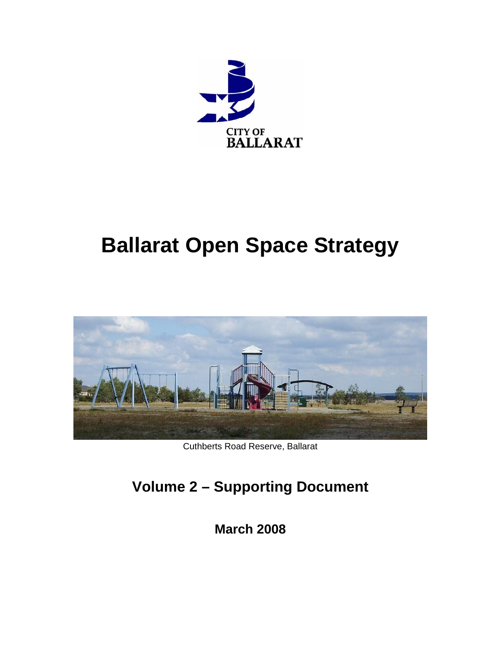

# **Ballarat Open Space Strategy**



Cuthberts Road Reserve, Ballarat

## **Volume 2 – Supporting Document**

**March 2008**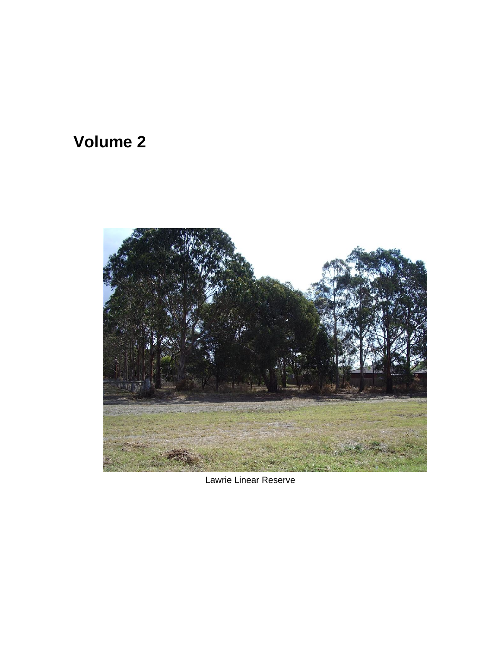## **Volume 2**



Lawrie Linear Reserve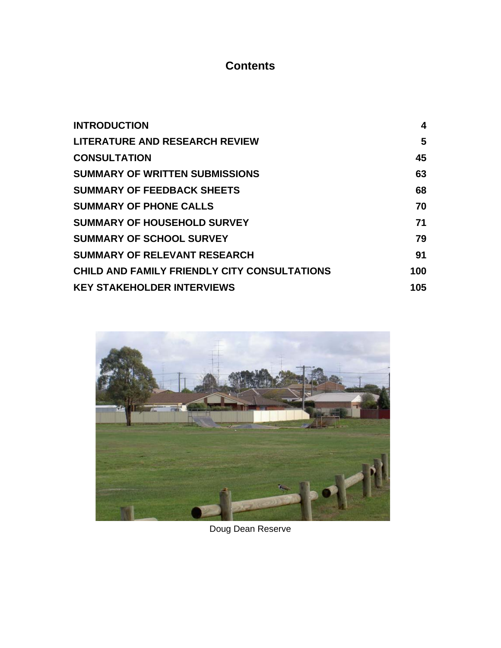## **Contents**

| <b>INTRODUCTION</b>                          | 4   |
|----------------------------------------------|-----|
| <b>LITERATURE AND RESEARCH REVIEW</b>        | 5   |
| <b>CONSULTATION</b>                          | 45  |
| <b>SUMMARY OF WRITTEN SUBMISSIONS</b>        | 63  |
| <b>SUMMARY OF FEEDBACK SHEETS</b>            | 68  |
| <b>SUMMARY OF PHONE CALLS</b>                | 70  |
| <b>SUMMARY OF HOUSEHOLD SURVEY</b>           | 71  |
| <b>SUMMARY OF SCHOOL SURVEY</b>              | 79  |
| <b>SUMMARY OF RELEVANT RESEARCH</b>          | 91  |
| CHILD AND FAMILY FRIENDLY CITY CONSULTATIONS | 100 |
| <b>KEY STAKEHOLDER INTERVIEWS</b>            | 105 |



Doug Dean Reserve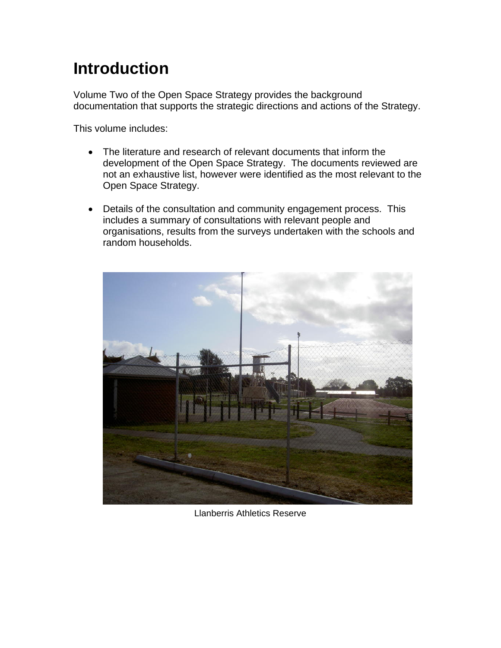## **Introduction**

Volume Two of the Open Space Strategy provides the background documentation that supports the strategic directions and actions of the Strategy.

This volume includes:

- The literature and research of relevant documents that inform the development of the Open Space Strategy. The documents reviewed are not an exhaustive list, however were identified as the most relevant to the Open Space Strategy.
- Details of the consultation and community engagement process. This includes a summary of consultations with relevant people and organisations, results from the surveys undertaken with the schools and random households.



Llanberris Athletics Reserve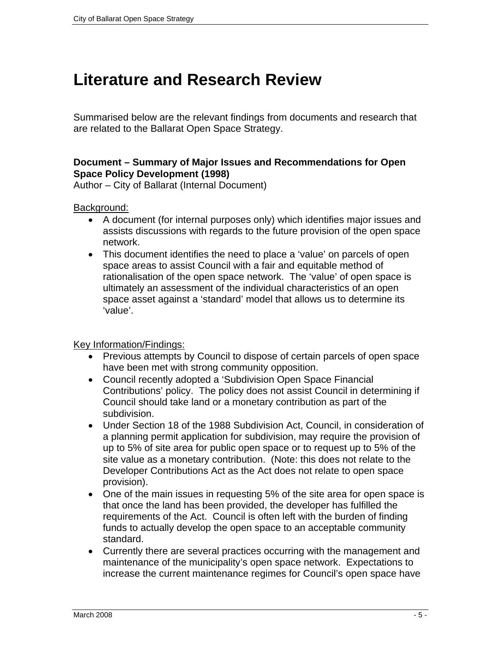## <span id="page-4-0"></span>**Literature and Research Review**

Summarised below are the relevant findings from documents and research that are related to the Ballarat Open Space Strategy.

## **Document – Summary of Major Issues and Recommendations for Open Space Policy Development (1998)**

Author – City of Ballarat (Internal Document)

Background:

- A document (for internal purposes only) which identifies major issues and assists discussions with regards to the future provision of the open space network.
- This document identifies the need to place a 'value' on parcels of open space areas to assist Council with a fair and equitable method of rationalisation of the open space network. The 'value' of open space is ultimately an assessment of the individual characteristics of an open space asset against a 'standard' model that allows us to determine its 'value'.

- Previous attempts by Council to dispose of certain parcels of open space have been met with strong community opposition.
- Council recently adopted a 'Subdivision Open Space Financial Contributions' policy. The policy does not assist Council in determining if Council should take land or a monetary contribution as part of the subdivision.
- Under Section 18 of the 1988 Subdivision Act, Council, in consideration of a planning permit application for subdivision, may require the provision of up to 5% of site area for public open space or to request up to 5% of the site value as a monetary contribution. (Note: this does not relate to the Developer Contributions Act as the Act does not relate to open space provision).
- One of the main issues in requesting 5% of the site area for open space is that once the land has been provided, the developer has fulfilled the requirements of the Act. Council is often left with the burden of finding funds to actually develop the open space to an acceptable community standard.
- Currently there are several practices occurring with the management and maintenance of the municipality's open space network. Expectations to increase the current maintenance regimes for Council's open space have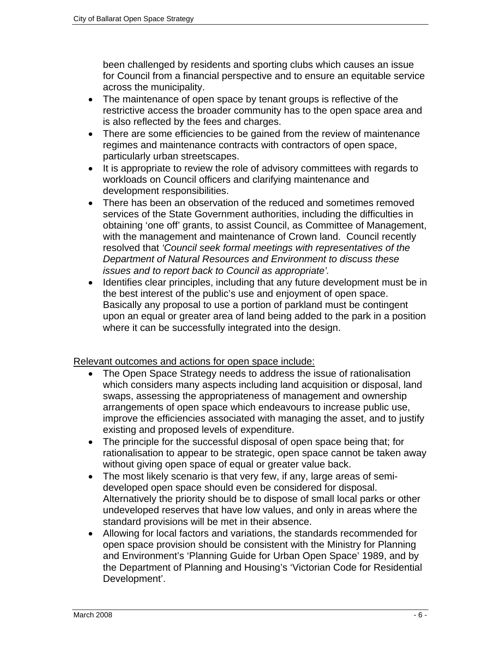been challenged by residents and sporting clubs which causes an issue for Council from a financial perspective and to ensure an equitable service across the municipality.

- The maintenance of open space by tenant groups is reflective of the restrictive access the broader community has to the open space area and is also reflected by the fees and charges.
- There are some efficiencies to be gained from the review of maintenance regimes and maintenance contracts with contractors of open space, particularly urban streetscapes.
- It is appropriate to review the role of advisory committees with regards to workloads on Council officers and clarifying maintenance and development responsibilities.
- There has been an observation of the reduced and sometimes removed services of the State Government authorities, including the difficulties in obtaining 'one off' grants, to assist Council, as Committee of Management, with the management and maintenance of Crown land. Council recently resolved that *'Council seek formal meetings with representatives of the Department of Natural Resources and Environment to discuss these issues and to report back to Council as appropriate'.*
- Identifies clear principles, including that any future development must be in the best interest of the public's use and enjoyment of open space. Basically any proposal to use a portion of parkland must be contingent upon an equal or greater area of land being added to the park in a position where it can be successfully integrated into the design.

Relevant outcomes and actions for open space include:

- The Open Space Strategy needs to address the issue of rationalisation which considers many aspects including land acquisition or disposal, land swaps, assessing the appropriateness of management and ownership arrangements of open space which endeavours to increase public use, improve the efficiencies associated with managing the asset, and to justify existing and proposed levels of expenditure.
- The principle for the successful disposal of open space being that; for rationalisation to appear to be strategic, open space cannot be taken away without giving open space of equal or greater value back.
- The most likely scenario is that very few, if any, large areas of semideveloped open space should even be considered for disposal. Alternatively the priority should be to dispose of small local parks or other undeveloped reserves that have low values, and only in areas where the standard provisions will be met in their absence.
- Allowing for local factors and variations, the standards recommended for open space provision should be consistent with the Ministry for Planning and Environment's 'Planning Guide for Urban Open Space' 1989, and by the Department of Planning and Housing's 'Victorian Code for Residential Development'.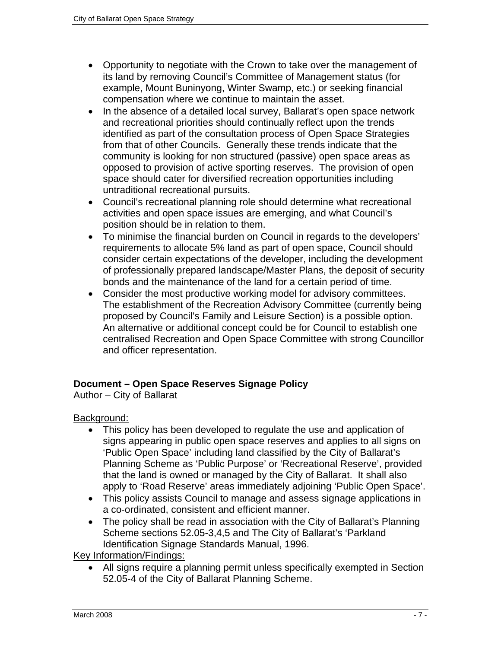- Opportunity to negotiate with the Crown to take over the management of its land by removing Council's Committee of Management status (for example, Mount Buninyong, Winter Swamp, etc.) or seeking financial compensation where we continue to maintain the asset.
- In the absence of a detailed local survey, Ballarat's open space network and recreational priorities should continually reflect upon the trends identified as part of the consultation process of Open Space Strategies from that of other Councils. Generally these trends indicate that the community is looking for non structured (passive) open space areas as opposed to provision of active sporting reserves. The provision of open space should cater for diversified recreation opportunities including untraditional recreational pursuits.
- Council's recreational planning role should determine what recreational activities and open space issues are emerging, and what Council's position should be in relation to them.
- To minimise the financial burden on Council in regards to the developers' requirements to allocate 5% land as part of open space, Council should consider certain expectations of the developer, including the development of professionally prepared landscape/Master Plans, the deposit of security bonds and the maintenance of the land for a certain period of time.
- Consider the most productive working model for advisory committees. The establishment of the Recreation Advisory Committee (currently being proposed by Council's Family and Leisure Section) is a possible option. An alternative or additional concept could be for Council to establish one centralised Recreation and Open Space Committee with strong Councillor and officer representation.

## **Document – Open Space Reserves Signage Policy**

Author – City of Ballarat

Background:

- This policy has been developed to regulate the use and application of signs appearing in public open space reserves and applies to all signs on 'Public Open Space' including land classified by the City of Ballarat's Planning Scheme as 'Public Purpose' or 'Recreational Reserve', provided that the land is owned or managed by the City of Ballarat. It shall also apply to 'Road Reserve' areas immediately adjoining 'Public Open Space'.
- This policy assists Council to manage and assess signage applications in a co-ordinated, consistent and efficient manner.
- The policy shall be read in association with the City of Ballarat's Planning Scheme sections 52.05-3,4,5 and The City of Ballarat's 'Parkland Identification Signage Standards Manual, 1996.

Key Information/Findings:

• All signs require a planning permit unless specifically exempted in Section 52.05-4 of the City of Ballarat Planning Scheme.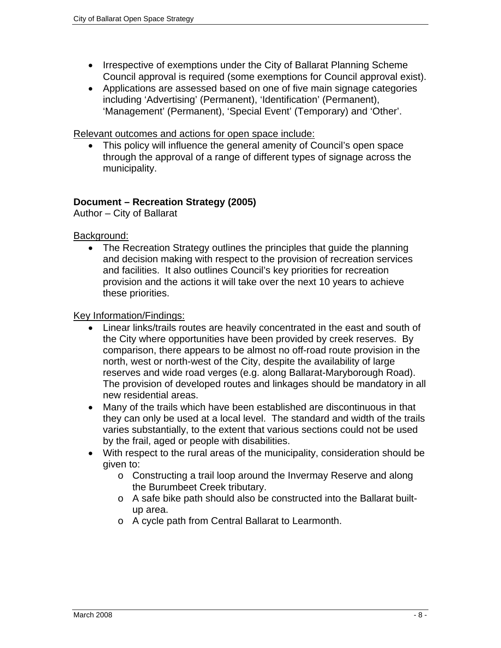- Irrespective of exemptions under the City of Ballarat Planning Scheme Council approval is required (some exemptions for Council approval exist).
- Applications are assessed based on one of five main signage categories including 'Advertising' (Permanent), 'Identification' (Permanent), 'Management' (Permanent), 'Special Event' (Temporary) and 'Other'.

• This policy will influence the general amenity of Council's open space through the approval of a range of different types of signage across the municipality.

## **Document – Recreation Strategy (2005)**

Author – City of Ballarat

Background:

• The Recreation Strategy outlines the principles that guide the planning and decision making with respect to the provision of recreation services and facilities. It also outlines Council's key priorities for recreation provision and the actions it will take over the next 10 years to achieve these priorities.

- Linear links/trails routes are heavily concentrated in the east and south of the City where opportunities have been provided by creek reserves. By comparison, there appears to be almost no off-road route provision in the north, west or north-west of the City, despite the availability of large reserves and wide road verges (e.g. along Ballarat-Maryborough Road). The provision of developed routes and linkages should be mandatory in all new residential areas.
- Many of the trails which have been established are discontinuous in that they can only be used at a local level. The standard and width of the trails varies substantially, to the extent that various sections could not be used by the frail, aged or people with disabilities.
- With respect to the rural areas of the municipality, consideration should be given to:
	- o Constructing a trail loop around the Invermay Reserve and along the Burumbeet Creek tributary.
	- o A safe bike path should also be constructed into the Ballarat builtup area.
	- o A cycle path from Central Ballarat to Learmonth.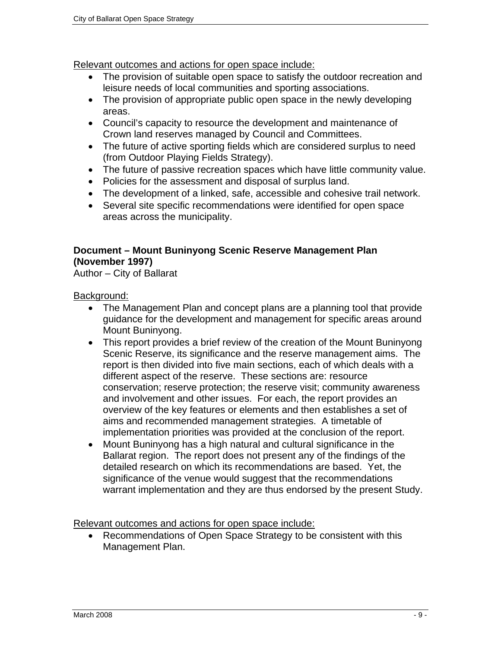- The provision of suitable open space to satisfy the outdoor recreation and leisure needs of local communities and sporting associations.
- The provision of appropriate public open space in the newly developing areas.
- Council's capacity to resource the development and maintenance of Crown land reserves managed by Council and Committees.
- The future of active sporting fields which are considered surplus to need (from Outdoor Playing Fields Strategy).
- The future of passive recreation spaces which have little community value.
- Policies for the assessment and disposal of surplus land.
- The development of a linked, safe, accessible and cohesive trail network.
- Several site specific recommendations were identified for open space areas across the municipality.

## **Document – Mount Buninyong Scenic Reserve Management Plan (November 1997)**

Author – City of Ballarat

Background:

- The Management Plan and concept plans are a planning tool that provide guidance for the development and management for specific areas around Mount Buninyong.
- This report provides a brief review of the creation of the Mount Buninyong Scenic Reserve, its significance and the reserve management aims. The report is then divided into five main sections, each of which deals with a different aspect of the reserve. These sections are: resource conservation; reserve protection; the reserve visit; community awareness and involvement and other issues. For each, the report provides an overview of the key features or elements and then establishes a set of aims and recommended management strategies. A timetable of implementation priorities was provided at the conclusion of the report.
- Mount Buninyong has a high natural and cultural significance in the Ballarat region. The report does not present any of the findings of the detailed research on which its recommendations are based. Yet, the significance of the venue would suggest that the recommendations warrant implementation and they are thus endorsed by the present Study.

Relevant outcomes and actions for open space include:

• Recommendations of Open Space Strategy to be consistent with this Management Plan.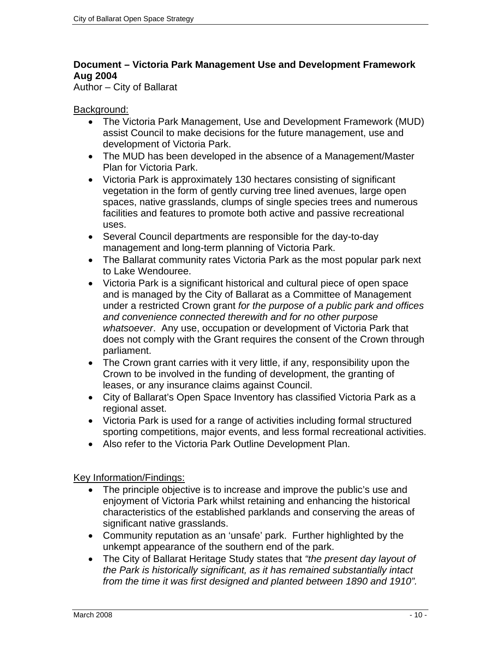## **Document – Victoria Park Management Use and Development Framework Aug 2004**

Author – City of Ballarat

## Background:

- The Victoria Park Management, Use and Development Framework (MUD) assist Council to make decisions for the future management, use and development of Victoria Park.
- The MUD has been developed in the absence of a Management/Master Plan for Victoria Park.
- Victoria Park is approximately 130 hectares consisting of significant vegetation in the form of gently curving tree lined avenues, large open spaces, native grasslands, clumps of single species trees and numerous facilities and features to promote both active and passive recreational uses.
- Several Council departments are responsible for the day-to-day management and long-term planning of Victoria Park.
- The Ballarat community rates Victoria Park as the most popular park next to Lake Wendouree.
- Victoria Park is a significant historical and cultural piece of open space and is managed by the City of Ballarat as a Committee of Management under a restricted Crown grant *for the purpose of a public park and offices and convenience connected therewith and for no other purpose whatsoever*. Any use, occupation or development of Victoria Park that does not comply with the Grant requires the consent of the Crown through parliament.
- The Crown grant carries with it very little, if any, responsibility upon the Crown to be involved in the funding of development, the granting of leases, or any insurance claims against Council.
- City of Ballarat's Open Space Inventory has classified Victoria Park as a regional asset.
- Victoria Park is used for a range of activities including formal structured sporting competitions, major events, and less formal recreational activities.
- Also refer to the Victoria Park Outline Development Plan.

- The principle objective is to increase and improve the public's use and enjoyment of Victoria Park whilst retaining and enhancing the historical characteristics of the established parklands and conserving the areas of significant native grasslands.
- Community reputation as an 'unsafe' park. Further highlighted by the unkempt appearance of the southern end of the park.
- The City of Ballarat Heritage Study states that *"the present day layout of the Park is historically significant, as it has remained substantially intact from the time it was first designed and planted between 1890 and 1910".*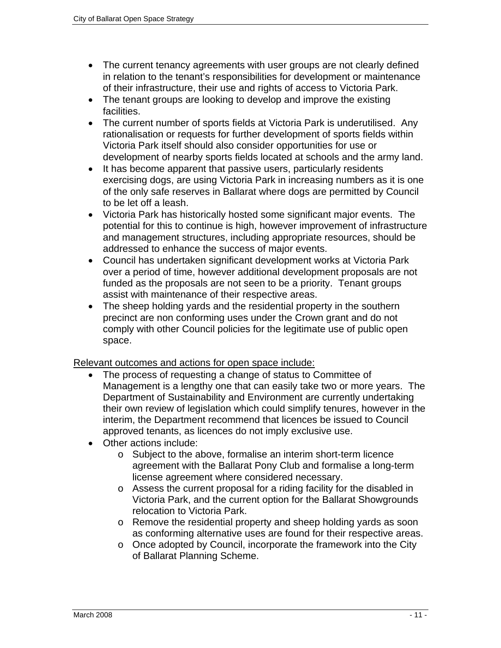- The current tenancy agreements with user groups are not clearly defined in relation to the tenant's responsibilities for development or maintenance of their infrastructure, their use and rights of access to Victoria Park.
- The tenant groups are looking to develop and improve the existing facilities.
- The current number of sports fields at Victoria Park is underutilised. Any rationalisation or requests for further development of sports fields within Victoria Park itself should also consider opportunities for use or development of nearby sports fields located at schools and the army land.
- It has become apparent that passive users, particularly residents exercising dogs, are using Victoria Park in increasing numbers as it is one of the only safe reserves in Ballarat where dogs are permitted by Council to be let off a leash.
- Victoria Park has historically hosted some significant major events. The potential for this to continue is high, however improvement of infrastructure and management structures, including appropriate resources, should be addressed to enhance the success of major events.
- Council has undertaken significant development works at Victoria Park over a period of time, however additional development proposals are not funded as the proposals are not seen to be a priority. Tenant groups assist with maintenance of their respective areas.
- The sheep holding yards and the residential property in the southern precinct are non conforming uses under the Crown grant and do not comply with other Council policies for the legitimate use of public open space.

- The process of requesting a change of status to Committee of Management is a lengthy one that can easily take two or more years. The Department of Sustainability and Environment are currently undertaking their own review of legislation which could simplify tenures, however in the interim, the Department recommend that licences be issued to Council approved tenants, as licences do not imply exclusive use.
- Other actions include:
	- o Subject to the above, formalise an interim short-term licence agreement with the Ballarat Pony Club and formalise a long-term license agreement where considered necessary.
	- o Assess the current proposal for a riding facility for the disabled in Victoria Park, and the current option for the Ballarat Showgrounds relocation to Victoria Park.
	- o Remove the residential property and sheep holding yards as soon as conforming alternative uses are found for their respective areas.
	- o Once adopted by Council, incorporate the framework into the City of Ballarat Planning Scheme.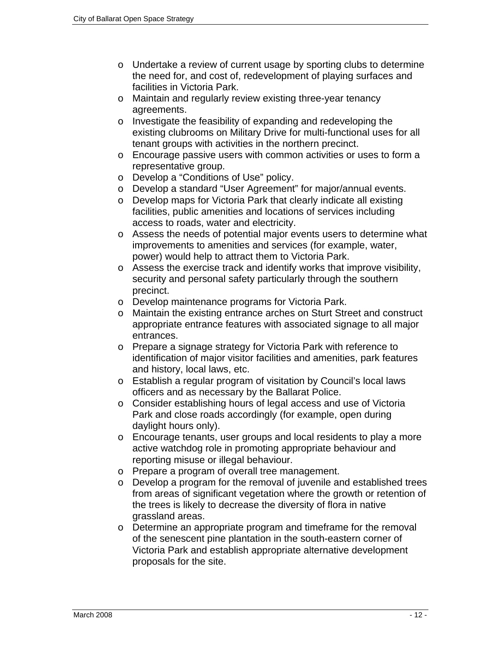- o Undertake a review of current usage by sporting clubs to determine the need for, and cost of, redevelopment of playing surfaces and facilities in Victoria Park.
- o Maintain and regularly review existing three-year tenancy agreements.
- o Investigate the feasibility of expanding and redeveloping the existing clubrooms on Military Drive for multi-functional uses for all tenant groups with activities in the northern precinct.
- o Encourage passive users with common activities or uses to form a representative group.
- o Develop a "Conditions of Use" policy.
- o Develop a standard "User Agreement" for major/annual events.
- o Develop maps for Victoria Park that clearly indicate all existing facilities, public amenities and locations of services including access to roads, water and electricity.
- o Assess the needs of potential major events users to determine what improvements to amenities and services (for example, water, power) would help to attract them to Victoria Park.
- o Assess the exercise track and identify works that improve visibility, security and personal safety particularly through the southern precinct.
- o Develop maintenance programs for Victoria Park.
- o Maintain the existing entrance arches on Sturt Street and construct appropriate entrance features with associated signage to all major entrances.
- o Prepare a signage strategy for Victoria Park with reference to identification of major visitor facilities and amenities, park features and history, local laws, etc.
- o Establish a regular program of visitation by Council's local laws officers and as necessary by the Ballarat Police.
- o Consider establishing hours of legal access and use of Victoria Park and close roads accordingly (for example, open during daylight hours only).
- o Encourage tenants, user groups and local residents to play a more active watchdog role in promoting appropriate behaviour and reporting misuse or illegal behaviour.
- o Prepare a program of overall tree management.
- $\circ$  Develop a program for the removal of juvenile and established trees from areas of significant vegetation where the growth or retention of the trees is likely to decrease the diversity of flora in native grassland areas.
- o Determine an appropriate program and timeframe for the removal of the senescent pine plantation in the south-eastern corner of Victoria Park and establish appropriate alternative development proposals for the site.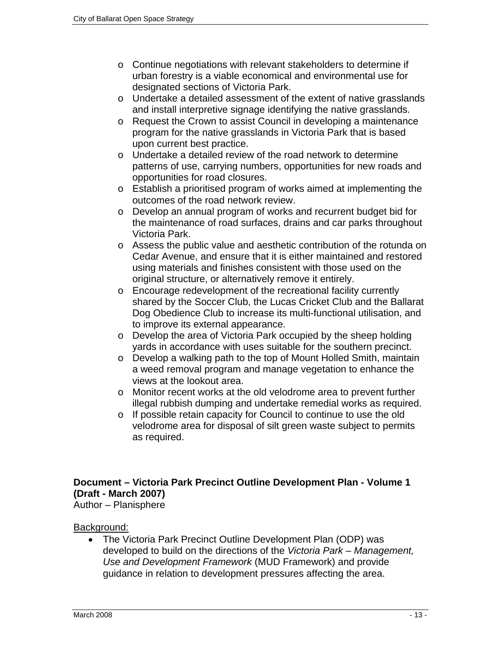- o Continue negotiations with relevant stakeholders to determine if urban forestry is a viable economical and environmental use for designated sections of Victoria Park.
- o Undertake a detailed assessment of the extent of native grasslands and install interpretive signage identifying the native grasslands.
- o Request the Crown to assist Council in developing a maintenance program for the native grasslands in Victoria Park that is based upon current best practice.
- o Undertake a detailed review of the road network to determine patterns of use, carrying numbers, opportunities for new roads and opportunities for road closures.
- o Establish a prioritised program of works aimed at implementing the outcomes of the road network review.
- o Develop an annual program of works and recurrent budget bid for the maintenance of road surfaces, drains and car parks throughout Victoria Park.
- o Assess the public value and aesthetic contribution of the rotunda on Cedar Avenue, and ensure that it is either maintained and restored using materials and finishes consistent with those used on the original structure, or alternatively remove it entirely.
- o Encourage redevelopment of the recreational facility currently shared by the Soccer Club, the Lucas Cricket Club and the Ballarat Dog Obedience Club to increase its multi-functional utilisation, and to improve its external appearance.
- o Develop the area of Victoria Park occupied by the sheep holding yards in accordance with uses suitable for the southern precinct.
- o Develop a walking path to the top of Mount Holled Smith, maintain a weed removal program and manage vegetation to enhance the views at the lookout area.
- o Monitor recent works at the old velodrome area to prevent further illegal rubbish dumping and undertake remedial works as required.
- o If possible retain capacity for Council to continue to use the old velodrome area for disposal of silt green waste subject to permits as required.

## **Document – Victoria Park Precinct Outline Development Plan - Volume 1 (Draft - March 2007)**

Author – Planisphere

## Background:

• The Victoria Park Precinct Outline Development Plan (ODP) was developed to build on the directions of the *Victoria Park – Management, Use and Development Framework* (MUD Framework) and provide guidance in relation to development pressures affecting the area.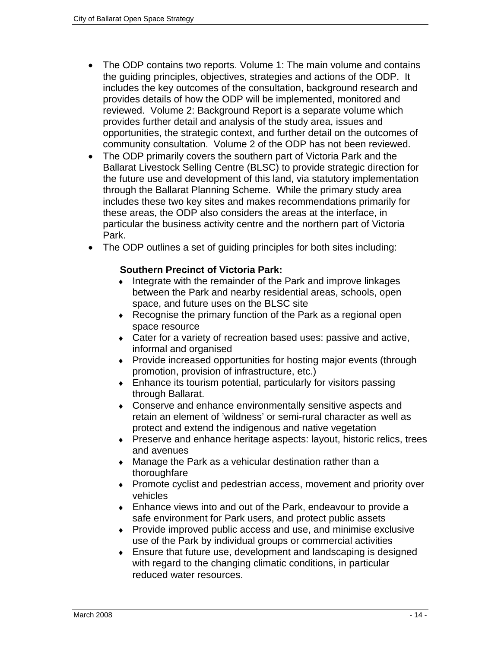- The ODP contains two reports. Volume 1: The main volume and contains the guiding principles, objectives, strategies and actions of the ODP. It includes the key outcomes of the consultation, background research and provides details of how the ODP will be implemented, monitored and reviewed. Volume 2: Background Report is a separate volume which provides further detail and analysis of the study area, issues and opportunities, the strategic context, and further detail on the outcomes of community consultation. Volume 2 of the ODP has not been reviewed.
- The ODP primarily covers the southern part of Victoria Park and the Ballarat Livestock Selling Centre (BLSC) to provide strategic direction for the future use and development of this land, via statutory implementation through the Ballarat Planning Scheme. While the primary study area includes these two key sites and makes recommendations primarily for these areas, the ODP also considers the areas at the interface, in particular the business activity centre and the northern part of Victoria Park.
- The ODP outlines a set of guiding principles for both sites including:

## **Southern Precinct of Victoria Park:**

- ♦ Integrate with the remainder of the Park and improve linkages between the Park and nearby residential areas, schools, open space, and future uses on the BLSC site
- ♦ Recognise the primary function of the Park as a regional open space resource
- ♦ Cater for a variety of recreation based uses: passive and active, informal and organised
- ♦ Provide increased opportunities for hosting major events (through promotion, provision of infrastructure, etc.)
- $\bullet$  Enhance its tourism potential, particularly for visitors passing through Ballarat.
- ♦ Conserve and enhance environmentally sensitive aspects and retain an element of 'wildness' or semi-rural character as well as protect and extend the indigenous and native vegetation
- ♦ Preserve and enhance heritage aspects: layout, historic relics, trees and avenues
- $\bullet$  Manage the Park as a vehicular destination rather than a thoroughfare
- ♦ Promote cyclist and pedestrian access, movement and priority over vehicles
- ♦ Enhance views into and out of the Park, endeavour to provide a safe environment for Park users, and protect public assets
- ♦ Provide improved public access and use, and minimise exclusive use of the Park by individual groups or commercial activities
- ♦ Ensure that future use, development and landscaping is designed with regard to the changing climatic conditions, in particular reduced water resources.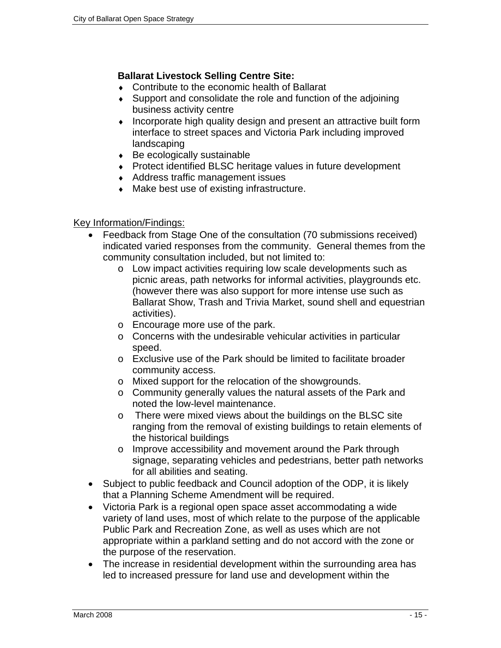## **Ballarat Livestock Selling Centre Site:**

- ♦ Contribute to the economic health of Ballarat
- ♦ Support and consolidate the role and function of the adjoining business activity centre
- ♦ Incorporate high quality design and present an attractive built form interface to street spaces and Victoria Park including improved landscaping
- ♦ Be ecologically sustainable
- ♦ Protect identified BLSC heritage values in future development
- ♦ Address traffic management issues
- ♦ Make best use of existing infrastructure.

- Feedback from Stage One of the consultation (70 submissions received) indicated varied responses from the community. General themes from the community consultation included, but not limited to:
	- o Low impact activities requiring low scale developments such as picnic areas, path networks for informal activities, playgrounds etc. (however there was also support for more intense use such as Ballarat Show, Trash and Trivia Market, sound shell and equestrian activities).
	- o Encourage more use of the park.
	- o Concerns with the undesirable vehicular activities in particular speed.
	- o Exclusive use of the Park should be limited to facilitate broader community access.
	- o Mixed support for the relocation of the showgrounds.
	- o Community generally values the natural assets of the Park and noted the low-level maintenance.
	- o There were mixed views about the buildings on the BLSC site ranging from the removal of existing buildings to retain elements of the historical buildings
	- o Improve accessibility and movement around the Park through signage, separating vehicles and pedestrians, better path networks for all abilities and seating.
- Subject to public feedback and Council adoption of the ODP, it is likely that a Planning Scheme Amendment will be required.
- Victoria Park is a regional open space asset accommodating a wide variety of land uses, most of which relate to the purpose of the applicable Public Park and Recreation Zone, as well as uses which are not appropriate within a parkland setting and do not accord with the zone or the purpose of the reservation.
- The increase in residential development within the surrounding area has led to increased pressure for land use and development within the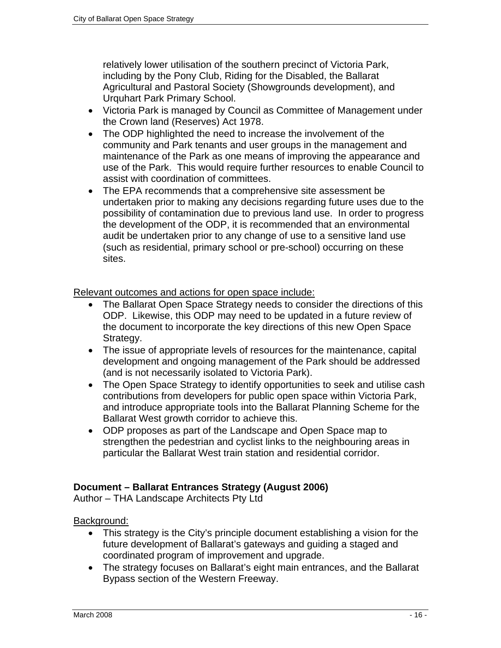relatively lower utilisation of the southern precinct of Victoria Park, including by the Pony Club, Riding for the Disabled, the Ballarat Agricultural and Pastoral Society (Showgrounds development), and Urquhart Park Primary School.

- Victoria Park is managed by Council as Committee of Management under the Crown land (Reserves) Act 1978.
- The ODP highlighted the need to increase the involvement of the community and Park tenants and user groups in the management and maintenance of the Park as one means of improving the appearance and use of the Park. This would require further resources to enable Council to assist with coordination of committees.
- The EPA recommends that a comprehensive site assessment be undertaken prior to making any decisions regarding future uses due to the possibility of contamination due to previous land use. In order to progress the development of the ODP, it is recommended that an environmental audit be undertaken prior to any change of use to a sensitive land use (such as residential, primary school or pre-school) occurring on these sites.

Relevant outcomes and actions for open space include:

- The Ballarat Open Space Strategy needs to consider the directions of this ODP. Likewise, this ODP may need to be updated in a future review of the document to incorporate the key directions of this new Open Space Strategy.
- The issue of appropriate levels of resources for the maintenance, capital development and ongoing management of the Park should be addressed (and is not necessarily isolated to Victoria Park).
- The Open Space Strategy to identify opportunities to seek and utilise cash contributions from developers for public open space within Victoria Park, and introduce appropriate tools into the Ballarat Planning Scheme for the Ballarat West growth corridor to achieve this.
- ODP proposes as part of the Landscape and Open Space map to strengthen the pedestrian and cyclist links to the neighbouring areas in particular the Ballarat West train station and residential corridor.

#### **Document – Ballarat Entrances Strategy (August 2006)**

Author – THA Landscape Architects Pty Ltd

#### Background:

- This strategy is the City's principle document establishing a vision for the future development of Ballarat's gateways and guiding a staged and coordinated program of improvement and upgrade.
- The strategy focuses on Ballarat's eight main entrances, and the Ballarat Bypass section of the Western Freeway.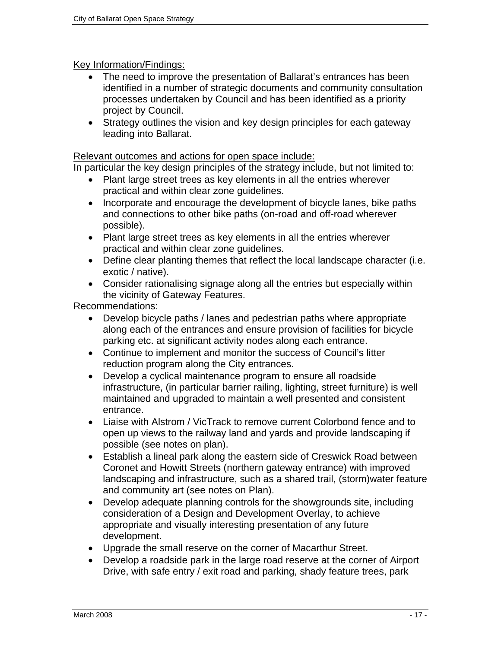## Key Information/Findings:

- The need to improve the presentation of Ballarat's entrances has been identified in a number of strategic documents and community consultation processes undertaken by Council and has been identified as a priority project by Council.
- Strategy outlines the vision and key design principles for each gateway leading into Ballarat.

#### Relevant outcomes and actions for open space include:

In particular the key design principles of the strategy include, but not limited to:

- Plant large street trees as key elements in all the entries wherever practical and within clear zone guidelines.
- Incorporate and encourage the development of bicycle lanes, bike paths and connections to other bike paths (on-road and off-road wherever possible).
- Plant large street trees as key elements in all the entries wherever practical and within clear zone guidelines.
- Define clear planting themes that reflect the local landscape character (i.e. exotic / native).
- Consider rationalising signage along all the entries but especially within the vicinity of Gateway Features.

Recommendations:

- Develop bicycle paths / lanes and pedestrian paths where appropriate along each of the entrances and ensure provision of facilities for bicycle parking etc. at significant activity nodes along each entrance.
- Continue to implement and monitor the success of Council's litter reduction program along the City entrances.
- Develop a cyclical maintenance program to ensure all roadside infrastructure, (in particular barrier railing, lighting, street furniture) is well maintained and upgraded to maintain a well presented and consistent entrance.
- Liaise with Alstrom / VicTrack to remove current Colorbond fence and to open up views to the railway land and yards and provide landscaping if possible (see notes on plan).
- Establish a lineal park along the eastern side of Creswick Road between Coronet and Howitt Streets (northern gateway entrance) with improved landscaping and infrastructure, such as a shared trail, (storm)water feature and community art (see notes on Plan).
- Develop adequate planning controls for the showgrounds site, including consideration of a Design and Development Overlay, to achieve appropriate and visually interesting presentation of any future development.
- Upgrade the small reserve on the corner of Macarthur Street.
- Develop a roadside park in the large road reserve at the corner of Airport Drive, with safe entry / exit road and parking, shady feature trees, park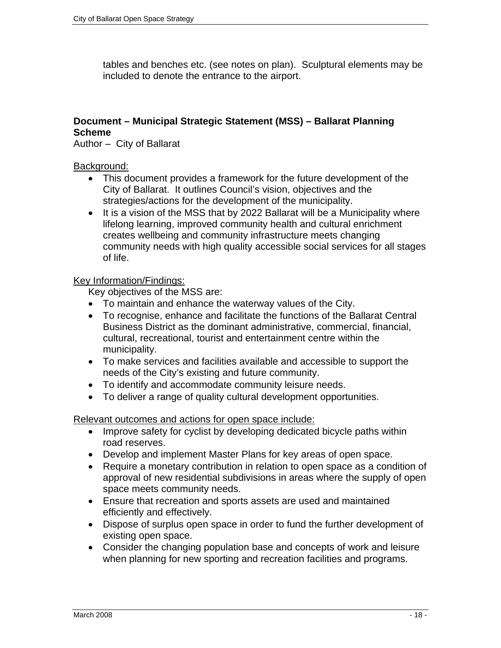tables and benches etc. (see notes on plan). Sculptural elements may be included to denote the entrance to the airport.

## **Document – Municipal Strategic Statement (MSS) – Ballarat Planning Scheme**

Author – City of Ballarat

#### Background:

- This document provides a framework for the future development of the City of Ballarat. It outlines Council's vision, objectives and the strategies/actions for the development of the municipality.
- It is a vision of the MSS that by 2022 Ballarat will be a Municipality where lifelong learning, improved community health and cultural enrichment creates wellbeing and community infrastructure meets changing community needs with high quality accessible social services for all stages of life.

#### Key Information/Findings:

Key objectives of the MSS are:

- To maintain and enhance the waterway values of the City.
- To recognise, enhance and facilitate the functions of the Ballarat Central Business District as the dominant administrative, commercial, financial, cultural, recreational, tourist and entertainment centre within the municipality.
- To make services and facilities available and accessible to support the needs of the City's existing and future community.
- To identify and accommodate community leisure needs.
- To deliver a range of quality cultural development opportunities.

Relevant outcomes and actions for open space include:

- Improve safety for cyclist by developing dedicated bicycle paths within road reserves.
- Develop and implement Master Plans for key areas of open space.
- Require a monetary contribution in relation to open space as a condition of approval of new residential subdivisions in areas where the supply of open space meets community needs.
- Ensure that recreation and sports assets are used and maintained efficiently and effectively.
- Dispose of surplus open space in order to fund the further development of existing open space.
- Consider the changing population base and concepts of work and leisure when planning for new sporting and recreation facilities and programs.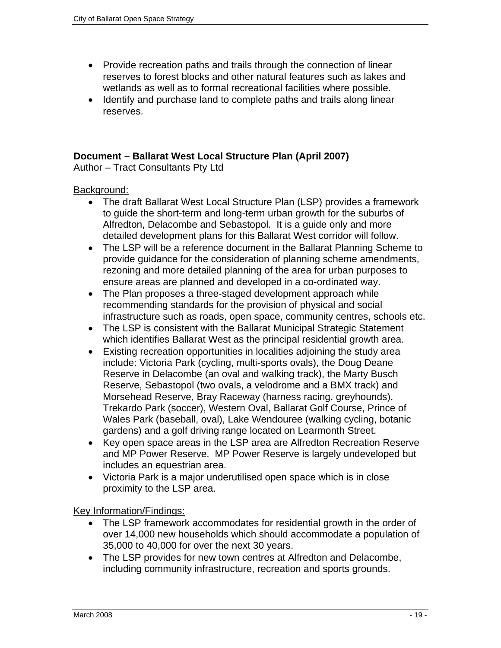- Provide recreation paths and trails through the connection of linear reserves to forest blocks and other natural features such as lakes and wetlands as well as to formal recreational facilities where possible.
- Identify and purchase land to complete paths and trails along linear reserves.

## **Document – Ballarat West Local Structure Plan (April 2007)**

Author – Tract Consultants Pty Ltd

#### Background:

- The draft Ballarat West Local Structure Plan (LSP) provides a framework to guide the short-term and long-term urban growth for the suburbs of Alfredton, Delacombe and Sebastopol. It is a guide only and more detailed development plans for this Ballarat West corridor will follow.
- The LSP will be a reference document in the Ballarat Planning Scheme to provide guidance for the consideration of planning scheme amendments, rezoning and more detailed planning of the area for urban purposes to ensure areas are planned and developed in a co-ordinated way.
- The Plan proposes a three-staged development approach while recommending standards for the provision of physical and social infrastructure such as roads, open space, community centres, schools etc.
- The LSP is consistent with the Ballarat Municipal Strategic Statement which identifies Ballarat West as the principal residential growth area.
- Existing recreation opportunities in localities adjoining the study area include: Victoria Park (cycling, multi-sports ovals), the Doug Deane Reserve in Delacombe (an oval and walking track), the Marty Busch Reserve, Sebastopol (two ovals, a velodrome and a BMX track) and Morsehead Reserve, Bray Raceway (harness racing, greyhounds), Trekardo Park (soccer), Western Oval, Ballarat Golf Course, Prince of Wales Park (baseball, oval), Lake Wendouree (walking cycling, botanic gardens) and a golf driving range located on Learmonth Street.
- Key open space areas in the LSP area are Alfredton Recreation Reserve and MP Power Reserve. MP Power Reserve is largely undeveloped but includes an equestrian area.
- Victoria Park is a major underutilised open space which is in close proximity to the LSP area.

- The LSP framework accommodates for residential growth in the order of over 14,000 new households which should accommodate a population of 35,000 to 40,000 for over the next 30 years.
- The LSP provides for new town centres at Alfredton and Delacombe, including community infrastructure, recreation and sports grounds.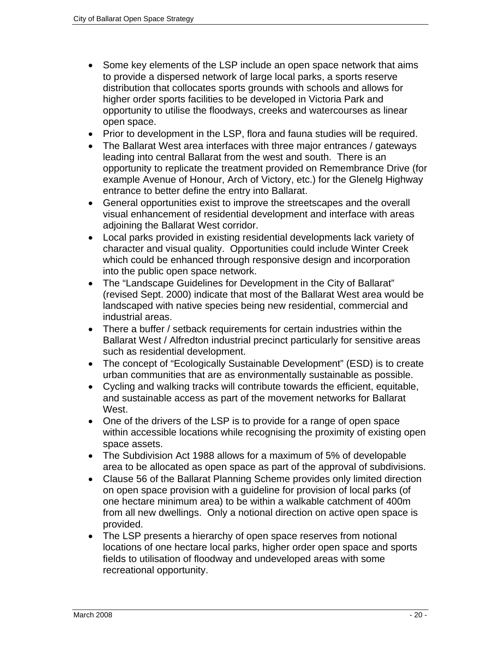- Some key elements of the LSP include an open space network that aims to provide a dispersed network of large local parks, a sports reserve distribution that collocates sports grounds with schools and allows for higher order sports facilities to be developed in Victoria Park and opportunity to utilise the floodways, creeks and watercourses as linear open space.
- Prior to development in the LSP, flora and fauna studies will be required.
- The Ballarat West area interfaces with three major entrances / gateways leading into central Ballarat from the west and south. There is an opportunity to replicate the treatment provided on Remembrance Drive (for example Avenue of Honour, Arch of Victory, etc.) for the Glenelg Highway entrance to better define the entry into Ballarat.
- General opportunities exist to improve the streetscapes and the overall visual enhancement of residential development and interface with areas adjoining the Ballarat West corridor.
- Local parks provided in existing residential developments lack variety of character and visual quality. Opportunities could include Winter Creek which could be enhanced through responsive design and incorporation into the public open space network.
- The "Landscape Guidelines for Development in the City of Ballarat" (revised Sept. 2000) indicate that most of the Ballarat West area would be landscaped with native species being new residential, commercial and industrial areas.
- There a buffer / setback requirements for certain industries within the Ballarat West / Alfredton industrial precinct particularly for sensitive areas such as residential development.
- The concept of "Ecologically Sustainable Development" (ESD) is to create urban communities that are as environmentally sustainable as possible.
- Cycling and walking tracks will contribute towards the efficient, equitable, and sustainable access as part of the movement networks for Ballarat West.
- One of the drivers of the LSP is to provide for a range of open space within accessible locations while recognising the proximity of existing open space assets.
- The Subdivision Act 1988 allows for a maximum of 5% of developable area to be allocated as open space as part of the approval of subdivisions.
- Clause 56 of the Ballarat Planning Scheme provides only limited direction on open space provision with a guideline for provision of local parks (of one hectare minimum area) to be within a walkable catchment of 400m from all new dwellings. Only a notional direction on active open space is provided.
- The LSP presents a hierarchy of open space reserves from notional locations of one hectare local parks, higher order open space and sports fields to utilisation of floodway and undeveloped areas with some recreational opportunity.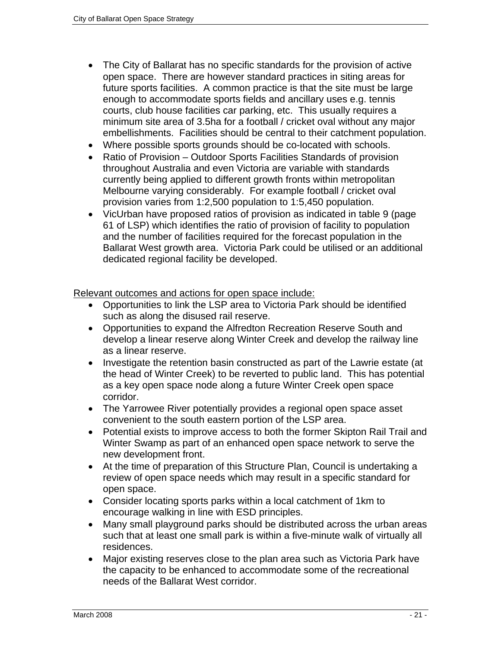- The City of Ballarat has no specific standards for the provision of active open space. There are however standard practices in siting areas for future sports facilities. A common practice is that the site must be large enough to accommodate sports fields and ancillary uses e.g. tennis courts, club house facilities car parking, etc. This usually requires a minimum site area of 3.5ha for a football / cricket oval without any major embellishments. Facilities should be central to their catchment population.
- Where possible sports grounds should be co-located with schools.
- Ratio of Provision Outdoor Sports Facilities Standards of provision throughout Australia and even Victoria are variable with standards currently being applied to different growth fronts within metropolitan Melbourne varying considerably. For example football / cricket oval provision varies from 1:2,500 population to 1:5,450 population.
- VicUrban have proposed ratios of provision as indicated in table 9 (page 61 of LSP) which identifies the ratio of provision of facility to population and the number of facilities required for the forecast population in the Ballarat West growth area. Victoria Park could be utilised or an additional dedicated regional facility be developed.

- Opportunities to link the LSP area to Victoria Park should be identified such as along the disused rail reserve.
- Opportunities to expand the Alfredton Recreation Reserve South and develop a linear reserve along Winter Creek and develop the railway line as a linear reserve.
- Investigate the retention basin constructed as part of the Lawrie estate (at the head of Winter Creek) to be reverted to public land. This has potential as a key open space node along a future Winter Creek open space corridor.
- The Yarrowee River potentially provides a regional open space asset convenient to the south eastern portion of the LSP area.
- Potential exists to improve access to both the former Skipton Rail Trail and Winter Swamp as part of an enhanced open space network to serve the new development front.
- At the time of preparation of this Structure Plan, Council is undertaking a review of open space needs which may result in a specific standard for open space.
- Consider locating sports parks within a local catchment of 1km to encourage walking in line with ESD principles.
- Many small playground parks should be distributed across the urban areas such that at least one small park is within a five-minute walk of virtually all residences.
- Major existing reserves close to the plan area such as Victoria Park have the capacity to be enhanced to accommodate some of the recreational needs of the Ballarat West corridor.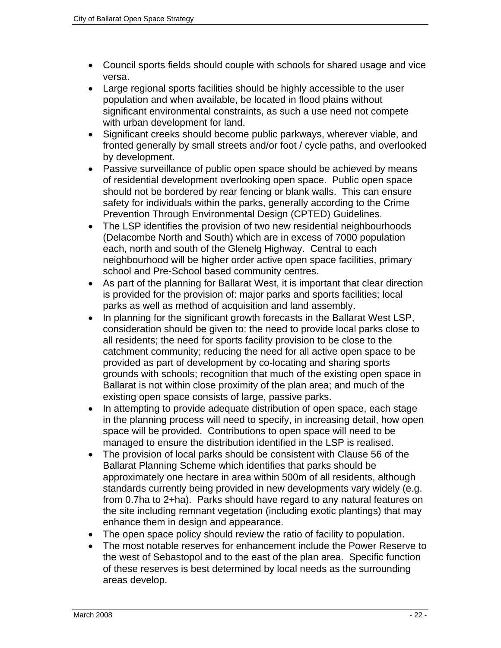- Council sports fields should couple with schools for shared usage and vice versa.
- Large regional sports facilities should be highly accessible to the user population and when available, be located in flood plains without significant environmental constraints, as such a use need not compete with urban development for land.
- Significant creeks should become public parkways, wherever viable, and fronted generally by small streets and/or foot / cycle paths, and overlooked by development.
- Passive surveillance of public open space should be achieved by means of residential development overlooking open space. Public open space should not be bordered by rear fencing or blank walls. This can ensure safety for individuals within the parks, generally according to the Crime Prevention Through Environmental Design (CPTED) Guidelines.
- The LSP identifies the provision of two new residential neighbourhoods (Delacombe North and South) which are in excess of 7000 population each, north and south of the Glenelg Highway. Central to each neighbourhood will be higher order active open space facilities, primary school and Pre-School based community centres.
- As part of the planning for Ballarat West, it is important that clear direction is provided for the provision of: major parks and sports facilities; local parks as well as method of acquisition and land assembly.
- In planning for the significant growth forecasts in the Ballarat West LSP, consideration should be given to: the need to provide local parks close to all residents; the need for sports facility provision to be close to the catchment community; reducing the need for all active open space to be provided as part of development by co-locating and sharing sports grounds with schools; recognition that much of the existing open space in Ballarat is not within close proximity of the plan area; and much of the existing open space consists of large, passive parks.
- In attempting to provide adequate distribution of open space, each stage in the planning process will need to specify, in increasing detail, how open space will be provided. Contributions to open space will need to be managed to ensure the distribution identified in the LSP is realised.
- The provision of local parks should be consistent with Clause 56 of the Ballarat Planning Scheme which identifies that parks should be approximately one hectare in area within 500m of all residents, although standards currently being provided in new developments vary widely (e.g. from 0.7ha to 2+ha). Parks should have regard to any natural features on the site including remnant vegetation (including exotic plantings) that may enhance them in design and appearance.
- The open space policy should review the ratio of facility to population.
- The most notable reserves for enhancement include the Power Reserve to the west of Sebastopol and to the east of the plan area. Specific function of these reserves is best determined by local needs as the surrounding areas develop.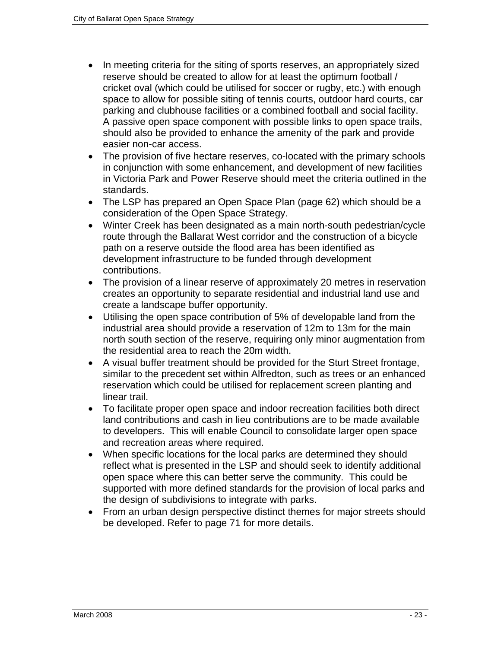- In meeting criteria for the siting of sports reserves, an appropriately sized reserve should be created to allow for at least the optimum football / cricket oval (which could be utilised for soccer or rugby, etc.) with enough space to allow for possible siting of tennis courts, outdoor hard courts, car parking and clubhouse facilities or a combined football and social facility. A passive open space component with possible links to open space trails, should also be provided to enhance the amenity of the park and provide easier non-car access.
- The provision of five hectare reserves, co-located with the primary schools in conjunction with some enhancement, and development of new facilities in Victoria Park and Power Reserve should meet the criteria outlined in the standards.
- The LSP has prepared an Open Space Plan (page 62) which should be a consideration of the Open Space Strategy.
- Winter Creek has been designated as a main north-south pedestrian/cycle route through the Ballarat West corridor and the construction of a bicycle path on a reserve outside the flood area has been identified as development infrastructure to be funded through development contributions.
- The provision of a linear reserve of approximately 20 metres in reservation creates an opportunity to separate residential and industrial land use and create a landscape buffer opportunity.
- Utilising the open space contribution of 5% of developable land from the industrial area should provide a reservation of 12m to 13m for the main north south section of the reserve, requiring only minor augmentation from the residential area to reach the 20m width.
- A visual buffer treatment should be provided for the Sturt Street frontage, similar to the precedent set within Alfredton, such as trees or an enhanced reservation which could be utilised for replacement screen planting and linear trail.
- To facilitate proper open space and indoor recreation facilities both direct land contributions and cash in lieu contributions are to be made available to developers. This will enable Council to consolidate larger open space and recreation areas where required.
- When specific locations for the local parks are determined they should reflect what is presented in the LSP and should seek to identify additional open space where this can better serve the community. This could be supported with more defined standards for the provision of local parks and the design of subdivisions to integrate with parks.
- From an urban design perspective distinct themes for major streets should be developed. Refer to page 71 for more details.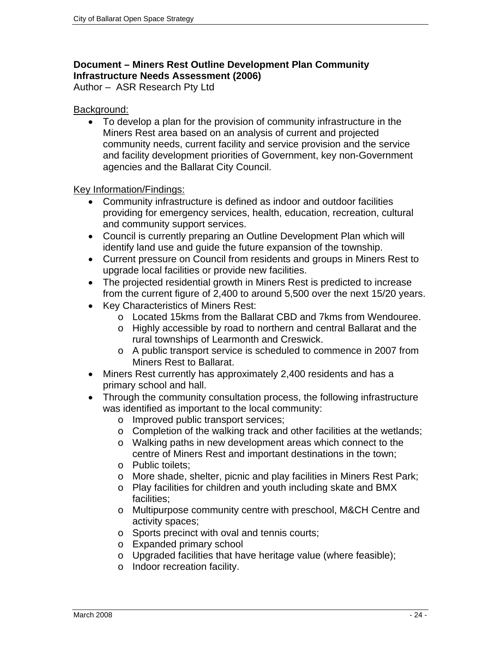## **Document – Miners Rest Outline Development Plan Community Infrastructure Needs Assessment (2006)**

Author – ASR Research Pty Ltd

## Background:

• To develop a plan for the provision of community infrastructure in the Miners Rest area based on an analysis of current and projected community needs, current facility and service provision and the service and facility development priorities of Government, key non-Government agencies and the Ballarat City Council.

- Community infrastructure is defined as indoor and outdoor facilities providing for emergency services, health, education, recreation, cultural and community support services.
- Council is currently preparing an Outline Development Plan which will identify land use and guide the future expansion of the township.
- Current pressure on Council from residents and groups in Miners Rest to upgrade local facilities or provide new facilities.
- The projected residential growth in Miners Rest is predicted to increase from the current figure of 2,400 to around 5,500 over the next 15/20 years.
- Key Characteristics of Miners Rest:
	- o Located 15kms from the Ballarat CBD and 7kms from Wendouree.
	- o Highly accessible by road to northern and central Ballarat and the rural townships of Learmonth and Creswick.
	- o A public transport service is scheduled to commence in 2007 from Miners Rest to Ballarat.
- Miners Rest currently has approximately 2,400 residents and has a primary school and hall.
- Through the community consultation process, the following infrastructure was identified as important to the local community:
	- o Improved public transport services;
	- o Completion of the walking track and other facilities at the wetlands;
	- o Walking paths in new development areas which connect to the centre of Miners Rest and important destinations in the town;
	- o Public toilets;
	- o More shade, shelter, picnic and play facilities in Miners Rest Park;
	- o Play facilities for children and youth including skate and BMX facilities;
	- o Multipurpose community centre with preschool, M&CH Centre and activity spaces;
	- o Sports precinct with oval and tennis courts;
	- o Expanded primary school
	- o Upgraded facilities that have heritage value (where feasible);
	- o Indoor recreation facility.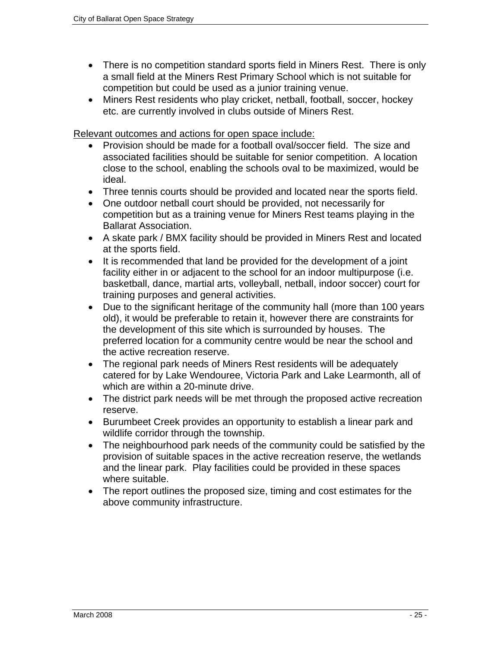- There is no competition standard sports field in Miners Rest. There is only a small field at the Miners Rest Primary School which is not suitable for competition but could be used as a junior training venue.
- Miners Rest residents who play cricket, netball, football, soccer, hockey etc. are currently involved in clubs outside of Miners Rest.

- Provision should be made for a football oval/soccer field. The size and associated facilities should be suitable for senior competition. A location close to the school, enabling the schools oval to be maximized, would be ideal.
- Three tennis courts should be provided and located near the sports field.
- One outdoor netball court should be provided, not necessarily for competition but as a training venue for Miners Rest teams playing in the Ballarat Association.
- A skate park / BMX facility should be provided in Miners Rest and located at the sports field.
- It is recommended that land be provided for the development of a joint facility either in or adjacent to the school for an indoor multipurpose (i.e. basketball, dance, martial arts, volleyball, netball, indoor soccer) court for training purposes and general activities.
- Due to the significant heritage of the community hall (more than 100 years old), it would be preferable to retain it, however there are constraints for the development of this site which is surrounded by houses. The preferred location for a community centre would be near the school and the active recreation reserve.
- The regional park needs of Miners Rest residents will be adequately catered for by Lake Wendouree, Victoria Park and Lake Learmonth, all of which are within a 20-minute drive.
- The district park needs will be met through the proposed active recreation reserve.
- Burumbeet Creek provides an opportunity to establish a linear park and wildlife corridor through the township.
- The neighbourhood park needs of the community could be satisfied by the provision of suitable spaces in the active recreation reserve, the wetlands and the linear park. Play facilities could be provided in these spaces where suitable.
- The report outlines the proposed size, timing and cost estimates for the above community infrastructure.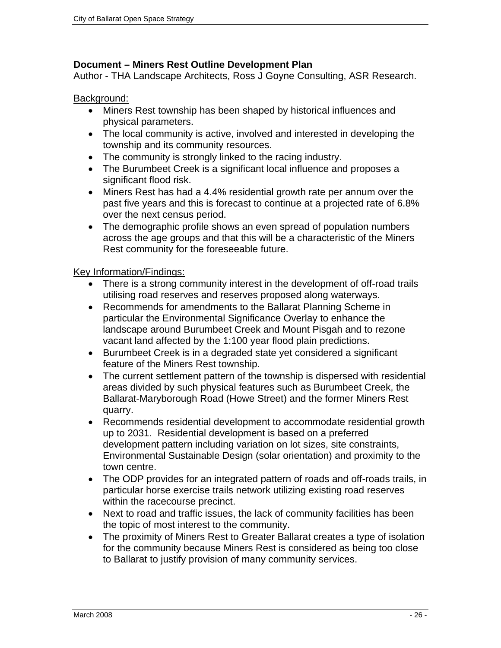#### **Document – Miners Rest Outline Development Plan**

Author - THA Landscape Architects, Ross J Goyne Consulting, ASR Research.

#### Background:

- Miners Rest township has been shaped by historical influences and physical parameters.
- The local community is active, involved and interested in developing the township and its community resources.
- The community is strongly linked to the racing industry.
- The Burumbeet Creek is a significant local influence and proposes a significant flood risk.
- Miners Rest has had a 4.4% residential growth rate per annum over the past five years and this is forecast to continue at a projected rate of 6.8% over the next census period.
- The demographic profile shows an even spread of population numbers across the age groups and that this will be a characteristic of the Miners Rest community for the foreseeable future.

- There is a strong community interest in the development of off-road trails utilising road reserves and reserves proposed along waterways.
- Recommends for amendments to the Ballarat Planning Scheme in particular the Environmental Significance Overlay to enhance the landscape around Burumbeet Creek and Mount Pisgah and to rezone vacant land affected by the 1:100 year flood plain predictions.
- Burumbeet Creek is in a degraded state yet considered a significant feature of the Miners Rest township.
- The current settlement pattern of the township is dispersed with residential areas divided by such physical features such as Burumbeet Creek, the Ballarat-Maryborough Road (Howe Street) and the former Miners Rest quarry.
- Recommends residential development to accommodate residential growth up to 2031. Residential development is based on a preferred development pattern including variation on lot sizes, site constraints, Environmental Sustainable Design (solar orientation) and proximity to the town centre.
- The ODP provides for an integrated pattern of roads and off-roads trails, in particular horse exercise trails network utilizing existing road reserves within the racecourse precinct.
- Next to road and traffic issues, the lack of community facilities has been the topic of most interest to the community.
- The proximity of Miners Rest to Greater Ballarat creates a type of isolation for the community because Miners Rest is considered as being too close to Ballarat to justify provision of many community services.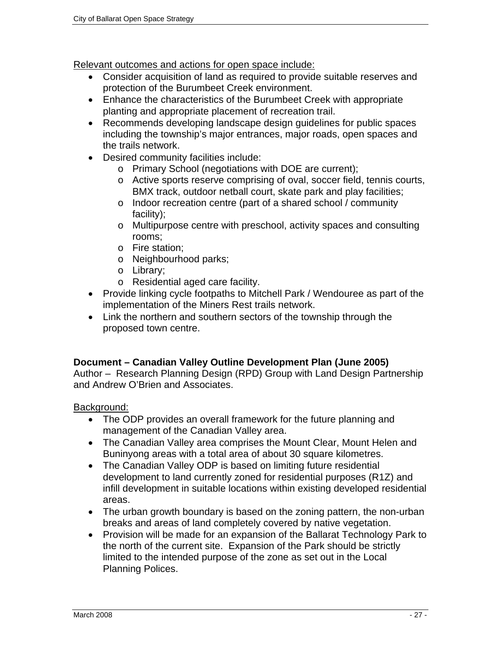- Consider acquisition of land as required to provide suitable reserves and protection of the Burumbeet Creek environment.
- Enhance the characteristics of the Burumbeet Creek with appropriate planting and appropriate placement of recreation trail.
- Recommends developing landscape design guidelines for public spaces including the township's major entrances, major roads, open spaces and the trails network.
- Desired community facilities include:
	- o Primary School (negotiations with DOE are current);
	- o Active sports reserve comprising of oval, soccer field, tennis courts, BMX track, outdoor netball court, skate park and play facilities;
	- o Indoor recreation centre (part of a shared school / community facility);
	- o Multipurpose centre with preschool, activity spaces and consulting rooms;
	- o Fire station;
	- o Neighbourhood parks;
	- o Library;
	- o Residential aged care facility.
- Provide linking cycle footpaths to Mitchell Park / Wendouree as part of the implementation of the Miners Rest trails network.
- Link the northern and southern sectors of the township through the proposed town centre.

#### **Document – Canadian Valley Outline Development Plan (June 2005)**

Author – Research Planning Design (RPD) Group with Land Design Partnership and Andrew O'Brien and Associates.

#### Background:

- The ODP provides an overall framework for the future planning and management of the Canadian Valley area.
- The Canadian Valley area comprises the Mount Clear, Mount Helen and Buninyong areas with a total area of about 30 square kilometres.
- The Canadian Valley ODP is based on limiting future residential development to land currently zoned for residential purposes (R1Z) and infill development in suitable locations within existing developed residential areas.
- The urban growth boundary is based on the zoning pattern, the non-urban breaks and areas of land completely covered by native vegetation.
- Provision will be made for an expansion of the Ballarat Technology Park to the north of the current site. Expansion of the Park should be strictly limited to the intended purpose of the zone as set out in the Local Planning Polices.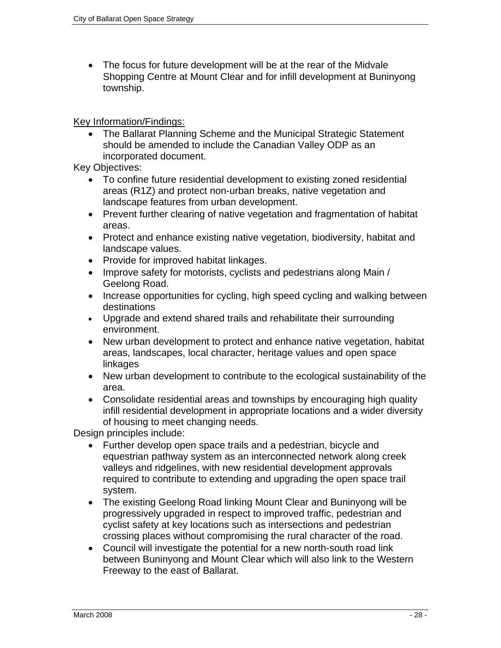• The focus for future development will be at the rear of the Midvale Shopping Centre at Mount Clear and for infill development at Buninyong township.

Key Information/Findings:

• The Ballarat Planning Scheme and the Municipal Strategic Statement should be amended to include the Canadian Valley ODP as an incorporated document.

Key Objectives:

- To confine future residential development to existing zoned residential areas (R1Z) and protect non-urban breaks, native vegetation and landscape features from urban development.
- Prevent further clearing of native vegetation and fragmentation of habitat areas.
- Protect and enhance existing native vegetation, biodiversity, habitat and landscape values.
- Provide for improved habitat linkages.
- Improve safety for motorists, cyclists and pedestrians along Main / Geelong Road.
- Increase opportunities for cycling, high speed cycling and walking between destinations
- Upgrade and extend shared trails and rehabilitate their surrounding environment.
- New urban development to protect and enhance native vegetation, habitat areas, landscapes, local character, heritage values and open space linkages
- New urban development to contribute to the ecological sustainability of the area.
- Consolidate residential areas and townships by encouraging high quality infill residential development in appropriate locations and a wider diversity of housing to meet changing needs.

Design principles include:

- Further develop open space trails and a pedestrian, bicycle and equestrian pathway system as an interconnected network along creek valleys and ridgelines, with new residential development approvals required to contribute to extending and upgrading the open space trail system.
- The existing Geelong Road linking Mount Clear and Buninyong will be progressively upgraded in respect to improved traffic, pedestrian and cyclist safety at key locations such as intersections and pedestrian crossing places without compromising the rural character of the road.
- Council will investigate the potential for a new north-south road link between Buninyong and Mount Clear which will also link to the Western Freeway to the east of Ballarat.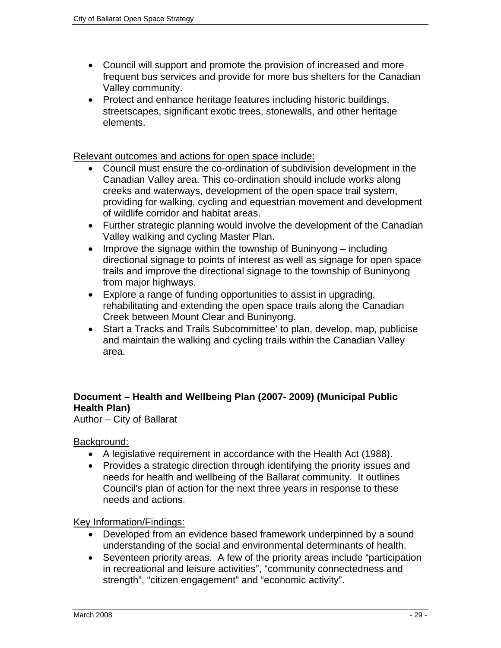- Council will support and promote the provision of increased and more frequent bus services and provide for more bus shelters for the Canadian Valley community.
- Protect and enhance heritage features including historic buildings, streetscapes, significant exotic trees, stonewalls, and other heritage elements.

- Council must ensure the co-ordination of subdivision development in the Canadian Valley area. This co-ordination should include works along creeks and waterways, development of the open space trail system, providing for walking, cycling and equestrian movement and development of wildlife corridor and habitat areas.
- Further strategic planning would involve the development of the Canadian Valley walking and cycling Master Plan.
- Improve the signage within the township of Buninyong including directional signage to points of interest as well as signage for open space trails and improve the directional signage to the township of Buninyong from major highways.
- Explore a range of funding opportunities to assist in upgrading, rehabilitating and extending the open space trails along the Canadian Creek between Mount Clear and Buninyong.
- Start a Tracks and Trails Subcommittee' to plan, develop, map, publicise and maintain the walking and cycling trails within the Canadian Valley area.

## **Document – Health and Wellbeing Plan (2007- 2009) (Municipal Public Health Plan)**

Author – City of Ballarat

Background:

- A legislative requirement in accordance with the Health Act (1988).
- Provides a strategic direction through identifying the priority issues and needs for health and wellbeing of the Ballarat community. It outlines Council's plan of action for the next three years in response to these needs and actions.

- Developed from an evidence based framework underpinned by a sound understanding of the social and environmental determinants of health.
- Seventeen priority areas. A few of the priority areas include "participation in recreational and leisure activities", "community connectedness and strength", "citizen engagement" and "economic activity".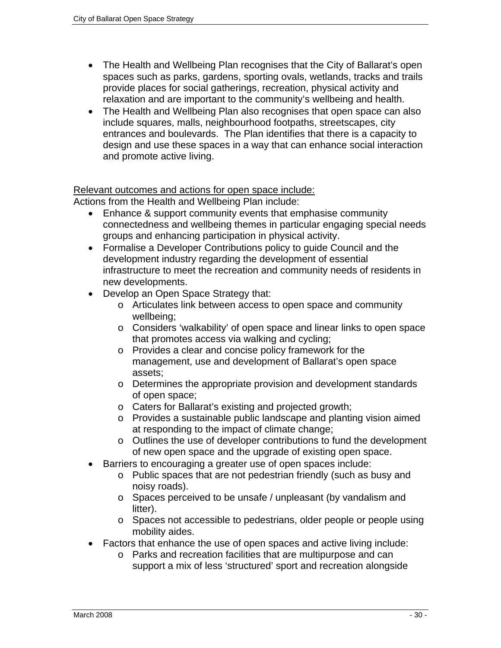- The Health and Wellbeing Plan recognises that the City of Ballarat's open spaces such as parks, gardens, sporting ovals, wetlands, tracks and trails provide places for social gatherings, recreation, physical activity and relaxation and are important to the community's wellbeing and health.
- The Health and Wellbeing Plan also recognises that open space can also include squares, malls, neighbourhood footpaths, streetscapes, city entrances and boulevards. The Plan identifies that there is a capacity to design and use these spaces in a way that can enhance social interaction and promote active living.

Actions from the Health and Wellbeing Plan include:

- Enhance & support community events that emphasise community connectedness and wellbeing themes in particular engaging special needs groups and enhancing participation in physical activity.
- Formalise a Developer Contributions policy to guide Council and the development industry regarding the development of essential infrastructure to meet the recreation and community needs of residents in new developments.
- Develop an Open Space Strategy that:
	- o Articulates link between access to open space and community wellbeing;
	- o Considers 'walkability' of open space and linear links to open space that promotes access via walking and cycling;
	- o Provides a clear and concise policy framework for the management, use and development of Ballarat's open space assets;
	- o Determines the appropriate provision and development standards of open space;
	- o Caters for Ballarat's existing and projected growth;
	- o Provides a sustainable public landscape and planting vision aimed at responding to the impact of climate change;
	- o Outlines the use of developer contributions to fund the development of new open space and the upgrade of existing open space.
- Barriers to encouraging a greater use of open spaces include:
	- o Public spaces that are not pedestrian friendly (such as busy and noisy roads).
	- o Spaces perceived to be unsafe / unpleasant (by vandalism and litter).
	- o Spaces not accessible to pedestrians, older people or people using mobility aides.
- Factors that enhance the use of open spaces and active living include:
	- o Parks and recreation facilities that are multipurpose and can support a mix of less 'structured' sport and recreation alongside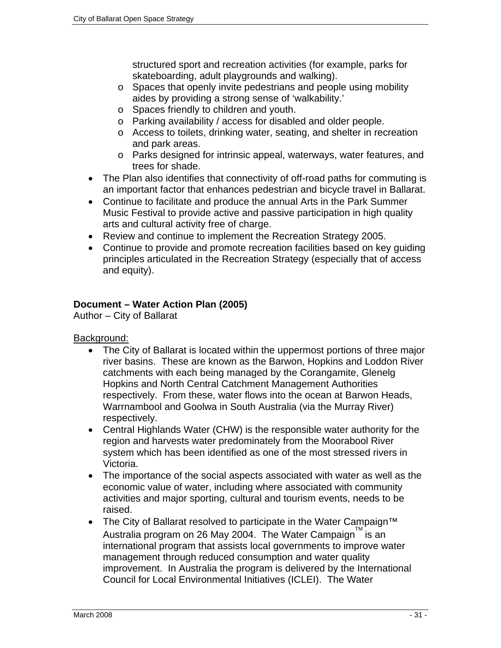structured sport and recreation activities (for example, parks for skateboarding, adult playgrounds and walking).

- o Spaces that openly invite pedestrians and people using mobility aides by providing a strong sense of 'walkability.'
- o Spaces friendly to children and youth.
- o Parking availability / access for disabled and older people.
- o Access to toilets, drinking water, seating, and shelter in recreation and park areas.
- o Parks designed for intrinsic appeal, waterways, water features, and trees for shade.
- The Plan also identifies that connectivity of off-road paths for commuting is an important factor that enhances pedestrian and bicycle travel in Ballarat.
- Continue to facilitate and produce the annual Arts in the Park Summer Music Festival to provide active and passive participation in high quality arts and cultural activity free of charge.
- Review and continue to implement the Recreation Strategy 2005.
- Continue to provide and promote recreation facilities based on key guiding principles articulated in the Recreation Strategy (especially that of access and equity).

## **Document – Water Action Plan (2005)**

Author – City of Ballarat

Background:

- The City of Ballarat is located within the uppermost portions of three major river basins. These are known as the Barwon, Hopkins and Loddon River catchments with each being managed by the Corangamite, Glenelg Hopkins and North Central Catchment Management Authorities respectively. From these, water flows into the ocean at Barwon Heads, Warrnambool and Goolwa in South Australia (via the Murray River) respectively.
- Central Highlands Water (CHW) is the responsible water authority for the region and harvests water predominately from the Moorabool River system which has been identified as one of the most stressed rivers in Victoria.
- The importance of the social aspects associated with water as well as the economic value of water, including where associated with community activities and major sporting, cultural and tourism events, needs to be raised.
- The City of Ballarat resolved to participate in the Water Campaign<sup>™</sup> Australia program on 26 May 2004. The Water Campaign™ is an international program that assists local governments to improve water management through reduced consumption and water quality improvement. In Australia the program is delivered by the International Council for Local Environmental Initiatives (ICLEI). The Water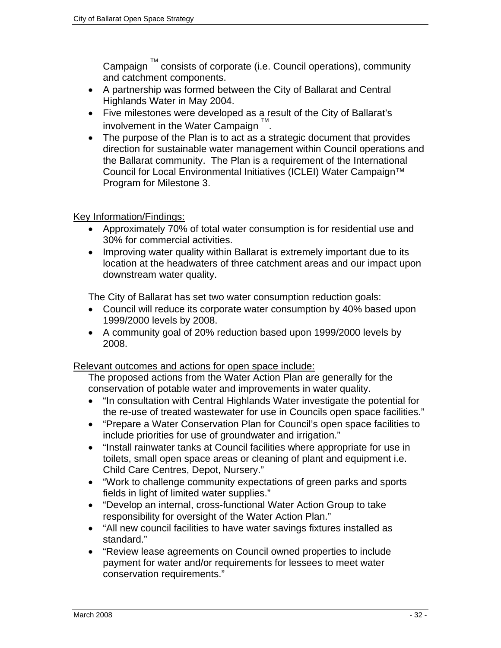Campaign  $\mathbb{I}^M$  consists of corporate (i.e. Council operations), community and catchment components.

- A partnership was formed between the City of Ballarat and Central Highlands Water in May 2004.
- Five milestones were developed as a result of the City of Ballarat's involvement in the Water Campaign  $\mathbb{I}^M$ .
- The purpose of the Plan is to act as a strategic document that provides direction for sustainable water management within Council operations and the Ballarat community. The Plan is a requirement of the International Council for Local Environmental Initiatives (ICLEI) Water Campaign™ Program for Milestone 3.

## Key Information/Findings:

- Approximately 70% of total water consumption is for residential use and 30% for commercial activities.
- Improving water quality within Ballarat is extremely important due to its location at the headwaters of three catchment areas and our impact upon downstream water quality.

The City of Ballarat has set two water consumption reduction goals:

- Council will reduce its corporate water consumption by 40% based upon 1999/2000 levels by 2008.
- A community goal of 20% reduction based upon 1999/2000 levels by 2008.

Relevant outcomes and actions for open space include:

The proposed actions from the Water Action Plan are generally for the conservation of potable water and improvements in water quality.

- "In consultation with Central Highlands Water investigate the potential for the re-use of treated wastewater for use in Councils open space facilities."
- "Prepare a Water Conservation Plan for Council's open space facilities to include priorities for use of groundwater and irrigation."
- "Install rainwater tanks at Council facilities where appropriate for use in toilets, small open space areas or cleaning of plant and equipment i.e. Child Care Centres, Depot, Nursery."
- "Work to challenge community expectations of green parks and sports fields in light of limited water supplies."
- "Develop an internal, cross-functional Water Action Group to take responsibility for oversight of the Water Action Plan."
- "All new council facilities to have water savings fixtures installed as standard."
- "Review lease agreements on Council owned properties to include payment for water and/or requirements for lessees to meet water conservation requirements."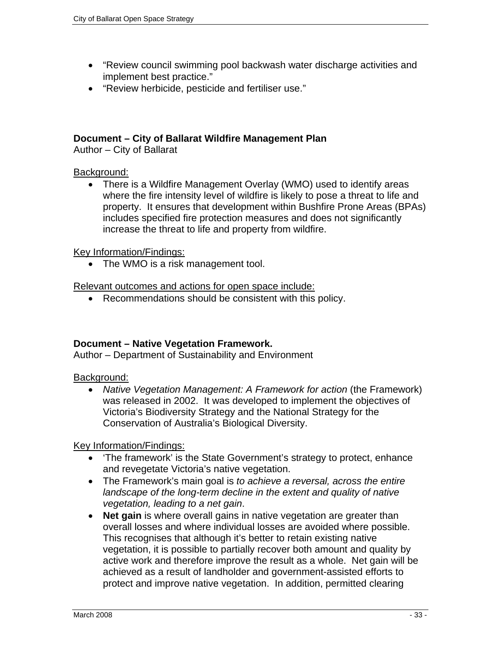- "Review council swimming pool backwash water discharge activities and implement best practice."
- "Review herbicide, pesticide and fertiliser use."

#### **Document – City of Ballarat Wildfire Management Plan**

Author – City of Ballarat

#### Background:

• There is a Wildfire Management Overlay (WMO) used to identify areas where the fire intensity level of wildfire is likely to pose a threat to life and property. It ensures that development within Bushfire Prone Areas (BPAs) includes specified fire protection measures and does not significantly increase the threat to life and property from wildfire.

#### Key Information/Findings:

• The WMO is a risk management tool.

Relevant outcomes and actions for open space include:

• Recommendations should be consistent with this policy.

#### **Document – Native Vegetation Framework.**

Author – Department of Sustainability and Environment

#### Background:

• *Native Vegetation Management: A Framework for action* (the Framework) was released in 2002. It was developed to implement the objectives of Victoria's Biodiversity Strategy and the National Strategy for the Conservation of Australia's Biological Diversity.

- 'The framework' is the State Government's strategy to protect, enhance and revegetate Victoria's native vegetation.
- The Framework's main goal is *to achieve a reversal, across the entire*  landscape of the long-term decline in the extent and quality of native *vegetation, leading to a net gain*.
- **Net gain** is where overall gains in native vegetation are greater than overall losses and where individual losses are avoided where possible. This recognises that although it's better to retain existing native vegetation, it is possible to partially recover both amount and quality by active work and therefore improve the result as a whole. Net gain will be achieved as a result of landholder and government-assisted efforts to protect and improve native vegetation. In addition, permitted clearing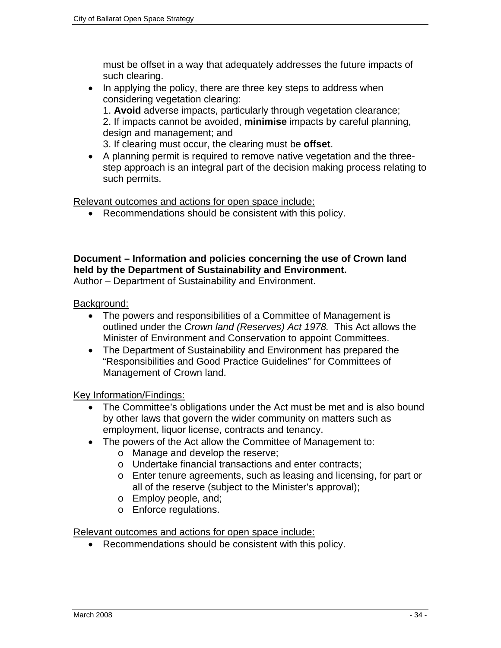must be offset in a way that adequately addresses the future impacts of such clearing.

• In applying the policy, there are three key steps to address when considering vegetation clearing:

1. **Avoid** adverse impacts, particularly through vegetation clearance; 2. If impacts cannot be avoided, **minimise** impacts by careful planning, design and management; and

3. If clearing must occur, the clearing must be **offset**.

• A planning permit is required to remove native vegetation and the threestep approach is an integral part of the decision making process relating to such permits.

Relevant outcomes and actions for open space include:

• Recommendations should be consistent with this policy.

## **Document – Information and policies concerning the use of Crown land held by the Department of Sustainability and Environment.**

Author – Department of Sustainability and Environment.

Background:

- The powers and responsibilities of a Committee of Management is outlined under the *Crown land (Reserves) Act 1978.* This Act allows the Minister of Environment and Conservation to appoint Committees.
- The Department of Sustainability and Environment has prepared the "Responsibilities and Good Practice Guidelines" for Committees of Management of Crown land.

Key Information/Findings:

- The Committee's obligations under the Act must be met and is also bound by other laws that govern the wider community on matters such as employment, liquor license, contracts and tenancy.
- The powers of the Act allow the Committee of Management to:
	- o Manage and develop the reserve;
	- o Undertake financial transactions and enter contracts;
	- o Enter tenure agreements, such as leasing and licensing, for part or all of the reserve (subject to the Minister's approval);
	- o Employ people, and;
	- o Enforce regulations.

Relevant outcomes and actions for open space include:

• Recommendations should be consistent with this policy.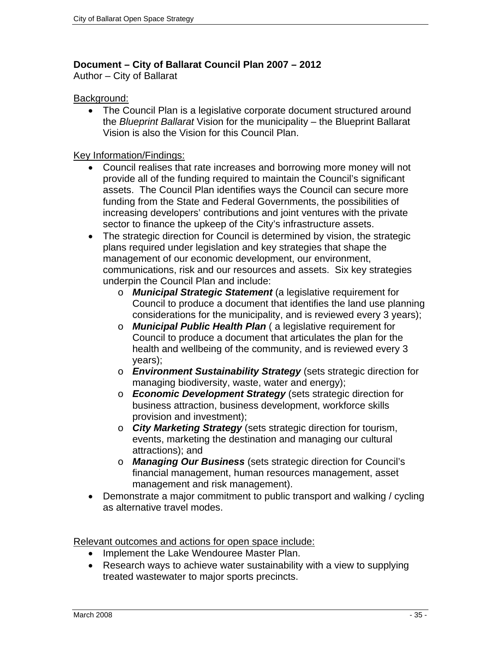## **Document – City of Ballarat Council Plan 2007 – 2012**

Author – City of Ballarat

#### Background:

• The Council Plan is a legislative corporate document structured around the *Blueprint Ballarat* Vision for the municipality – the Blueprint Ballarat Vision is also the Vision for this Council Plan.

#### Key Information/Findings:

- Council realises that rate increases and borrowing more money will not provide all of the funding required to maintain the Council's significant assets. The Council Plan identifies ways the Council can secure more funding from the State and Federal Governments, the possibilities of increasing developers' contributions and joint ventures with the private sector to finance the upkeep of the City's infrastructure assets.
- The strategic direction for Council is determined by vision, the strategic plans required under legislation and key strategies that shape the management of our economic development, our environment, communications, risk and our resources and assets. Six key strategies underpin the Council Plan and include:
	- o *Municipal Strategic Statement* (a legislative requirement for Council to produce a document that identifies the land use planning considerations for the municipality, and is reviewed every 3 years);
	- o *Municipal Public Health Plan* ( a legislative requirement for Council to produce a document that articulates the plan for the health and wellbeing of the community, and is reviewed every 3 years);
	- o *Environment Sustainability Strategy* (sets strategic direction for managing biodiversity, waste, water and energy);
	- o *Economic Development Strategy* (sets strategic direction for business attraction, business development, workforce skills provision and investment);
	- o *City Marketing Strategy* (sets strategic direction for tourism, events, marketing the destination and managing our cultural attractions); and
	- o *Managing Our Business* (sets strategic direction for Council's financial management, human resources management, asset management and risk management).
- Demonstrate a major commitment to public transport and walking / cycling as alternative travel modes.

Relevant outcomes and actions for open space include:

- Implement the Lake Wendouree Master Plan.
- Research ways to achieve water sustainability with a view to supplying treated wastewater to major sports precincts.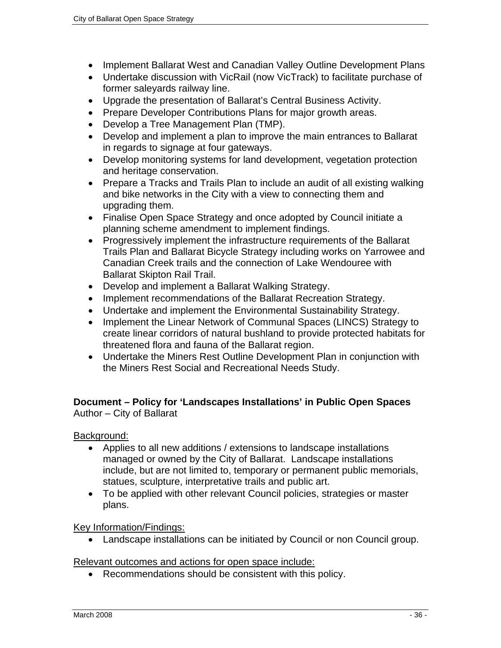- Implement Ballarat West and Canadian Valley Outline Development Plans
- Undertake discussion with VicRail (now VicTrack) to facilitate purchase of former saleyards railway line.
- Upgrade the presentation of Ballarat's Central Business Activity.
- Prepare Developer Contributions Plans for major growth areas.
- Develop a Tree Management Plan (TMP).
- Develop and implement a plan to improve the main entrances to Ballarat in regards to signage at four gateways.
- Develop monitoring systems for land development, vegetation protection and heritage conservation.
- Prepare a Tracks and Trails Plan to include an audit of all existing walking and bike networks in the City with a view to connecting them and upgrading them.
- Finalise Open Space Strategy and once adopted by Council initiate a planning scheme amendment to implement findings.
- Progressively implement the infrastructure requirements of the Ballarat Trails Plan and Ballarat Bicycle Strategy including works on Yarrowee and Canadian Creek trails and the connection of Lake Wendouree with Ballarat Skipton Rail Trail.
- Develop and implement a Ballarat Walking Strategy.
- Implement recommendations of the Ballarat Recreation Strategy.
- Undertake and implement the Environmental Sustainability Strategy.
- Implement the Linear Network of Communal Spaces (LINCS) Strategy to create linear corridors of natural bushland to provide protected habitats for threatened flora and fauna of the Ballarat region.
- Undertake the Miners Rest Outline Development Plan in conjunction with the Miners Rest Social and Recreational Needs Study.

#### **Document – Policy for 'Landscapes Installations' in Public Open Spaces**  Author – City of Ballarat

Background:

- Applies to all new additions / extensions to landscape installations managed or owned by the City of Ballarat. Landscape installations include, but are not limited to, temporary or permanent public memorials, statues, sculpture, interpretative trails and public art.
- To be applied with other relevant Council policies, strategies or master plans.

Key Information/Findings:

• Landscape installations can be initiated by Council or non Council group.

Relevant outcomes and actions for open space include:

• Recommendations should be consistent with this policy.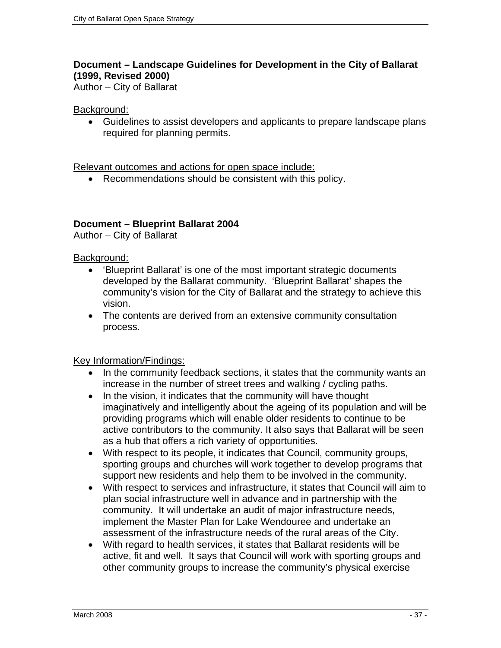#### **Document – Landscape Guidelines for Development in the City of Ballarat (1999, Revised 2000)**

Author – City of Ballarat

#### Background:

• Guidelines to assist developers and applicants to prepare landscape plans required for planning permits.

Relevant outcomes and actions for open space include:

• Recommendations should be consistent with this policy.

## **Document – Blueprint Ballarat 2004**

Author – City of Ballarat

#### Background:

- 'Blueprint Ballarat' is one of the most important strategic documents developed by the Ballarat community. 'Blueprint Ballarat' shapes the community's vision for the City of Ballarat and the strategy to achieve this vision.
- The contents are derived from an extensive community consultation process.

Key Information/Findings:

- In the community feedback sections, it states that the community wants an increase in the number of street trees and walking / cycling paths.
- In the vision, it indicates that the community will have thought imaginatively and intelligently about the ageing of its population and will be providing programs which will enable older residents to continue to be active contributors to the community. It also says that Ballarat will be seen as a hub that offers a rich variety of opportunities.
- With respect to its people, it indicates that Council, community groups, sporting groups and churches will work together to develop programs that support new residents and help them to be involved in the community.
- With respect to services and infrastructure, it states that Council will aim to plan social infrastructure well in advance and in partnership with the community. It will undertake an audit of major infrastructure needs, implement the Master Plan for Lake Wendouree and undertake an assessment of the infrastructure needs of the rural areas of the City.
- With regard to health services, it states that Ballarat residents will be active, fit and well. It says that Council will work with sporting groups and other community groups to increase the community's physical exercise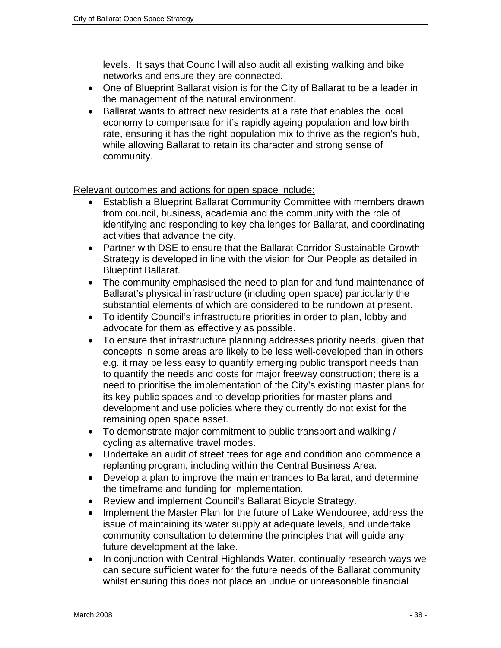levels. It says that Council will also audit all existing walking and bike networks and ensure they are connected.

- One of Blueprint Ballarat vision is for the City of Ballarat to be a leader in the management of the natural environment.
- Ballarat wants to attract new residents at a rate that enables the local economy to compensate for it's rapidly ageing population and low birth rate, ensuring it has the right population mix to thrive as the region's hub, while allowing Ballarat to retain its character and strong sense of community.

Relevant outcomes and actions for open space include:

- Establish a Blueprint Ballarat Community Committee with members drawn from council, business, academia and the community with the role of identifying and responding to key challenges for Ballarat, and coordinating activities that advance the city.
- Partner with DSE to ensure that the Ballarat Corridor Sustainable Growth Strategy is developed in line with the vision for Our People as detailed in Blueprint Ballarat.
- The community emphasised the need to plan for and fund maintenance of Ballarat's physical infrastructure (including open space) particularly the substantial elements of which are considered to be rundown at present.
- To identify Council's infrastructure priorities in order to plan, lobby and advocate for them as effectively as possible.
- To ensure that infrastructure planning addresses priority needs, given that concepts in some areas are likely to be less well-developed than in others e.g. it may be less easy to quantify emerging public transport needs than to quantify the needs and costs for major freeway construction; there is a need to prioritise the implementation of the City's existing master plans for its key public spaces and to develop priorities for master plans and development and use policies where they currently do not exist for the remaining open space asset.
- To demonstrate major commitment to public transport and walking / cycling as alternative travel modes.
- Undertake an audit of street trees for age and condition and commence a replanting program, including within the Central Business Area.
- Develop a plan to improve the main entrances to Ballarat, and determine the timeframe and funding for implementation.
- Review and implement Council's Ballarat Bicycle Strategy.
- Implement the Master Plan for the future of Lake Wendouree, address the issue of maintaining its water supply at adequate levels, and undertake community consultation to determine the principles that will guide any future development at the lake.
- In conjunction with Central Highlands Water, continually research ways we can secure sufficient water for the future needs of the Ballarat community whilst ensuring this does not place an undue or unreasonable financial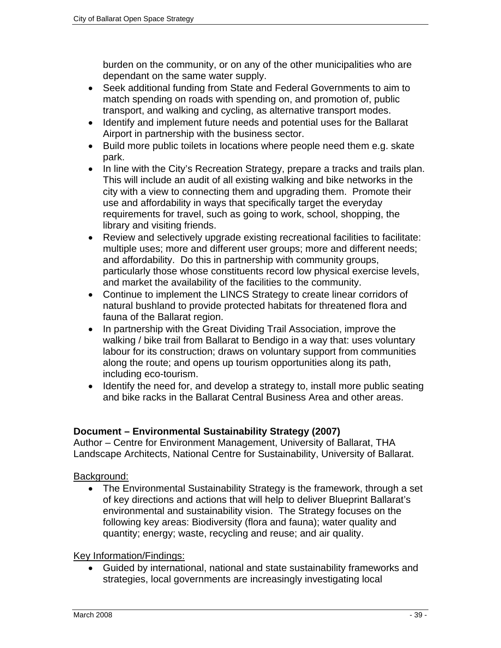burden on the community, or on any of the other municipalities who are dependant on the same water supply.

- Seek additional funding from State and Federal Governments to aim to match spending on roads with spending on, and promotion of, public transport, and walking and cycling, as alternative transport modes.
- Identify and implement future needs and potential uses for the Ballarat Airport in partnership with the business sector.
- Build more public toilets in locations where people need them e.g. skate park.
- In line with the City's Recreation Strategy, prepare a tracks and trails plan. This will include an audit of all existing walking and bike networks in the city with a view to connecting them and upgrading them. Promote their use and affordability in ways that specifically target the everyday requirements for travel, such as going to work, school, shopping, the library and visiting friends.
- Review and selectively upgrade existing recreational facilities to facilitate: multiple uses; more and different user groups; more and different needs; and affordability. Do this in partnership with community groups, particularly those whose constituents record low physical exercise levels, and market the availability of the facilities to the community.
- Continue to implement the LINCS Strategy to create linear corridors of natural bushland to provide protected habitats for threatened flora and fauna of the Ballarat region.
- In partnership with the Great Dividing Trail Association, improve the walking / bike trail from Ballarat to Bendigo in a way that: uses voluntary labour for its construction; draws on voluntary support from communities along the route; and opens up tourism opportunities along its path, including eco-tourism.
- Identify the need for, and develop a strategy to, install more public seating and bike racks in the Ballarat Central Business Area and other areas.

## **Document – Environmental Sustainability Strategy (2007)**

Author – Centre for Environment Management, University of Ballarat, THA Landscape Architects, National Centre for Sustainability, University of Ballarat.

## Background:

• The Environmental Sustainability Strategy is the framework, through a set of key directions and actions that will help to deliver Blueprint Ballarat's environmental and sustainability vision. The Strategy focuses on the following key areas: Biodiversity (flora and fauna); water quality and quantity; energy; waste, recycling and reuse; and air quality.

Key Information/Findings:

• Guided by international, national and state sustainability frameworks and strategies, local governments are increasingly investigating local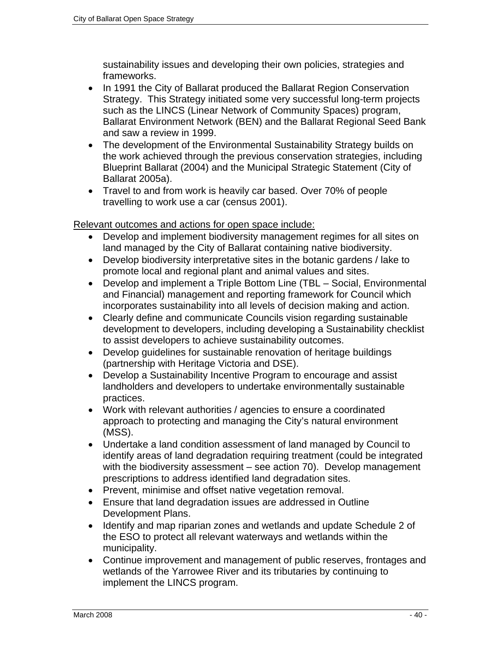sustainability issues and developing their own policies, strategies and frameworks.

- In 1991 the City of Ballarat produced the Ballarat Region Conservation Strategy. This Strategy initiated some very successful long-term projects such as the LINCS (Linear Network of Community Spaces) program, Ballarat Environment Network (BEN) and the Ballarat Regional Seed Bank and saw a review in 1999.
- The development of the Environmental Sustainability Strategy builds on the work achieved through the previous conservation strategies, including Blueprint Ballarat (2004) and the Municipal Strategic Statement (City of Ballarat 2005a).
- Travel to and from work is heavily car based. Over 70% of people travelling to work use a car (census 2001).

Relevant outcomes and actions for open space include:

- Develop and implement biodiversity management regimes for all sites on land managed by the City of Ballarat containing native biodiversity.
- Develop biodiversity interpretative sites in the botanic gardens / lake to promote local and regional plant and animal values and sites.
- Develop and implement a Triple Bottom Line (TBL Social, Environmental and Financial) management and reporting framework for Council which incorporates sustainability into all levels of decision making and action.
- Clearly define and communicate Councils vision regarding sustainable development to developers, including developing a Sustainability checklist to assist developers to achieve sustainability outcomes.
- Develop guidelines for sustainable renovation of heritage buildings (partnership with Heritage Victoria and DSE).
- Develop a Sustainability Incentive Program to encourage and assist landholders and developers to undertake environmentally sustainable practices.
- Work with relevant authorities / agencies to ensure a coordinated approach to protecting and managing the City's natural environment (MSS).
- Undertake a land condition assessment of land managed by Council to identify areas of land degradation requiring treatment (could be integrated with the biodiversity assessment – see action 70). Develop management prescriptions to address identified land degradation sites.
- Prevent, minimise and offset native vegetation removal.
- Ensure that land degradation issues are addressed in Outline Development Plans.
- Identify and map riparian zones and wetlands and update Schedule 2 of the ESO to protect all relevant waterways and wetlands within the municipality.
- Continue improvement and management of public reserves, frontages and wetlands of the Yarrowee River and its tributaries by continuing to implement the LINCS program.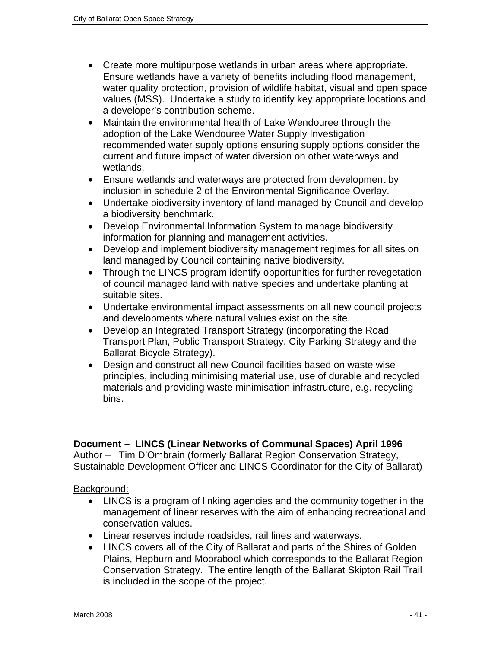- Create more multipurpose wetlands in urban areas where appropriate. Ensure wetlands have a variety of benefits including flood management, water quality protection, provision of wildlife habitat, visual and open space values (MSS). Undertake a study to identify key appropriate locations and a developer's contribution scheme.
- Maintain the environmental health of Lake Wendouree through the adoption of the Lake Wendouree Water Supply Investigation recommended water supply options ensuring supply options consider the current and future impact of water diversion on other waterways and wetlands.
- Ensure wetlands and waterways are protected from development by inclusion in schedule 2 of the Environmental Significance Overlay.
- Undertake biodiversity inventory of land managed by Council and develop a biodiversity benchmark.
- Develop Environmental Information System to manage biodiversity information for planning and management activities.
- Develop and implement biodiversity management regimes for all sites on land managed by Council containing native biodiversity.
- Through the LINCS program identify opportunities for further revegetation of council managed land with native species and undertake planting at suitable sites.
- Undertake environmental impact assessments on all new council projects and developments where natural values exist on the site.
- Develop an Integrated Transport Strategy (incorporating the Road Transport Plan, Public Transport Strategy, City Parking Strategy and the Ballarat Bicycle Strategy).
- Design and construct all new Council facilities based on waste wise principles, including minimising material use, use of durable and recycled materials and providing waste minimisation infrastructure, e.g. recycling bins.

## **Document – LINCS (Linear Networks of Communal Spaces) April 1996**

Author – Tim D'Ombrain (formerly Ballarat Region Conservation Strategy, Sustainable Development Officer and LINCS Coordinator for the City of Ballarat)

#### Background:

- LINCS is a program of linking agencies and the community together in the management of linear reserves with the aim of enhancing recreational and conservation values.
- Linear reserves include roadsides, rail lines and waterways.
- LINCS covers all of the City of Ballarat and parts of the Shires of Golden Plains, Hepburn and Moorabool which corresponds to the Ballarat Region Conservation Strategy. The entire length of the Ballarat Skipton Rail Trail is included in the scope of the project.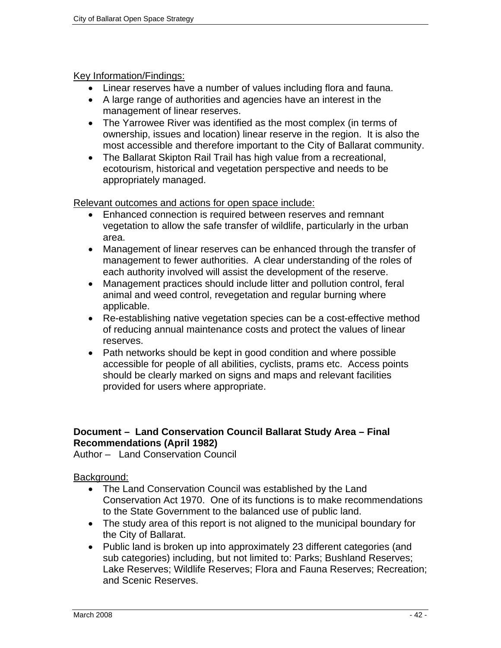## Key Information/Findings:

- Linear reserves have a number of values including flora and fauna.
- A large range of authorities and agencies have an interest in the management of linear reserves.
- The Yarrowee River was identified as the most complex (in terms of ownership, issues and location) linear reserve in the region. It is also the most accessible and therefore important to the City of Ballarat community.
- The Ballarat Skipton Rail Trail has high value from a recreational, ecotourism, historical and vegetation perspective and needs to be appropriately managed.

Relevant outcomes and actions for open space include:

- Enhanced connection is required between reserves and remnant vegetation to allow the safe transfer of wildlife, particularly in the urban area.
- Management of linear reserves can be enhanced through the transfer of management to fewer authorities. A clear understanding of the roles of each authority involved will assist the development of the reserve.
- Management practices should include litter and pollution control, feral animal and weed control, revegetation and regular burning where applicable.
- Re-establishing native vegetation species can be a cost-effective method of reducing annual maintenance costs and protect the values of linear reserves.
- Path networks should be kept in good condition and where possible accessible for people of all abilities, cyclists, prams etc. Access points should be clearly marked on signs and maps and relevant facilities provided for users where appropriate.

## **Document – Land Conservation Council Ballarat Study Area – Final Recommendations (April 1982)**

Author – Land Conservation Council

#### Background:

- The Land Conservation Council was established by the Land Conservation Act 1970. One of its functions is to make recommendations to the State Government to the balanced use of public land.
- The study area of this report is not aligned to the municipal boundary for the City of Ballarat.
- Public land is broken up into approximately 23 different categories (and sub categories) including, but not limited to: Parks; Bushland Reserves; Lake Reserves; Wildlife Reserves; Flora and Fauna Reserves; Recreation; and Scenic Reserves.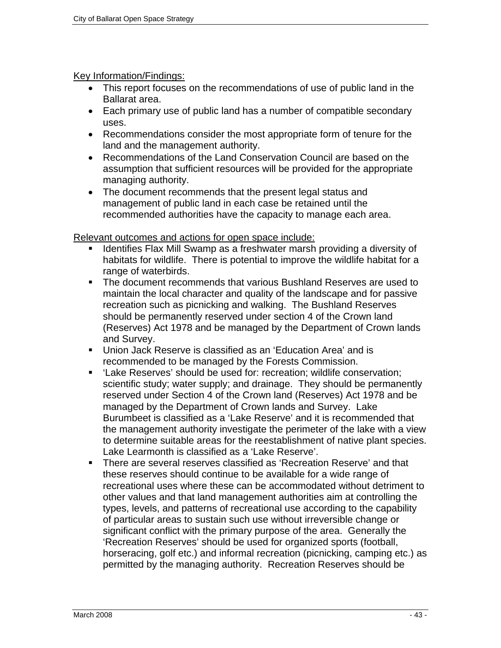#### Key Information/Findings:

- This report focuses on the recommendations of use of public land in the Ballarat area.
- Each primary use of public land has a number of compatible secondary uses.
- Recommendations consider the most appropriate form of tenure for the land and the management authority.
- Recommendations of the Land Conservation Council are based on the assumption that sufficient resources will be provided for the appropriate managing authority.
- The document recommends that the present legal status and management of public land in each case be retained until the recommended authorities have the capacity to manage each area.

#### Relevant outcomes and actions for open space include:

- Identifies Flax Mill Swamp as a freshwater marsh providing a diversity of habitats for wildlife. There is potential to improve the wildlife habitat for a range of waterbirds.
- The document recommends that various Bushland Reserves are used to maintain the local character and quality of the landscape and for passive recreation such as picnicking and walking. The Bushland Reserves should be permanently reserved under section 4 of the Crown land (Reserves) Act 1978 and be managed by the Department of Crown lands and Survey.
- Union Jack Reserve is classified as an 'Education Area' and is recommended to be managed by the Forests Commission.
- 'Lake Reserves' should be used for: recreation; wildlife conservation; scientific study; water supply; and drainage. They should be permanently reserved under Section 4 of the Crown land (Reserves) Act 1978 and be managed by the Department of Crown lands and Survey. Lake Burumbeet is classified as a 'Lake Reserve' and it is recommended that the management authority investigate the perimeter of the lake with a view to determine suitable areas for the reestablishment of native plant species. Lake Learmonth is classified as a 'Lake Reserve'.
- There are several reserves classified as 'Recreation Reserve' and that these reserves should continue to be available for a wide range of recreational uses where these can be accommodated without detriment to other values and that land management authorities aim at controlling the types, levels, and patterns of recreational use according to the capability of particular areas to sustain such use without irreversible change or significant conflict with the primary purpose of the area. Generally the 'Recreation Reserves' should be used for organized sports (football, horseracing, golf etc.) and informal recreation (picnicking, camping etc.) as permitted by the managing authority. Recreation Reserves should be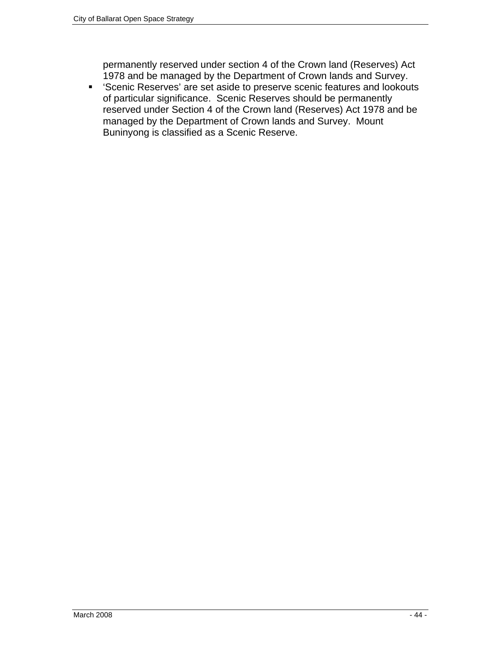permanently reserved under section 4 of the Crown land (Reserves) Act 1978 and be managed by the Department of Crown lands and Survey.

 'Scenic Reserves' are set aside to preserve scenic features and lookouts of particular significance. Scenic Reserves should be permanently reserved under Section 4 of the Crown land (Reserves) Act 1978 and be managed by the Department of Crown lands and Survey. Mount Buninyong is classified as a Scenic Reserve.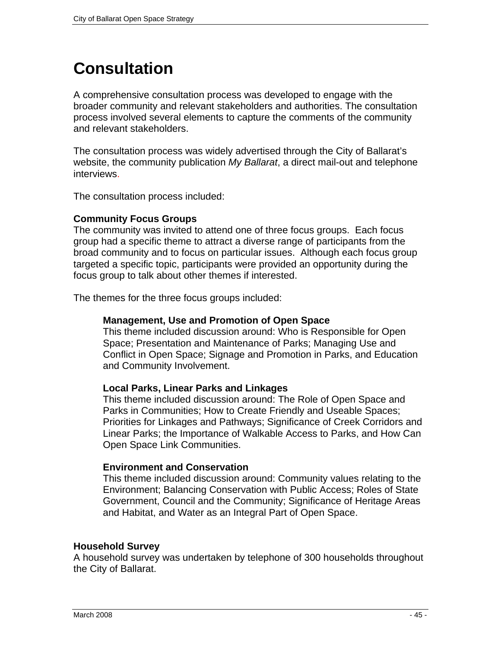# **Consultation**

A comprehensive consultation process was developed to engage with the broader community and relevant stakeholders and authorities. The consultation process involved several elements to capture the comments of the community and relevant stakeholders.

The consultation process was widely advertised through the City of Ballarat's website, the community publication *My Ballarat*, a direct mail-out and telephone interviews.

The consultation process included:

## **Community Focus Groups**

The community was invited to attend one of three focus groups. Each focus group had a specific theme to attract a diverse range of participants from the broad community and to focus on particular issues. Although each focus group targeted a specific topic, participants were provided an opportunity during the focus group to talk about other themes if interested.

The themes for the three focus groups included:

## **Management, Use and Promotion of Open Space**

This theme included discussion around: Who is Responsible for Open Space; Presentation and Maintenance of Parks; Managing Use and Conflict in Open Space; Signage and Promotion in Parks, and Education and Community Involvement.

#### **Local Parks, Linear Parks and Linkages**

This theme included discussion around: The Role of Open Space and Parks in Communities; How to Create Friendly and Useable Spaces; Priorities for Linkages and Pathways; Significance of Creek Corridors and Linear Parks; the Importance of Walkable Access to Parks, and How Can Open Space Link Communities.

#### **Environment and Conservation**

This theme included discussion around: Community values relating to the Environment; Balancing Conservation with Public Access; Roles of State Government, Council and the Community; Significance of Heritage Areas and Habitat, and Water as an Integral Part of Open Space.

#### **Household Survey**

A household survey was undertaken by telephone of 300 households throughout the City of Ballarat.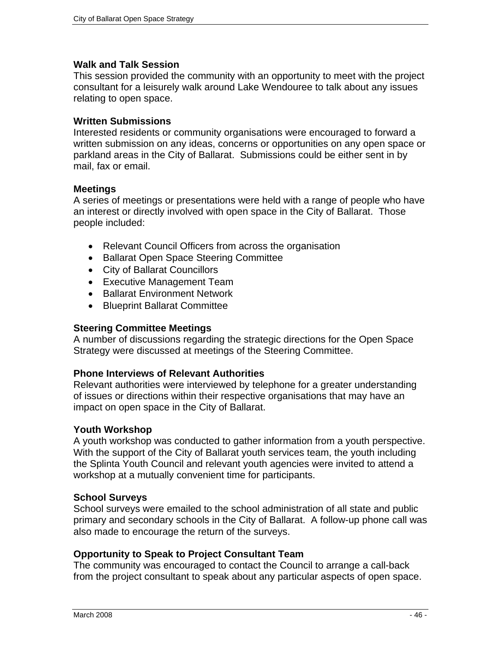#### **Walk and Talk Session**

This session provided the community with an opportunity to meet with the project consultant for a leisurely walk around Lake Wendouree to talk about any issues relating to open space.

#### **Written Submissions**

Interested residents or community organisations were encouraged to forward a written submission on any ideas, concerns or opportunities on any open space or parkland areas in the City of Ballarat. Submissions could be either sent in by mail, fax or email.

#### **Meetings**

A series of meetings or presentations were held with a range of people who have an interest or directly involved with open space in the City of Ballarat. Those people included:

- Relevant Council Officers from across the organisation
- Ballarat Open Space Steering Committee
- City of Ballarat Councillors
- Executive Management Team
- Ballarat Environment Network
- Blueprint Ballarat Committee

#### **Steering Committee Meetings**

A number of discussions regarding the strategic directions for the Open Space Strategy were discussed at meetings of the Steering Committee.

#### **Phone Interviews of Relevant Authorities**

Relevant authorities were interviewed by telephone for a greater understanding of issues or directions within their respective organisations that may have an impact on open space in the City of Ballarat.

#### **Youth Workshop**

A youth workshop was conducted to gather information from a youth perspective. With the support of the City of Ballarat youth services team, the youth including the Splinta Youth Council and relevant youth agencies were invited to attend a workshop at a mutually convenient time for participants.

#### **School Surveys**

School surveys were emailed to the school administration of all state and public primary and secondary schools in the City of Ballarat. A follow-up phone call was also made to encourage the return of the surveys.

#### **Opportunity to Speak to Project Consultant Team**

The community was encouraged to contact the Council to arrange a call-back from the project consultant to speak about any particular aspects of open space.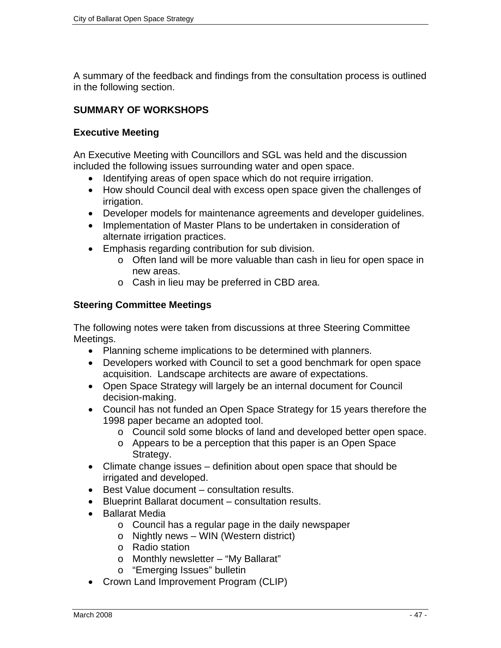A summary of the feedback and findings from the consultation process is outlined in the following section.

## **SUMMARY OF WORKSHOPS**

## **Executive Meeting**

An Executive Meeting with Councillors and SGL was held and the discussion included the following issues surrounding water and open space.

- Identifying areas of open space which do not require irrigation.
- How should Council deal with excess open space given the challenges of irrigation.
- Developer models for maintenance agreements and developer guidelines.
- Implementation of Master Plans to be undertaken in consideration of alternate irrigation practices.
- Emphasis regarding contribution for sub division.
	- o Often land will be more valuable than cash in lieu for open space in new areas.
	- o Cash in lieu may be preferred in CBD area.

## **Steering Committee Meetings**

The following notes were taken from discussions at three Steering Committee Meetings.

- Planning scheme implications to be determined with planners.
- Developers worked with Council to set a good benchmark for open space acquisition. Landscape architects are aware of expectations.
- Open Space Strategy will largely be an internal document for Council decision-making.
- Council has not funded an Open Space Strategy for 15 years therefore the 1998 paper became an adopted tool.
	- o Council sold some blocks of land and developed better open space.
	- o Appears to be a perception that this paper is an Open Space Strategy.
- Climate change issues definition about open space that should be irrigated and developed.
- Best Value document consultation results.
- Blueprint Ballarat document consultation results.
- Ballarat Media
	- o Council has a regular page in the daily newspaper
	- o Nightly news WIN (Western district)
	- o Radio station
	- o Monthly newsletter "My Ballarat"
	- o "Emerging Issues" bulletin
- Crown Land Improvement Program (CLIP)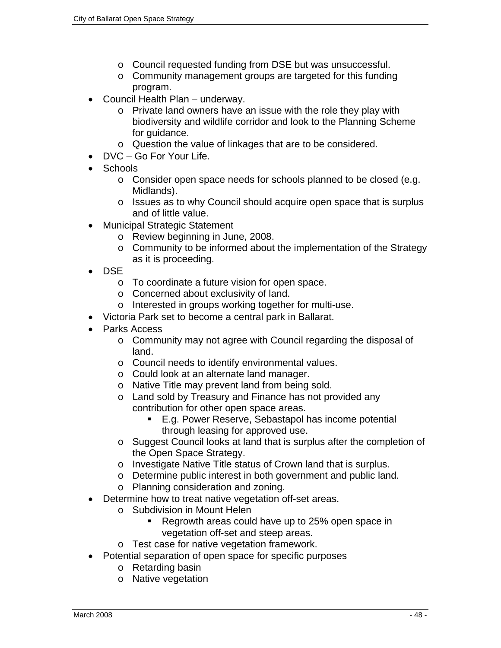- o Council requested funding from DSE but was unsuccessful.
- o Community management groups are targeted for this funding program.
- Council Health Plan underway.
	- o Private land owners have an issue with the role they play with biodiversity and wildlife corridor and look to the Planning Scheme for guidance.
	- o Question the value of linkages that are to be considered.
- DVC Go For Your Life.
- Schools
	- o Consider open space needs for schools planned to be closed (e.g. Midlands).
	- o Issues as to why Council should acquire open space that is surplus and of little value.
- Municipal Strategic Statement
	- o Review beginning in June, 2008.
	- o Community to be informed about the implementation of the Strategy as it is proceeding.
- DSE
	- o To coordinate a future vision for open space.
	- o Concerned about exclusivity of land.
	- o Interested in groups working together for multi-use.
- Victoria Park set to become a central park in Ballarat.
- Parks Access
	- o Community may not agree with Council regarding the disposal of land.
	- o Council needs to identify environmental values.
	- o Could look at an alternate land manager.
	- o Native Title may prevent land from being sold.
	- o Land sold by Treasury and Finance has not provided any contribution for other open space areas.
		- E.g. Power Reserve, Sebastapol has income potential through leasing for approved use.
	- o Suggest Council looks at land that is surplus after the completion of the Open Space Strategy.
	- o Investigate Native Title status of Crown land that is surplus.
	- o Determine public interest in both government and public land.
	- o Planning consideration and zoning.
- Determine how to treat native vegetation off-set areas.
	- o Subdivision in Mount Helen
		- Regrowth areas could have up to 25% open space in vegetation off-set and steep areas.
	- o Test case for native vegetation framework.
- Potential separation of open space for specific purposes
	- o Retarding basin
	- o Native vegetation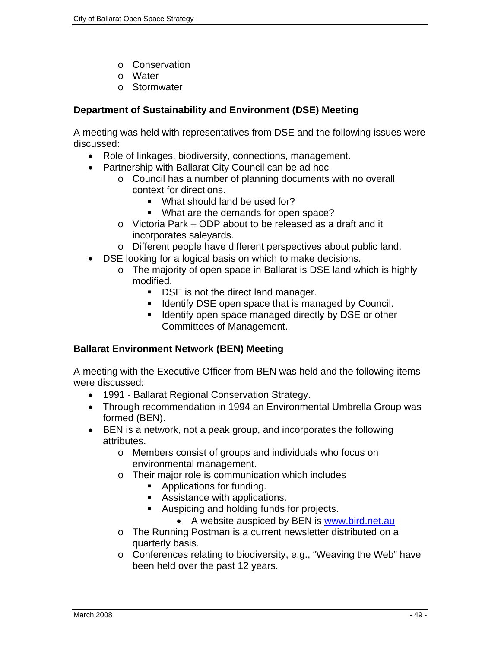- o Conservation
- o Water
- o Stormwater

## **Department of Sustainability and Environment (DSE) Meeting**

A meeting was held with representatives from DSE and the following issues were discussed:

- Role of linkages, biodiversity, connections, management.
- Partnership with Ballarat City Council can be ad hoc
	- o Council has a number of planning documents with no overall context for directions.
		- What should land be used for?
		- What are the demands for open space?
	- o Victoria Park ODP about to be released as a draft and it incorporates saleyards.
	- o Different people have different perspectives about public land.
- DSE looking for a logical basis on which to make decisions.
	- o The majority of open space in Ballarat is DSE land which is highly modified.
		- **DSE** is not the direct land manager.
		- **IDED IDEAT IS EXE** open space that is managed by Council.
		- **IDENTIFY OPER SPACE MANAGED MANAGER CONSTRANCE** or other Committees of Management.

## **Ballarat Environment Network (BEN) Meeting**

A meeting with the Executive Officer from BEN was held and the following items were discussed:

- 1991 Ballarat Regional Conservation Strategy.
- Through recommendation in 1994 an Environmental Umbrella Group was formed (BEN).
- BEN is a network, not a peak group, and incorporates the following attributes.
	- o Members consist of groups and individuals who focus on environmental management.
	- o Their major role is communication which includes
		- Applications for funding.
		- Assistance with applications.
		- Auspicing and holding funds for projects.
			- A website auspiced by BEN is www.bird.net.au
	- o The Running Postman is a current newsletter distributed on a quarterly basis.
	- o Conferences relating to biodiversity, e.g., "Weaving the Web" have been held over the past 12 years.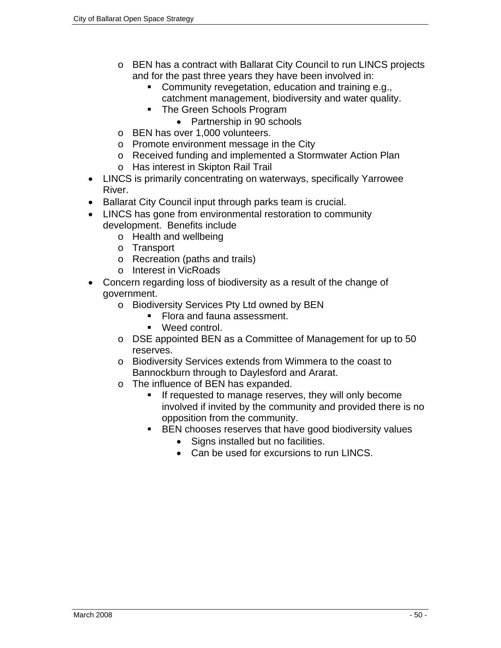- o BEN has a contract with Ballarat City Council to run LINCS projects and for the past three years they have been involved in:
	- **Community revegetation, education and training e.g.,** catchment management, biodiversity and water quality.
	- The Green Schools Program
		- Partnership in 90 schools
- o BEN has over 1,000 volunteers.
- o Promote environment message in the City
- o Received funding and implemented a Stormwater Action Plan
- o Has interest in Skipton Rail Trail
- LINCS is primarily concentrating on waterways, specifically Yarrowee River.
- Ballarat City Council input through parks team is crucial.
- LINCS has gone from environmental restoration to community development. Benefits include
	- o Health and wellbeing
	- o Transport
	- o Recreation (paths and trails)
	- o Interest in VicRoads
- Concern regarding loss of biodiversity as a result of the change of government.
	- o Biodiversity Services Pty Ltd owned by BEN
		- Flora and fauna assessment.
		- Weed control.
	- o DSE appointed BEN as a Committee of Management for up to 50 reserves.
	- o Biodiversity Services extends from Wimmera to the coast to Bannockburn through to Daylesford and Ararat.
	- o The influence of BEN has expanded.
		- **If requested to manage reserves, they will only become** involved if invited by the community and provided there is no opposition from the community.
		- BEN chooses reserves that have good biodiversity values
			- Signs installed but no facilities.
			- Can be used for excursions to run LINCS.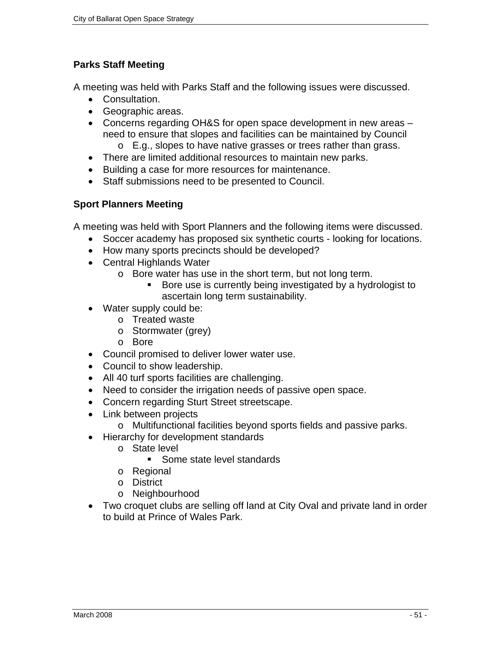## **Parks Staff Meeting**

A meeting was held with Parks Staff and the following issues were discussed.

- Consultation.
- Geographic areas.
- Concerns regarding OH&S for open space development in new areas need to ensure that slopes and facilities can be maintained by Council
	- o E.g., slopes to have native grasses or trees rather than grass.
- There are limited additional resources to maintain new parks.
- Building a case for more resources for maintenance.
- Staff submissions need to be presented to Council.

## **Sport Planners Meeting**

A meeting was held with Sport Planners and the following items were discussed.

- Soccer academy has proposed six synthetic courts looking for locations.
- How many sports precincts should be developed?
- Central Highlands Water
	- o Bore water has use in the short term, but not long term.
		- Bore use is currently being investigated by a hydrologist to ascertain long term sustainability.
- Water supply could be:
	- o Treated waste
	- o Stormwater (grey)
	- o Bore
- Council promised to deliver lower water use.
- Council to show leadership.
- All 40 turf sports facilities are challenging.
- Need to consider the irrigation needs of passive open space.
- Concern regarding Sturt Street streetscape.
- Link between projects
	- o Multifunctional facilities beyond sports fields and passive parks.
- Hierarchy for development standards
	- o State level
		- Some state level standards
	- o Regional
	- o District
	- o Neighbourhood
- Two croquet clubs are selling off land at City Oval and private land in order to build at Prince of Wales Park.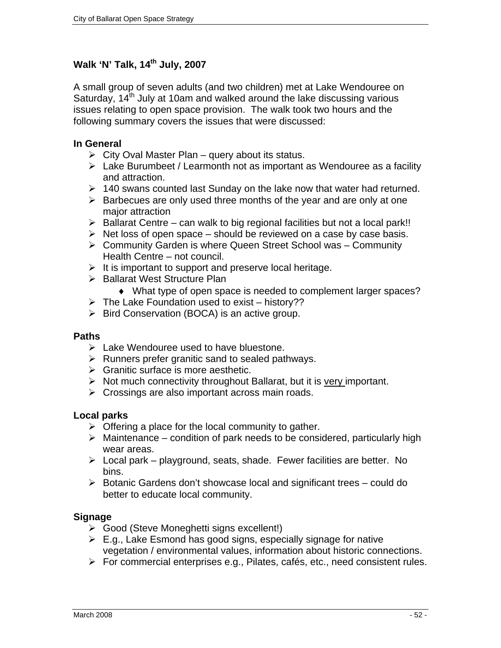## Walk 'N' Talk, 14<sup>th</sup> July, 2007

A small group of seven adults (and two children) met at Lake Wendouree on Saturday,  $14<sup>th</sup>$  July at 10am and walked around the lake discussing various issues relating to open space provision. The walk took two hours and the following summary covers the issues that were discussed:

#### **In General**

- $\triangleright$  City Oval Master Plan query about its status.
- $\triangleright$  Lake Burumbeet / Learmonth not as important as Wendouree as a facility and attraction.
- $\geq$  140 swans counted last Sunday on the lake now that water had returned.
- $\triangleright$  Barbecues are only used three months of the year and are only at one major attraction
- $\triangleright$  Ballarat Centre can walk to big regional facilities but not a local park!!
- $\triangleright$  Net loss of open space should be reviewed on a case by case basis.
- $\triangleright$  Community Garden is where Queen Street School was Community Health Centre – not council.
- $\triangleright$  It is important to support and preserve local heritage.
- ▶ Ballarat West Structure Plan
	- ♦ What type of open space is needed to complement larger spaces?
- $\triangleright$  The Lake Foundation used to exist history??
- $\triangleright$  Bird Conservation (BOCA) is an active group.

#### **Paths**

- $\triangleright$  Lake Wendouree used to have bluestone.
- $\triangleright$  Runners prefer granitic sand to sealed pathways.
- $\triangleright$  Granitic surface is more aesthetic.
- $\triangleright$  Not much connectivity throughout Ballarat, but it is very important.
- $\triangleright$  Crossings are also important across main roads.

#### **Local parks**

- $\triangleright$  Offering a place for the local community to gather.
- $\triangleright$  Maintenance condition of park needs to be considered, particularly high wear areas.
- $\triangleright$  Local park playground, seats, shade. Fewer facilities are better. No bins.
- $\triangleright$  Botanic Gardens don't showcase local and significant trees could do better to educate local community.

#### **Signage**

- ¾ Good (Steve Moneghetti signs excellent!)
- $\triangleright$  E.g., Lake Esmond has good signs, especially signage for native vegetation / environmental values, information about historic connections.
- ¾ For commercial enterprises e.g., Pilates, cafés, etc., need consistent rules.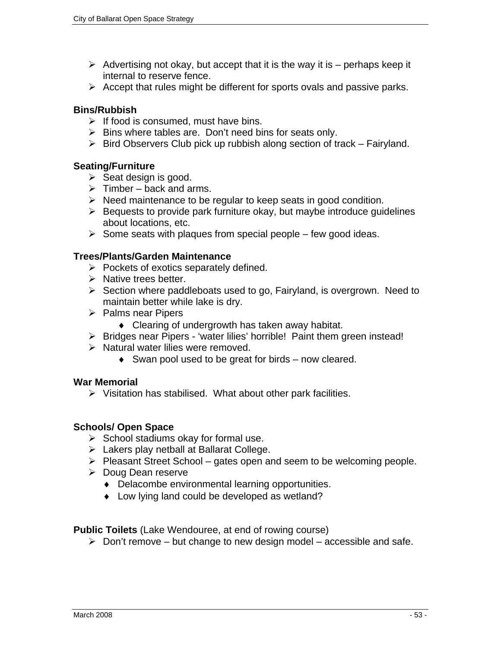- $\triangleright$  Advertising not okay, but accept that it is the way it is perhaps keep it internal to reserve fence.
- $\triangleright$  Accept that rules might be different for sports ovals and passive parks.

#### **Bins/Rubbish**

- $\triangleright$  If food is consumed, must have bins.
- $\triangleright$  Bins where tables are. Don't need bins for seats only.
- $\triangleright$  Bird Observers Club pick up rubbish along section of track Fairyland.

## **Seating/Furniture**

- $\triangleright$  Seat design is good.
- $\triangleright$  Timber back and arms.
- $\triangleright$  Need maintenance to be regular to keep seats in good condition.
- $\triangleright$  Bequests to provide park furniture okay, but maybe introduce quidelines about locations, etc.
- $\triangleright$  Some seats with plaques from special people few good ideas.

## **Trees/Plants/Garden Maintenance**

- $\triangleright$  Pockets of exotics separately defined.
- $\triangleright$  Native trees better.
- $\triangleright$  Section where paddleboats used to go, Fairyland, is overgrown. Need to maintain better while lake is dry.
- $\triangleright$  Palms near Pipers
	- ♦ Clearing of undergrowth has taken away habitat.
- ¾ Bridges near Pipers 'water lilies' horrible! Paint them green instead!
- $\triangleright$  Natural water lilies were removed.
	- $\bullet$  Swan pool used to be great for birds now cleared.

#### **War Memorial**

 $\triangleright$  Visitation has stabilised. What about other park facilities.

## **Schools/ Open Space**

- $\triangleright$  School stadiums okay for formal use.
- $\triangleright$  Lakers play netball at Ballarat College.
- $\triangleright$  Pleasant Street School gates open and seem to be welcoming people.
- ¾ Doug Dean reserve
	- ♦ Delacombe environmental learning opportunities.
	- ♦ Low lying land could be developed as wetland?

**Public Toilets** (Lake Wendouree, at end of rowing course)

 $\triangleright$  Don't remove – but change to new design model – accessible and safe.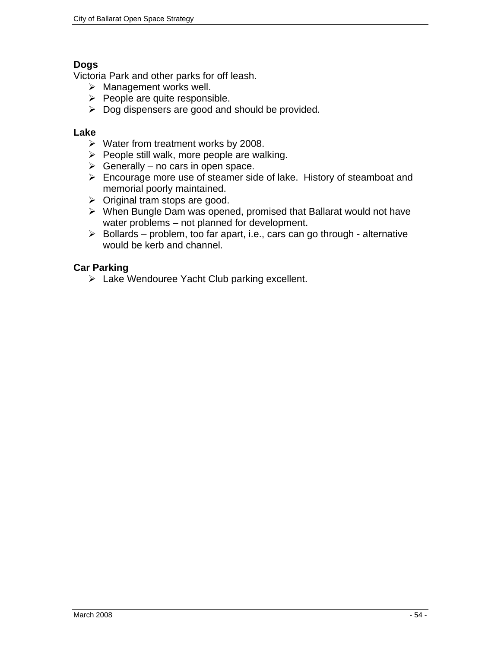## **Dogs**

Victoria Park and other parks for off leash.

- $\triangleright$  Management works well.
- $\triangleright$  People are quite responsible.
- $\triangleright$  Dog dispensers are good and should be provided.

#### **Lake**

- $\triangleright$  Water from treatment works by 2008.
- $\triangleright$  People still walk, more people are walking.
- $\triangleright$  Generally no cars in open space.
- $\triangleright$  Encourage more use of steamer side of lake. History of steamboat and memorial poorly maintained.
- $\triangleright$  Original tram stops are good.
- $\triangleright$  When Bungle Dam was opened, promised that Ballarat would not have water problems – not planned for development.
- $\triangleright$  Bollards problem, too far apart, i.e., cars can go through alternative would be kerb and channel.

## **Car Parking**

¾ Lake Wendouree Yacht Club parking excellent.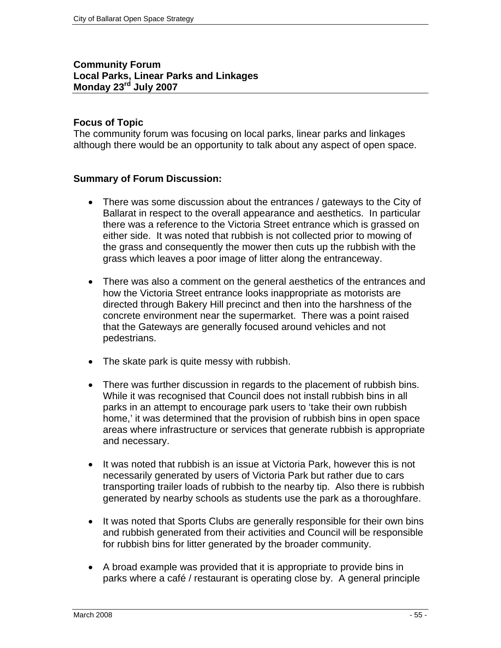#### **Community Forum Local Parks, Linear Parks and Linkages Monday 23rd July 2007**

#### **Focus of Topic**

The community forum was focusing on local parks, linear parks and linkages although there would be an opportunity to talk about any aspect of open space.

#### **Summary of Forum Discussion:**

- There was some discussion about the entrances / gateways to the City of Ballarat in respect to the overall appearance and aesthetics. In particular there was a reference to the Victoria Street entrance which is grassed on either side. It was noted that rubbish is not collected prior to mowing of the grass and consequently the mower then cuts up the rubbish with the grass which leaves a poor image of litter along the entranceway.
- There was also a comment on the general aesthetics of the entrances and how the Victoria Street entrance looks inappropriate as motorists are directed through Bakery Hill precinct and then into the harshness of the concrete environment near the supermarket. There was a point raised that the Gateways are generally focused around vehicles and not pedestrians.
- The skate park is quite messy with rubbish.
- There was further discussion in regards to the placement of rubbish bins. While it was recognised that Council does not install rubbish bins in all parks in an attempt to encourage park users to 'take their own rubbish home,' it was determined that the provision of rubbish bins in open space areas where infrastructure or services that generate rubbish is appropriate and necessary.
- It was noted that rubbish is an issue at Victoria Park, however this is not necessarily generated by users of Victoria Park but rather due to cars transporting trailer loads of rubbish to the nearby tip. Also there is rubbish generated by nearby schools as students use the park as a thoroughfare.
- It was noted that Sports Clubs are generally responsible for their own bins and rubbish generated from their activities and Council will be responsible for rubbish bins for litter generated by the broader community.
- A broad example was provided that it is appropriate to provide bins in parks where a café / restaurant is operating close by. A general principle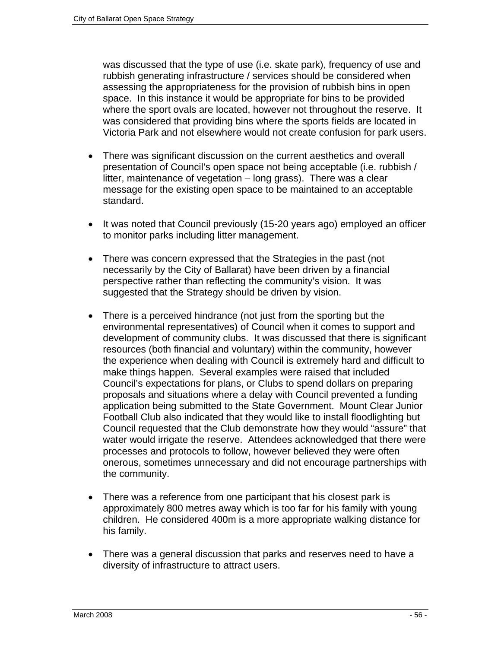was discussed that the type of use (i.e. skate park), frequency of use and rubbish generating infrastructure / services should be considered when assessing the appropriateness for the provision of rubbish bins in open space. In this instance it would be appropriate for bins to be provided where the sport ovals are located, however not throughout the reserve. It was considered that providing bins where the sports fields are located in Victoria Park and not elsewhere would not create confusion for park users.

- There was significant discussion on the current aesthetics and overall presentation of Council's open space not being acceptable (i.e. rubbish / litter, maintenance of vegetation – long grass). There was a clear message for the existing open space to be maintained to an acceptable standard.
- It was noted that Council previously (15-20 years ago) employed an officer to monitor parks including litter management.
- There was concern expressed that the Strategies in the past (not necessarily by the City of Ballarat) have been driven by a financial perspective rather than reflecting the community's vision. It was suggested that the Strategy should be driven by vision.
- There is a perceived hindrance (not just from the sporting but the environmental representatives) of Council when it comes to support and development of community clubs. It was discussed that there is significant resources (both financial and voluntary) within the community, however the experience when dealing with Council is extremely hard and difficult to make things happen. Several examples were raised that included Council's expectations for plans, or Clubs to spend dollars on preparing proposals and situations where a delay with Council prevented a funding application being submitted to the State Government. Mount Clear Junior Football Club also indicated that they would like to install floodlighting but Council requested that the Club demonstrate how they would "assure" that water would irrigate the reserve. Attendees acknowledged that there were processes and protocols to follow, however believed they were often onerous, sometimes unnecessary and did not encourage partnerships with the community.
- There was a reference from one participant that his closest park is approximately 800 metres away which is too far for his family with young children. He considered 400m is a more appropriate walking distance for his family.
- There was a general discussion that parks and reserves need to have a diversity of infrastructure to attract users.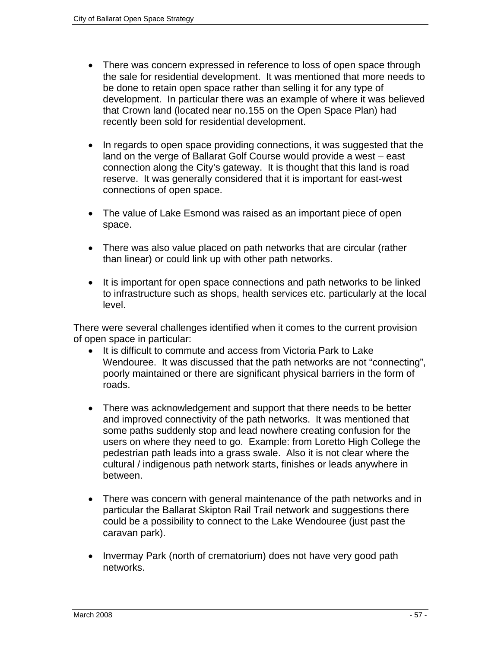- There was concern expressed in reference to loss of open space through the sale for residential development. It was mentioned that more needs to be done to retain open space rather than selling it for any type of development. In particular there was an example of where it was believed that Crown land (located near no.155 on the Open Space Plan) had recently been sold for residential development.
- In regards to open space providing connections, it was suggested that the land on the verge of Ballarat Golf Course would provide a west – east connection along the City's gateway. It is thought that this land is road reserve. It was generally considered that it is important for east-west connections of open space.
- The value of Lake Esmond was raised as an important piece of open space.
- There was also value placed on path networks that are circular (rather than linear) or could link up with other path networks.
- It is important for open space connections and path networks to be linked to infrastructure such as shops, health services etc. particularly at the local level.

There were several challenges identified when it comes to the current provision of open space in particular:

- It is difficult to commute and access from Victoria Park to Lake Wendouree. It was discussed that the path networks are not "connecting", poorly maintained or there are significant physical barriers in the form of roads.
- There was acknowledgement and support that there needs to be better and improved connectivity of the path networks. It was mentioned that some paths suddenly stop and lead nowhere creating confusion for the users on where they need to go. Example: from Loretto High College the pedestrian path leads into a grass swale. Also it is not clear where the cultural / indigenous path network starts, finishes or leads anywhere in between.
- There was concern with general maintenance of the path networks and in particular the Ballarat Skipton Rail Trail network and suggestions there could be a possibility to connect to the Lake Wendouree (just past the caravan park).
- Invermay Park (north of crematorium) does not have very good path networks.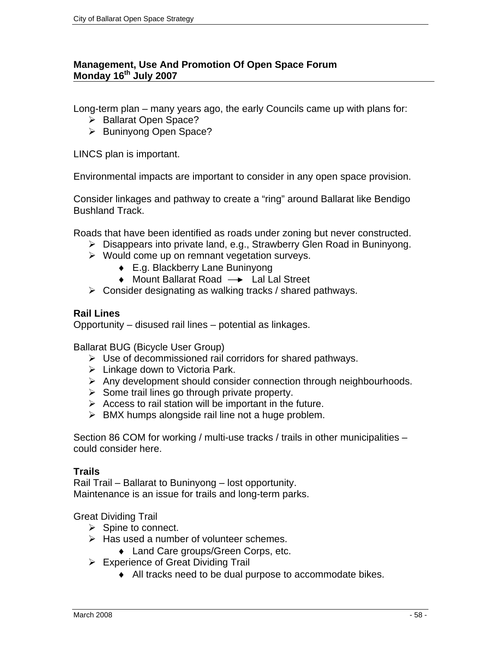## **Management, Use And Promotion Of Open Space Forum Monday 16th July 2007**

Long-term plan – many years ago, the early Councils came up with plans for:

- ¾ Ballarat Open Space?
- ¾ Buninyong Open Space?

LINCS plan is important.

Environmental impacts are important to consider in any open space provision.

Consider linkages and pathway to create a "ring" around Ballarat like Bendigo Bushland Track.

Roads that have been identified as roads under zoning but never constructed.

- ¾ Disappears into private land, e.g., Strawberry Glen Road in Buninyong.
- $\triangleright$  Would come up on remnant vegetation surveys.
	- ♦ E.g. Blackberry Lane Buninyong
	- $\triangleleft$  Mount Ballarat Road  $\rightarrow$  Lal Lal Street
- $\triangleright$  Consider designating as walking tracks / shared pathways.

#### **Rail Lines**

Opportunity – disused rail lines – potential as linkages.

Ballarat BUG (Bicycle User Group)

- $\triangleright$  Use of decommissioned rail corridors for shared pathways.
- $\triangleright$  Linkage down to Victoria Park.
- $\triangleright$  Any development should consider connection through neighbourhoods.
- $\triangleright$  Some trail lines go through private property.
- $\triangleright$  Access to rail station will be important in the future.
- $\triangleright$  BMX humps alongside rail line not a huge problem.

Section 86 COM for working / multi-use tracks / trails in other municipalities – could consider here.

#### **Trails**

Rail Trail – Ballarat to Buninyong – lost opportunity. Maintenance is an issue for trails and long-term parks.

Great Dividing Trail

- $\triangleright$  Spine to connect.
- $\triangleright$  Has used a number of volunteer schemes.
	- ♦ Land Care groups/Green Corps, etc.
- $\triangleright$  Experience of Great Dividing Trail
	- ♦ All tracks need to be dual purpose to accommodate bikes.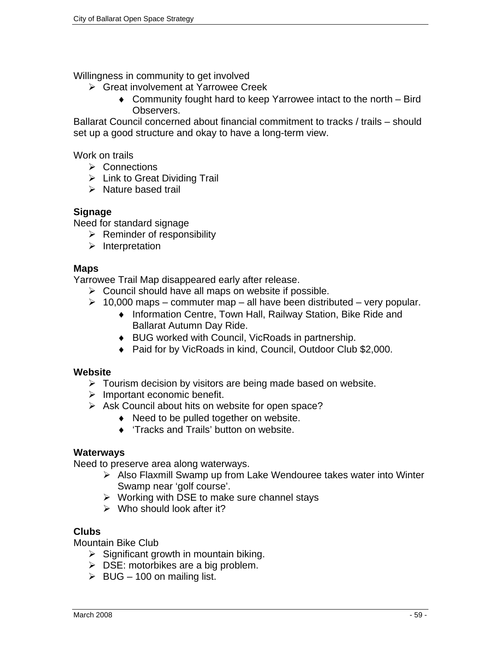Willingness in community to get involved

- ¾ Great involvement at Yarrowee Creek
	- ♦ Community fought hard to keep Yarrowee intact to the north Bird Observers.

Ballarat Council concerned about financial commitment to tracks / trails – should set up a good structure and okay to have a long-term view.

Work on trails

- ¾ Connections
- $\triangleright$  Link to Great Dividing Trail
- $\triangleright$  Nature based trail

#### **Signage**

Need for standard signage

- $\triangleright$  Reminder of responsibility
- $\triangleright$  Interpretation

#### **Maps**

Yarrowee Trail Map disappeared early after release.

- $\triangleright$  Council should have all maps on website if possible.
- $\geq 10,000$  maps commuter map all have been distributed very popular.
	- ♦ Information Centre, Town Hall, Railway Station, Bike Ride and Ballarat Autumn Day Ride.
	- ♦ BUG worked with Council, VicRoads in partnership.
	- ♦ Paid for by VicRoads in kind, Council, Outdoor Club \$2,000.

#### **Website**

- $\triangleright$  Tourism decision by visitors are being made based on website.
- $\triangleright$  Important economic benefit.
- $\triangleright$  Ask Council about hits on website for open space?
	- ♦ Need to be pulled together on website.
	- ♦ 'Tracks and Trails' button on website.

#### **Waterways**

Need to preserve area along waterways.

- ¾ Also Flaxmill Swamp up from Lake Wendouree takes water into Winter Swamp near 'golf course'.
- $\triangleright$  Working with DSE to make sure channel stays
- $\triangleright$  Who should look after it?

#### **Clubs**

Mountain Bike Club

- $\triangleright$  Significant growth in mountain biking.
- $\triangleright$  DSE: motorbikes are a big problem.
- $\triangleright$  BUG 100 on mailing list.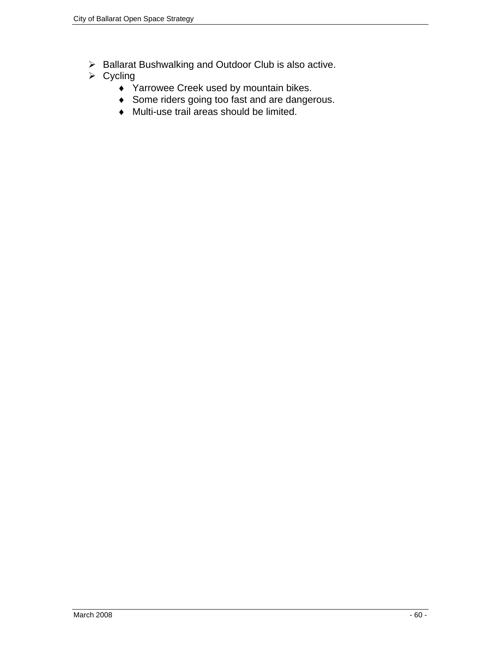- ¾ Ballarat Bushwalking and Outdoor Club is also active.
- $\triangleright$  Cycling
	- ♦ Yarrowee Creek used by mountain bikes.
	- ♦ Some riders going too fast and are dangerous.
	- ♦ Multi-use trail areas should be limited.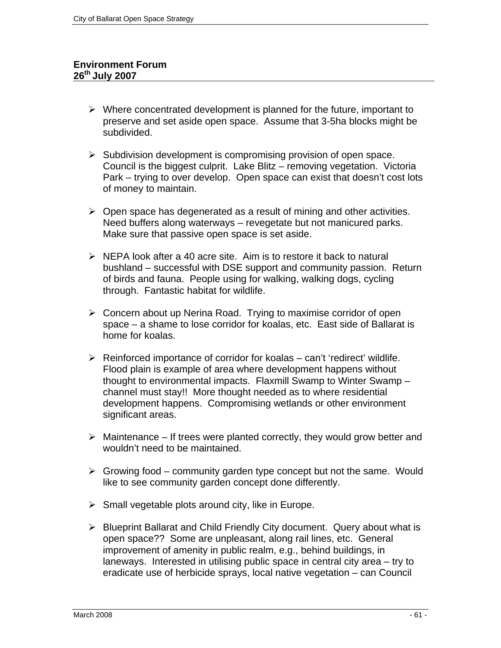#### **Environment Forum 26th July 2007**

- $\triangleright$  Where concentrated development is planned for the future, important to preserve and set aside open space. Assume that 3-5ha blocks might be subdivided.
- $\triangleright$  Subdivision development is compromising provision of open space. Council is the biggest culprit. Lake Blitz – removing vegetation. Victoria Park – trying to over develop. Open space can exist that doesn't cost lots of money to maintain.
- $\triangleright$  Open space has degenerated as a result of mining and other activities. Need buffers along waterways – revegetate but not manicured parks. Make sure that passive open space is set aside.
- $\triangleright$  NEPA look after a 40 acre site. Aim is to restore it back to natural bushland – successful with DSE support and community passion. Return of birds and fauna. People using for walking, walking dogs, cycling through. Fantastic habitat for wildlife.
- $\triangleright$  Concern about up Nerina Road. Trying to maximise corridor of open space – a shame to lose corridor for koalas, etc. East side of Ballarat is home for koalas.
- $\triangleright$  Reinforced importance of corridor for koalas can't 'redirect' wildlife. Flood plain is example of area where development happens without thought to environmental impacts. Flaxmill Swamp to Winter Swamp – channel must stay!! More thought needed as to where residential development happens. Compromising wetlands or other environment significant areas.
- $\triangleright$  Maintenance If trees were planted correctly, they would grow better and wouldn't need to be maintained.
- $\triangleright$  Growing food community garden type concept but not the same. Would like to see community garden concept done differently.
- $\triangleright$  Small vegetable plots around city, like in Europe.
- ¾ Blueprint Ballarat and Child Friendly City document. Query about what is open space?? Some are unpleasant, along rail lines, etc. General improvement of amenity in public realm, e.g., behind buildings, in laneways. Interested in utilising public space in central city area – try to eradicate use of herbicide sprays, local native vegetation – can Council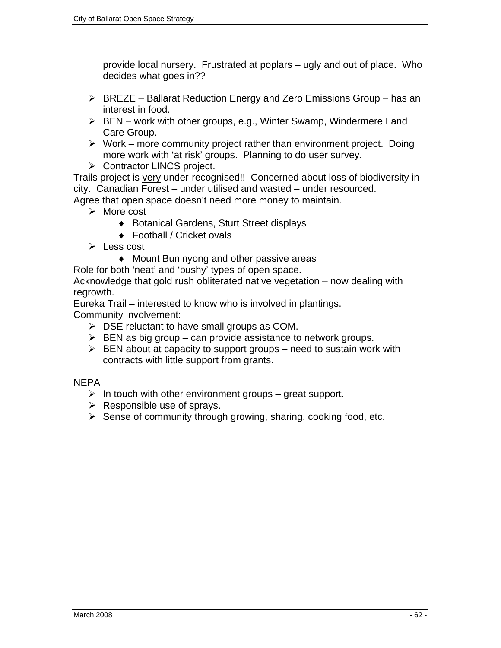provide local nursery. Frustrated at poplars – ugly and out of place. Who decides what goes in??

- $\triangleright$  BREZE Ballarat Reduction Energy and Zero Emissions Group has an interest in food.
- $\triangleright$  BEN work with other groups, e.g., Winter Swamp, Windermere Land Care Group.
- $\triangleright$  Work more community project rather than environment project. Doing more work with 'at risk' groups. Planning to do user survey.
- ¾ Contractor LINCS project.

Trails project is very under-recognised!! Concerned about loss of biodiversity in city. Canadian Forest – under utilised and wasted – under resourced.

Agree that open space doesn't need more money to maintain.

- $\triangleright$  More cost
	- ♦ Botanical Gardens, Sturt Street displays
	- ♦ Football / Cricket ovals
- $\triangleright$  Less cost
	- ♦ Mount Buninyong and other passive areas

Role for both 'neat' and 'bushy' types of open space.

Acknowledge that gold rush obliterated native vegetation – now dealing with regrowth.

Eureka Trail – interested to know who is involved in plantings.

Community involvement:

- $\triangleright$  DSE reluctant to have small groups as COM.
- $\triangleright$  BEN as big group can provide assistance to network groups.
- $\triangleright$  BEN about at capacity to support groups need to sustain work with contracts with little support from grants.

**NEPA** 

- $\triangleright$  In touch with other environment groups great support.
- $\triangleright$  Responsible use of sprays.
- $\triangleright$  Sense of community through growing, sharing, cooking food, etc.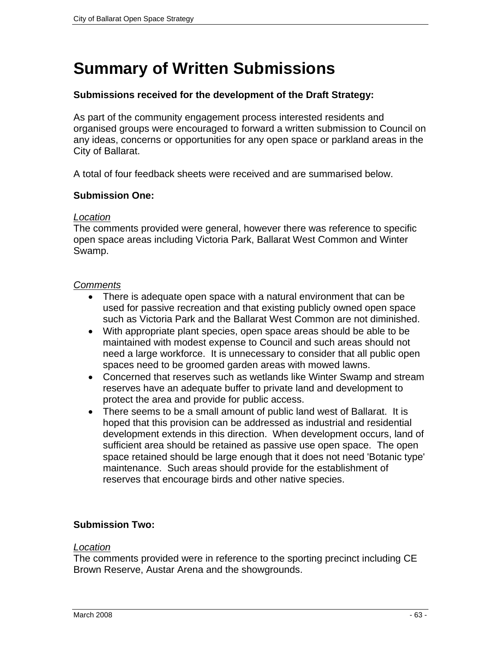## **Summary of Written Submissions**

#### **Submissions received for the development of the Draft Strategy:**

As part of the community engagement process interested residents and organised groups were encouraged to forward a written submission to Council on any ideas, concerns or opportunities for any open space or parkland areas in the City of Ballarat.

A total of four feedback sheets were received and are summarised below.

#### **Submission One:**

#### *Location*

The comments provided were general, however there was reference to specific open space areas including Victoria Park, Ballarat West Common and Winter Swamp.

#### *Comments*

- There is adequate open space with a natural environment that can be used for passive recreation and that existing publicly owned open space such as Victoria Park and the Ballarat West Common are not diminished.
- With appropriate plant species, open space areas should be able to be maintained with modest expense to Council and such areas should not need a large workforce. It is unnecessary to consider that all public open spaces need to be groomed garden areas with mowed lawns.
- Concerned that reserves such as wetlands like Winter Swamp and stream reserves have an adequate buffer to private land and development to protect the area and provide for public access.
- There seems to be a small amount of public land west of Ballarat. It is hoped that this provision can be addressed as industrial and residential development extends in this direction. When development occurs, land of sufficient area should be retained as passive use open space. The open space retained should be large enough that it does not need 'Botanic type' maintenance. Such areas should provide for the establishment of reserves that encourage birds and other native species.

#### **Submission Two:**

#### *Location*

The comments provided were in reference to the sporting precinct including CE Brown Reserve, Austar Arena and the showgrounds.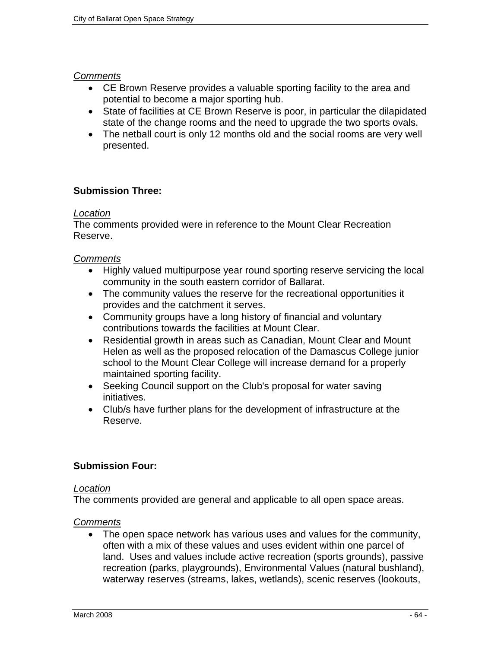#### *Comments*

- CE Brown Reserve provides a valuable sporting facility to the area and potential to become a major sporting hub.
- State of facilities at CE Brown Reserve is poor, in particular the dilapidated state of the change rooms and the need to upgrade the two sports ovals.
- The netball court is only 12 months old and the social rooms are very well presented.

## **Submission Three:**

#### *Location*

The comments provided were in reference to the Mount Clear Recreation Reserve.

## *Comments*

- Highly valued multipurpose year round sporting reserve servicing the local community in the south eastern corridor of Ballarat.
- The community values the reserve for the recreational opportunities it provides and the catchment it serves.
- Community groups have a long history of financial and voluntary contributions towards the facilities at Mount Clear.
- Residential growth in areas such as Canadian, Mount Clear and Mount Helen as well as the proposed relocation of the Damascus College junior school to the Mount Clear College will increase demand for a properly maintained sporting facility.
- Seeking Council support on the Club's proposal for water saving initiatives.
- Club/s have further plans for the development of infrastructure at the Reserve.

#### **Submission Four:**

#### *Location*

The comments provided are general and applicable to all open space areas.

#### *Comments*

• The open space network has various uses and values for the community, often with a mix of these values and uses evident within one parcel of land. Uses and values include active recreation (sports grounds), passive recreation (parks, playgrounds), Environmental Values (natural bushland), waterway reserves (streams, lakes, wetlands), scenic reserves (lookouts,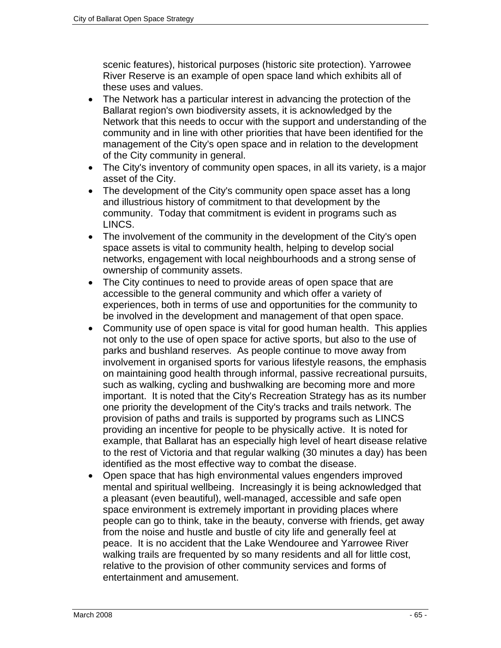scenic features), historical purposes (historic site protection). Yarrowee River Reserve is an example of open space land which exhibits all of these uses and values.

- The Network has a particular interest in advancing the protection of the Ballarat region's own biodiversity assets, it is acknowledged by the Network that this needs to occur with the support and understanding of the community and in line with other priorities that have been identified for the management of the City's open space and in relation to the development of the City community in general.
- The City's inventory of community open spaces, in all its variety, is a major asset of the City.
- The development of the City's community open space asset has a long and illustrious history of commitment to that development by the community. Today that commitment is evident in programs such as LINCS.
- The involvement of the community in the development of the City's open space assets is vital to community health, helping to develop social networks, engagement with local neighbourhoods and a strong sense of ownership of community assets.
- The City continues to need to provide areas of open space that are accessible to the general community and which offer a variety of experiences, both in terms of use and opportunities for the community to be involved in the development and management of that open space.
- Community use of open space is vital for good human health. This applies not only to the use of open space for active sports, but also to the use of parks and bushland reserves. As people continue to move away from involvement in organised sports for various lifestyle reasons, the emphasis on maintaining good health through informal, passive recreational pursuits, such as walking, cycling and bushwalking are becoming more and more important. It is noted that the City's Recreation Strategy has as its number one priority the development of the City's tracks and trails network. The provision of paths and trails is supported by programs such as LINCS providing an incentive for people to be physically active. It is noted for example, that Ballarat has an especially high level of heart disease relative to the rest of Victoria and that regular walking (30 minutes a day) has been identified as the most effective way to combat the disease.
- Open space that has high environmental values engenders improved mental and spiritual wellbeing. Increasingly it is being acknowledged that a pleasant (even beautiful), well-managed, accessible and safe open space environment is extremely important in providing places where people can go to think, take in the beauty, converse with friends, get away from the noise and hustle and bustle of city life and generally feel at peace. It is no accident that the Lake Wendouree and Yarrowee River walking trails are frequented by so many residents and all for little cost, relative to the provision of other community services and forms of entertainment and amusement.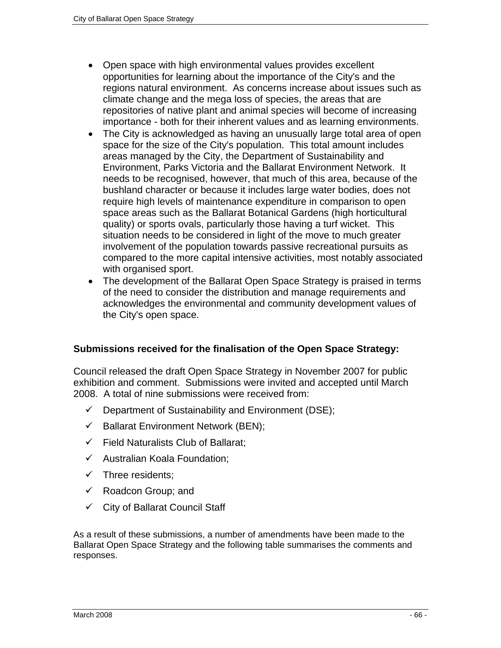- Open space with high environmental values provides excellent opportunities for learning about the importance of the City's and the regions natural environment. As concerns increase about issues such as climate change and the mega loss of species, the areas that are repositories of native plant and animal species will become of increasing importance - both for their inherent values and as learning environments.
- The City is acknowledged as having an unusually large total area of open space for the size of the City's population. This total amount includes areas managed by the City, the Department of Sustainability and Environment, Parks Victoria and the Ballarat Environment Network. It needs to be recognised, however, that much of this area, because of the bushland character or because it includes large water bodies, does not require high levels of maintenance expenditure in comparison to open space areas such as the Ballarat Botanical Gardens (high horticultural quality) or sports ovals, particularly those having a turf wicket. This situation needs to be considered in light of the move to much greater involvement of the population towards passive recreational pursuits as compared to the more capital intensive activities, most notably associated with organised sport.
- The development of the Ballarat Open Space Strategy is praised in terms of the need to consider the distribution and manage requirements and acknowledges the environmental and community development values of the City's open space.

## **Submissions received for the finalisation of the Open Space Strategy:**

Council released the draft Open Space Strategy in November 2007 for public exhibition and comment. Submissions were invited and accepted until March 2008. A total of nine submissions were received from:

- $\checkmark$  Department of Sustainability and Environment (DSE);
- $\checkmark$  Ballarat Environment Network (BEN);
- $\checkmark$  Field Naturalists Club of Ballarat:
- $\checkmark$  Australian Koala Foundation;
- $\checkmark$  Three residents;
- $\checkmark$  Roadcon Group; and
- $\checkmark$  City of Ballarat Council Staff

As a result of these submissions, a number of amendments have been made to the Ballarat Open Space Strategy and the following table summarises the comments and responses.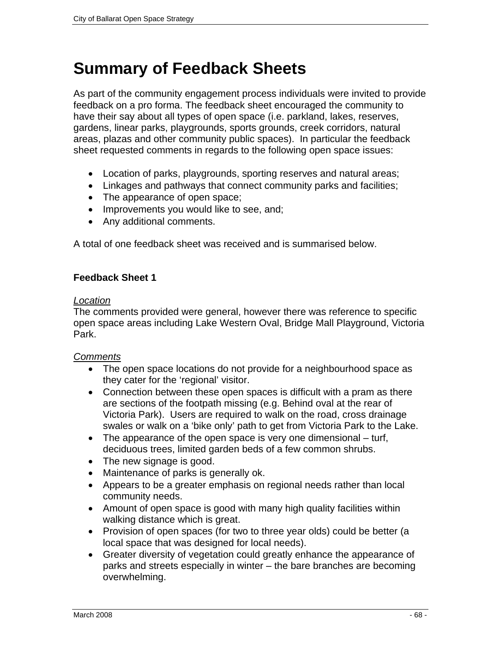## **Summary of Feedback Sheets**

As part of the community engagement process individuals were invited to provide feedback on a pro forma. The feedback sheet encouraged the community to have their say about all types of open space (i.e. parkland, lakes, reserves, gardens, linear parks, playgrounds, sports grounds, creek corridors, natural areas, plazas and other community public spaces). In particular the feedback sheet requested comments in regards to the following open space issues:

- Location of parks, playgrounds, sporting reserves and natural areas;
- Linkages and pathways that connect community parks and facilities;
- The appearance of open space;
- Improvements you would like to see, and;
- Any additional comments.

A total of one feedback sheet was received and is summarised below.

#### **Feedback Sheet 1**

#### *Location*

The comments provided were general, however there was reference to specific open space areas including Lake Western Oval, Bridge Mall Playground, Victoria Park.

#### *Comments*

- The open space locations do not provide for a neighbourhood space as they cater for the 'regional' visitor.
- Connection between these open spaces is difficult with a pram as there are sections of the footpath missing (e.g. Behind oval at the rear of Victoria Park). Users are required to walk on the road, cross drainage swales or walk on a 'bike only' path to get from Victoria Park to the Lake.
- The appearance of the open space is very one dimensional turf, deciduous trees, limited garden beds of a few common shrubs.
- The new signage is good.
- Maintenance of parks is generally ok.
- Appears to be a greater emphasis on regional needs rather than local community needs.
- Amount of open space is good with many high quality facilities within walking distance which is great.
- Provision of open spaces (for two to three year olds) could be better (a local space that was designed for local needs).
- Greater diversity of vegetation could greatly enhance the appearance of parks and streets especially in winter – the bare branches are becoming overwhelming.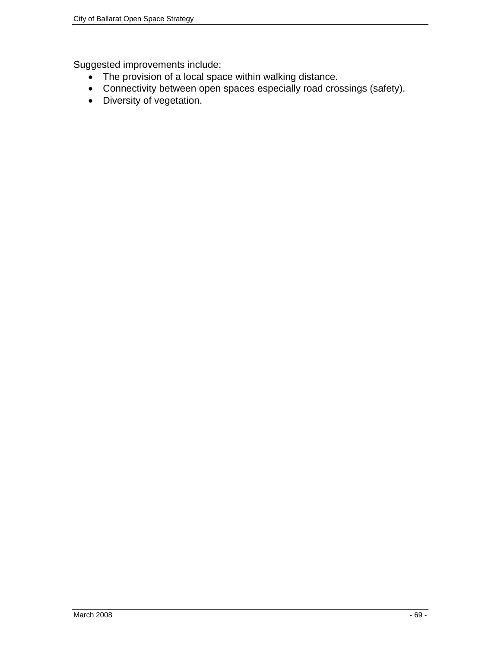Suggested improvements include:

- The provision of a local space within walking distance.
- Connectivity between open spaces especially road crossings (safety).
- Diversity of vegetation.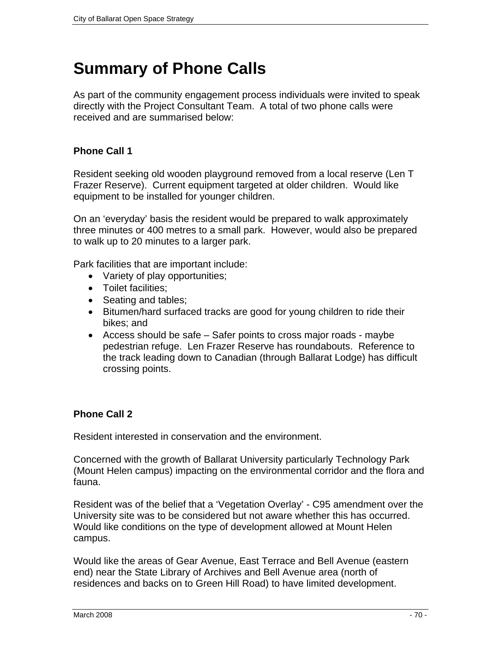## **Summary of Phone Calls**

As part of the community engagement process individuals were invited to speak directly with the Project Consultant Team. A total of two phone calls were received and are summarised below:

## **Phone Call 1**

Resident seeking old wooden playground removed from a local reserve (Len T Frazer Reserve). Current equipment targeted at older children. Would like equipment to be installed for younger children.

On an 'everyday' basis the resident would be prepared to walk approximately three minutes or 400 metres to a small park. However, would also be prepared to walk up to 20 minutes to a larger park.

Park facilities that are important include:

- Variety of play opportunities;
- Toilet facilities;
- Seating and tables;
- Bitumen/hard surfaced tracks are good for young children to ride their bikes; and
- Access should be safe Safer points to cross major roads maybe pedestrian refuge. Len Frazer Reserve has roundabouts. Reference to the track leading down to Canadian (through Ballarat Lodge) has difficult crossing points.

#### **Phone Call 2**

Resident interested in conservation and the environment.

Concerned with the growth of Ballarat University particularly Technology Park (Mount Helen campus) impacting on the environmental corridor and the flora and fauna.

Resident was of the belief that a 'Vegetation Overlay' - C95 amendment over the University site was to be considered but not aware whether this has occurred. Would like conditions on the type of development allowed at Mount Helen campus.

Would like the areas of Gear Avenue, East Terrace and Bell Avenue (eastern end) near the State Library of Archives and Bell Avenue area (north of residences and backs on to Green Hill Road) to have limited development.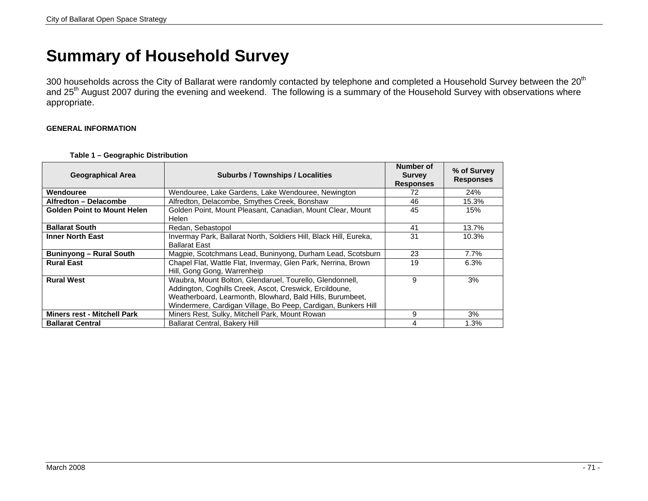## **Summary of Household Survey**

300 households across the City of Ballarat were randomly contacted by telephone and completed a Household Survey between the 20<sup>th</sup> and 25<sup>th</sup> August 2007 during the evening and weekend. The following is a summary of the Household Survey with observations where appropriate.

#### **GENERAL INFORMATION**

|  | Table 1 – Geographic Distribution |  |
|--|-----------------------------------|--|
|--|-----------------------------------|--|

| <b>Geographical Area</b>           | <b>Suburbs / Townships / Localities</b>                                                                                                                                                                                                           | Number of<br><b>Survey</b><br><b>Responses</b> | % of Survey<br><b>Responses</b> |
|------------------------------------|---------------------------------------------------------------------------------------------------------------------------------------------------------------------------------------------------------------------------------------------------|------------------------------------------------|---------------------------------|
| Wendouree                          | Wendouree, Lake Gardens, Lake Wendouree, Newington                                                                                                                                                                                                | 72                                             | 24%                             |
| Alfredton - Delacombe              | Alfredton, Delacombe, Smythes Creek, Bonshaw                                                                                                                                                                                                      | 46                                             | 15.3%                           |
| <b>Golden Point to Mount Helen</b> | Golden Point, Mount Pleasant, Canadian, Mount Clear, Mount<br>Helen                                                                                                                                                                               | 45                                             | 15%                             |
| <b>Ballarat South</b>              | Redan, Sebastopol                                                                                                                                                                                                                                 | 41                                             | 13.7%                           |
| <b>Inner North East</b>            | Invermay Park, Ballarat North, Soldiers Hill, Black Hill, Eureka,<br><b>Ballarat East</b>                                                                                                                                                         | 31                                             | 10.3%                           |
| <b>Buninyong - Rural South</b>     | Magpie, Scotchmans Lead, Buninyong, Durham Lead, Scotsburn                                                                                                                                                                                        | 23                                             | $7.7\%$                         |
| <b>Rural East</b>                  | Chapel Flat, Wattle Flat, Invermay, Glen Park, Nerrina, Brown<br>Hill, Gong Gong, Warrenheip                                                                                                                                                      | 19                                             | 6.3%                            |
| <b>Rural West</b>                  | Waubra, Mount Bolton, Glendaruel, Tourello, Glendonnell,<br>Addington, Coghills Creek, Ascot, Creswick, Ercildoune,<br>Weatherboard, Learmonth, Blowhard, Bald Hills, Burumbeet,<br>Windermere, Cardigan Village, Bo Peep, Cardigan, Bunkers Hill | 9                                              | 3%                              |
| <b>Miners rest - Mitchell Park</b> | Miners Rest, Sulky, Mitchell Park, Mount Rowan                                                                                                                                                                                                    | 9                                              | 3%                              |
| <b>Ballarat Central</b>            | <b>Ballarat Central, Bakery Hill</b>                                                                                                                                                                                                              | 4                                              | 1.3%                            |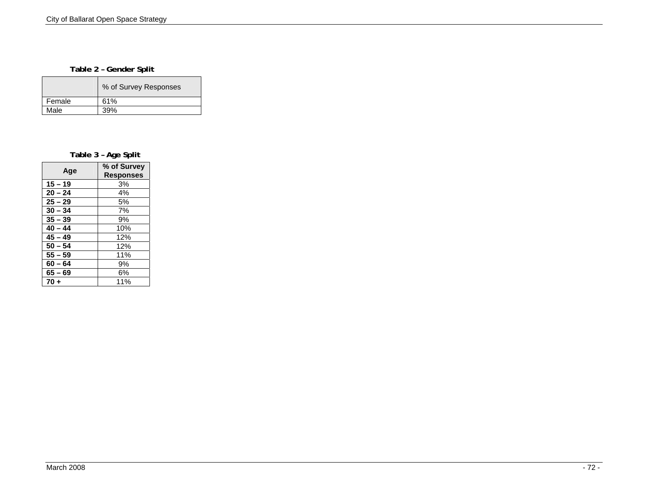#### **Table 2 – Gender Split**

|        | % of Survey Responses |
|--------|-----------------------|
| Female | 61%                   |
| Male   | 39%                   |

**Table 3 – Age Split** 

| Age       | % of Survey<br><b>Responses</b> |
|-----------|---------------------------------|
| $15 - 19$ | 3%                              |
| $20 - 24$ | 4%                              |
| $25 - 29$ | 5%                              |
| $30 - 34$ | 7%                              |
| $35 - 39$ | 9%                              |
| $40 - 44$ | 10%                             |
| $45 - 49$ | 12%                             |
| $50 - 54$ | 12%                             |
| $55 - 59$ | 11%                             |
| $60 - 64$ | 9%                              |
| $65 - 69$ | 6%                              |
| $70 +$    | 11%                             |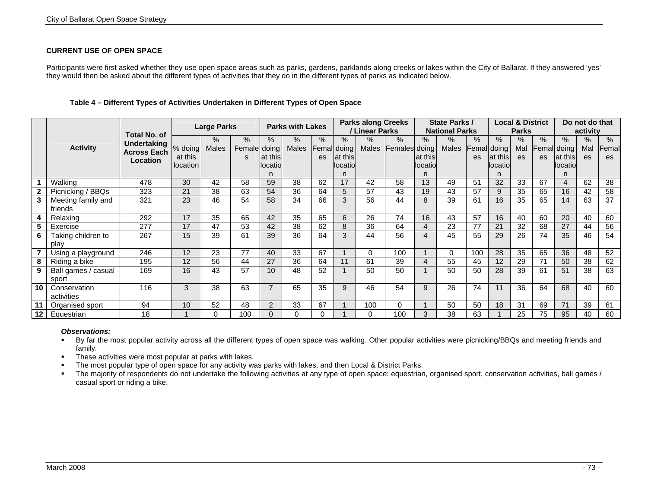## **CURRENT USE OF OPEN SPACE**

Participants were first asked whether they use open space areas such as parks, gardens, parklands along creeks or lakes within the City of Ballarat. If they answered 'yes' they would then be asked about the different types of activities that they do in the different types of parks as indicated below.

|         | <b>Total No. of</b>           |                                                      |                                | <b>Large Parks</b> |                           | <b>Parks with Lakes</b>     |                      |                         |                                     | <b>Parks along Creeks</b><br>/ Linear Parks |                              | State Parks /<br><b>National Parks</b> |                      |            | <b>Local &amp; District</b><br><b>Parks</b> |                |                   | Do not do that<br>activity            |                   |                     |
|---------|-------------------------------|------------------------------------------------------|--------------------------------|--------------------|---------------------------|-----------------------------|----------------------|-------------------------|-------------------------------------|---------------------------------------------|------------------------------|----------------------------------------|----------------------|------------|---------------------------------------------|----------------|-------------------|---------------------------------------|-------------------|---------------------|
|         | <b>Activity</b>               | <b>Undertaking</b><br><b>Across Each</b><br>Location | % doing<br>at this<br>location | %<br>Males         | $\%$<br>Female doing<br>s | $\%$<br>at this<br>llocatio | $\%$<br><b>Males</b> | %<br>Femal<br><b>es</b> | $\%$<br>doing<br>at this<br>locatio | $\%$<br><b>Males</b>                        | $\%$<br><b>Females</b> doing | %<br>at this<br>llocatio<br>n          | $\%$<br><b>Males</b> | $\%$<br>es | %<br>emal doing<br>at this<br>locatio<br>n  | %<br>Mal<br>es | %<br>Femall<br>es | $\%$<br>doing<br>lat thisl<br>locatio | $\%$<br>Mal<br>es | $\%$<br>Femal<br>es |
|         | Walking                       | 478                                                  | 30                             | 42                 | 58                        | 59                          | 38                   | 62                      | 17                                  | 42                                          | 58                           | 13                                     | 49                   | 51         | 32                                          | 33             | 67                | 4                                     | 62                | 38                  |
|         | Picnicking / BBQs             | 323                                                  | 21                             | 38                 | 63                        | 54                          | 36                   | 64                      | 5                                   | 57                                          | 43                           | 19                                     | 43                   | 57         | 9                                           | 35             | 65                | 16                                    | 42                | 58                  |
|         | Meeting family and<br>friends | 321                                                  | 23                             | 46                 | 54                        | 58                          | 34                   | 66                      | 3                                   | 56                                          | 44                           | 8                                      | 39                   | 61         | 16                                          | 35             | 65                | 14                                    | 63                | 37                  |
|         | Relaxing                      | 292                                                  | 17                             | 35                 | 65                        | 42                          | 35                   | 65                      | 6                                   | 26                                          | 74                           | 16                                     | 43                   | 57         | 16                                          | 40             | 60                | 20                                    | 40                | 60                  |
|         | Exercise                      | 277                                                  | 17                             | 47                 | 53                        | 42                          | 38                   | 62                      | 8                                   | 36                                          | 64                           | $\overline{4}$                         | 23                   | 77         | 21                                          | 32             | 68                | 27                                    | 44                | 56                  |
| 6       | Taking children to<br>play    | 267                                                  | 15                             | 39                 | 61                        | 39                          | 36                   | 64                      | 3                                   | 44                                          | 56                           | 4                                      | 45                   | 55         | 29                                          | 26             | 74                | 35                                    | 46                | 54                  |
|         | Using a playground            | 246                                                  | 12                             | 23                 | 77                        | 40                          | 33                   | 67                      |                                     | 0                                           | 100                          |                                        | $\Omega$             | 100        | 28                                          | 35             | 65                | 36                                    | 48                | 52                  |
|         | Riding a bike                 | 195                                                  | 12                             | 56                 | 44                        | 27                          | 36                   | 64                      | 11                                  | 61                                          | 39                           | 4                                      | 55                   | 45         | 12                                          | 29             | 71                | 50                                    | 38                | 62                  |
| -9      | Ball games / casual<br>sport  | 169                                                  | 16                             | 43                 | 57                        | 10                          | 48                   | 52                      |                                     | 50                                          | 50                           |                                        | 50                   | 50         | 28                                          | 39             | 61                | 51                                    | 38                | 63                  |
| 10      | Conservation<br>activities    | 116                                                  | 3                              | 38                 | 63                        | $\overline{7}$              | 65                   | 35                      | 9                                   | 46                                          | 54                           | 9                                      | 26                   | 74         | 11                                          | 36             | 64                | 68                                    | 40                | 60                  |
|         | Organised sport               | 94                                                   | 10                             | 52                 | 48                        | 2                           | 33                   | 67                      |                                     | 100                                         | 0                            |                                        | 50                   | 50         | 18                                          | 31             | 69                | 71                                    | 39                | 61                  |
| $12 \,$ | Equestrian                    | 18                                                   |                                | O                  | 100                       | $\Omega$                    |                      |                         |                                     | O                                           | 100                          | 3                                      | 38                   | 63         |                                             | 25             | 75                | 95                                    | 40                | 60                  |

### **Table 4 – Different Types of Activities Undertaken in Different Types of Open Space**

#### *Observations:*

By far the most popular activity across all the different types of open space was walking. Other popular activities were picnicking/BBQs and meeting friends and family.

- **These activities were most popular at parks with lakes.**
- The most popular type of open space for any activity was parks with lakes, and then Local & District Parks.

The majority of respondents do not undertake the following activities at any type of open space: equestrian, organised sport, conservation activities, ball games / casual sport or riding a bike.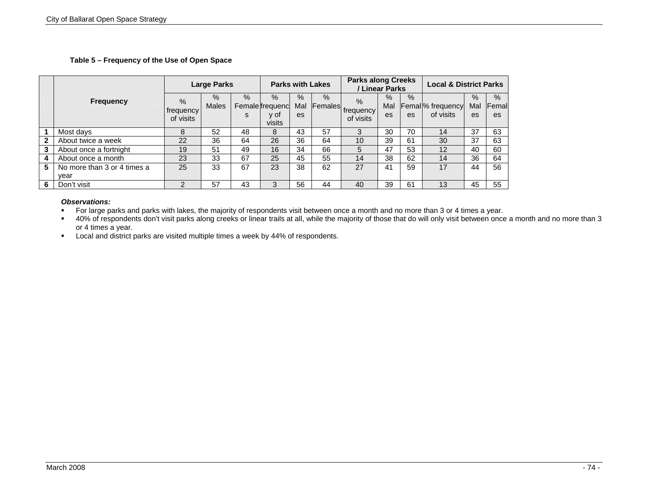## **Table 5 – Frequency of the Use of Open Space**

|   |                             |                                | <b>Large Parks</b>   |           |                                           | <b>Parks with Lakes</b> |      |                                             | <b>Parks along Creeks</b><br>/ Linear Parks |            |                                           | <b>Local &amp; District Parks</b> |                      |  |
|---|-----------------------------|--------------------------------|----------------------|-----------|-------------------------------------------|-------------------------|------|---------------------------------------------|---------------------------------------------|------------|-------------------------------------------|-----------------------------------|----------------------|--|
|   | <b>Frequency</b>            | $\%$<br>frequency<br>of visits | $\%$<br><b>Males</b> | $\%$<br>S | $\%$<br>Female frequenc<br>v of<br>visits | $\%$<br>Mal<br>es       | $\%$ | $\%$<br>al Females frequency l<br>of visits | $\%$<br>Mal<br>es                           | $\%$<br>es | Femal <sup>%</sup> frequency<br>of visits | $\%$<br>Mal<br>es                 | $\%$<br>Femal<br>es. |  |
|   | Most days                   | 8                              | 52                   | 48        | 8                                         | 43                      | 57   |                                             | 30                                          | 70         | 14                                        | 37                                | 63                   |  |
| 2 | About twice a week          | 22                             | 36                   | 64        | 26                                        | 36                      | 64   | 10                                          | 39                                          | 61         | 30                                        | 37                                | 63                   |  |
| 3 | About once a fortnight      | 19                             | 51                   | 49        | 16                                        | 34                      | 66   | 5                                           | 47                                          | 53         | 12                                        | 40                                | 60                   |  |
| 4 | About once a month          | 23                             | 33                   | 67        | 25                                        | 45                      | 55   | 14                                          | 38                                          | 62         | 14                                        | 36                                | 64                   |  |
| 5 | No more than 3 or 4 times a | 25                             | 33                   | 67        | 23                                        | 38                      | 62   | 27                                          | 41                                          | 59         | 17                                        | 44                                | 56                   |  |
|   | year                        |                                |                      |           |                                           |                         |      |                                             |                                             |            |                                           |                                   |                      |  |
| 6 | Don't visit                 |                                | 57                   | 43        | 3                                         | 56                      | 44   | 40                                          | 39                                          | 61         | 13                                        | 45                                | 55                   |  |

#### *Observations:*

For large parks and parks with lakes, the majority of respondents visit between once a month and no more than 3 or 4 times a year.

40% of respondents don't visit parks along creeks or linear trails at all, while the majority of those that do will only visit between once a month and no more than 3 or 4 times a year.

**Local and district parks are visited multiple times a week by 44% of respondents.**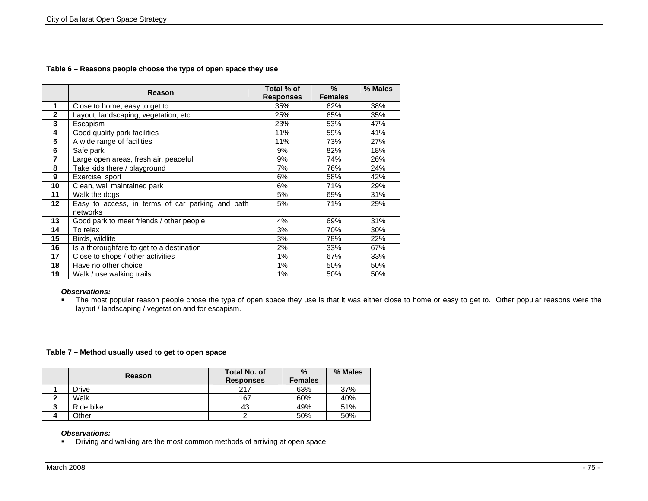### **Table 6 – Reasons people choose the type of open space they use**

|                | Reason                                           | Total % of       | $\%$           | % Males |
|----------------|--------------------------------------------------|------------------|----------------|---------|
|                |                                                  | <b>Responses</b> | <b>Females</b> |         |
| 1              | Close to home, easy to get to                    | 35%              | 62%            | 38%     |
| $\mathbf{2}$   | Layout, landscaping, vegetation, etc             | 25%              | 65%            | 35%     |
| 3              | Escapism                                         | 23%              | 53%            | 47%     |
| 4              | Good quality park facilities                     | 11%              | 59%            | 41%     |
| 5              | A wide range of facilities                       | 11%              | 73%            | 27%     |
| 6              | Safe park                                        | 9%               | 82%            | 18%     |
| $\overline{7}$ | Large open areas, fresh air, peaceful            | 9%               | 74%            | 26%     |
| 8              | Take kids there / playground                     | 7%               | 76%            | 24%     |
| 9              | Exercise, sport                                  | 6%               | 58%            | 42%     |
| 10             | Clean, well maintained park                      | 6%               | 71%            | 29%     |
| 11             | Walk the dogs                                    | 5%               | 69%            | 31%     |
| 12             | Easy to access, in terms of car parking and path | 5%               | 71%            | 29%     |
|                | networks                                         |                  |                |         |
| 13             | Good park to meet friends / other people         | 4%               | 69%            | 31%     |
| 14             | To relax                                         | 3%               | 70%            | 30%     |
| 15             | Birds, wildlife                                  | 3%               | 78%            | 22%     |
| 16             | Is a thoroughfare to get to a destination        | 2%               | 33%            | 67%     |
| 17             | Close to shops / other activities                | 1%               | 67%            | 33%     |
| 18             | Have no other choice                             | 1%               | 50%            | 50%     |
| 19             | Walk / use walking trails                        | 1%               | 50%            | 50%     |

## *Observations:*

The most popular reason people chose the type of open space they use is that it was either close to home or easy to get to. Other popular reasons were the layout / landscaping / vegetation and for escapism.

#### **Table 7 – Method usually used to get to open space**

|            | <b>Reason</b> | <b>Total No. of</b><br><b>Responses</b> | $\%$<br><b>Females</b> | % Males |
|------------|---------------|-----------------------------------------|------------------------|---------|
|            | Drive         | 217                                     | 63%                    | 37%     |
| $\sqrt{2}$ | Walk          | 167                                     | 60%                    | 40%     |
| າ          | Ride bike     | 43                                      | 49%                    | 51%     |
| 4          | Other         |                                         | 50%                    | 50%     |

### *Observations:*

**Driving and walking are the most common methods of arriving at open space.**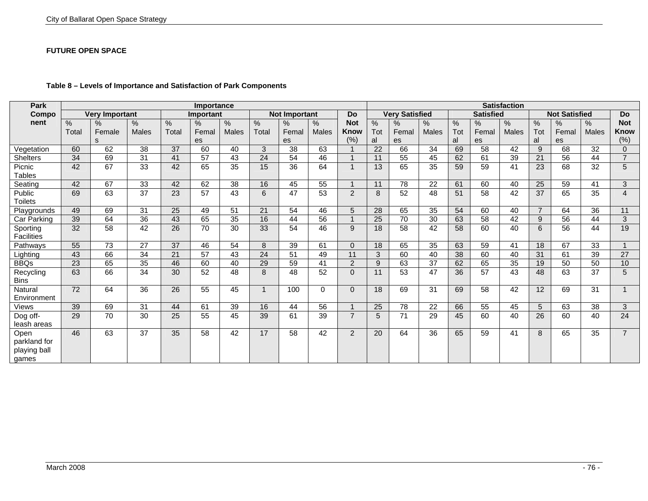#### **FUTURE OPEN SPACE**

| Park              |       |                       |                 |       | <b>Satisfaction</b> |              |              |                      |              |                |                 |                       |                 |     |                  |               |                |                      |                 |                         |
|-------------------|-------|-----------------------|-----------------|-------|---------------------|--------------|--------------|----------------------|--------------|----------------|-----------------|-----------------------|-----------------|-----|------------------|---------------|----------------|----------------------|-----------------|-------------------------|
| Compo             |       | <b>Very Important</b> |                 |       | <b>Important</b>    |              |              | <b>Not Important</b> |              | <b>Do</b>      |                 | <b>Very Satisfied</b> |                 |     | <b>Satisfied</b> |               |                | <b>Not Satisfied</b> |                 | <b>Do</b>               |
| nent              | $\%$  | $\%$                  | $\%$            | $\%$  | %                   | $\%$         | %            | $\%$                 | $\%$         | <b>Not</b>     | %               | %                     | $\%$            | %   | %                | $\frac{0}{6}$ | %              | $\%$                 | $\%$            | <b>Not</b>              |
|                   | Total | Female                | <b>Males</b>    | Total | Femal               | <b>Males</b> | Total        | Femal                | <b>Males</b> | <b>Know</b>    | Tot             | Femal                 | <b>Males</b>    | Tot | Femal            | <b>Males</b>  | Tot            | Femal                | Males           | Know                    |
|                   |       | S                     |                 |       | es                  |              |              | es                   |              | (% )           | al              | es                    |                 | al  | es               |               | al             | es                   |                 | (% )                    |
| Vegetation        | 60    | 62                    | 38              | 37    | 60                  | 40           | 3            | 38                   | 63           |                | 22              | 66                    | 34              | 69  | 58               | 42            | 9              | 68                   | 32              | $\overline{0}$          |
| <b>Shelters</b>   | 34    | 69                    | 31              | 41    | 57                  | 43           | 24           | 54                   | 46           |                | 11              | 55                    | 45              | 62  | 61               | 39            | 21             | 56                   | 44              | $\overline{7}$          |
| Picnic            | 42    | 67                    | 33              | 42    | 65                  | 35           | 15           | 36                   | 64           | $\overline{1}$ | 13              | 65                    | 35              | 59  | 59               | 41            | 23             | 68                   | 32              | $\overline{5}$          |
| <b>Tables</b>     |       |                       |                 |       |                     |              |              |                      |              |                |                 |                       |                 |     |                  |               |                |                      |                 |                         |
| Seating           | 42    | 67                    | 33              | 42    | 62                  | 38           | 16           | 45                   | 55           |                | 11              | 78                    | 22              | 61  | 60               | 40            | 25             | 59                   | 41              | $\mathfrak{S}$          |
| Public            | 69    | 63                    | 37              | 23    | 57                  | 43           | 6            | 47                   | 53           | 2              | 8               | 52                    | 48              | 51  | 58               | 42            | 37             | 65                   | 35              | $\overline{4}$          |
| Toilets           |       |                       |                 |       |                     |              |              |                      |              |                |                 |                       |                 |     |                  |               |                |                      |                 |                         |
| Playgrounds       | 49    | 69                    | 31              | 25    | 49                  | 51           | 21           | 54                   | 46           | 5              | 28              | 65                    | 35              | 54  | 60               | 40            | $\overline{7}$ | 64                   | 36              | 11                      |
| Car Parking       | 39    | 64                    | 36              | 43    | 65                  | 35           | 16           | 44                   | 56           |                | 25              | 70                    | 30              | 63  | 58               | 42            | 9              | 56                   | 44              | $\mathfrak{B}$          |
| Sporting          | 32    | 58                    | 42              | 26    | 70                  | 30           | 33           | 54                   | 46           | 9              | 18              | 58                    | 42              | 58  | 60               | 40            | 6              | 56                   | 44              | 19                      |
| <b>Facilities</b> |       |                       |                 |       |                     |              |              |                      |              |                |                 |                       |                 |     |                  |               |                |                      |                 |                         |
| Pathways          | 55    | 73                    | 27              | 37    | 46                  | 54           | 8            | 39                   | 61           | $\Omega$       | 18              | 65                    | 35              | 63  | 59               | 41            | 18             | 67                   | 33              |                         |
| Lighting          | 43    | 66                    | 34              | 21    | 57                  | 43           | 24           | 51                   | 49           | 11             | 3               | 60                    | 40              | 38  | 60               | 40            | 31             | 61                   | 39              | $\overline{27}$         |
| <b>BBQs</b>       | 23    | 65                    | 35              | 46    | 60                  | 40           | 29           | 59                   | 41           | 2              | 9               | 63                    | 37              | 62  | 65               | 35            | 19             | 50                   | 50              | 10                      |
| Recycling         | 63    | 66                    | 34              | 30    | 52                  | 48           | 8            | 48                   | 52           | $\Omega$       | 11              | 53                    | 47              | 36  | 57               | 43            | 48             | 63                   | 37              | $\overline{5}$          |
| <b>Bins</b>       |       |                       |                 |       |                     |              |              |                      |              |                |                 |                       |                 |     |                  |               |                |                      |                 |                         |
| Natural           | 72    | 64                    | 36              | 26    | 55                  | 45           | $\mathbf{1}$ | 100                  | $\Omega$     | $\Omega$       | 18              | 69                    | 31              | 69  | 58               | 42            | 12             | 69                   | 31              | $\overline{\mathbf{A}}$ |
| Environment       |       |                       |                 |       |                     |              |              |                      |              |                |                 |                       |                 |     |                  |               |                |                      |                 |                         |
| Views             | 39    | 69                    | $\overline{31}$ | 44    | 61                  | 39           | 16           | 44                   | 56           |                | $\overline{25}$ | 78                    | $\overline{22}$ | 66  | 55               | 45            | 5              | 63                   | $\overline{38}$ | $\mathfrak{B}$          |
| Dog off-          | 29    | 70                    | 30              | 25    | 55                  | 45           | 39           | 61                   | 39           | $\overline{7}$ | 5               | 71                    | $\overline{29}$ | 45  | 60               | 40            | 26             | 60                   | 40              | $\overline{24}$         |
| leash areas       |       |                       |                 |       |                     |              |              |                      |              |                |                 |                       |                 |     |                  |               |                |                      |                 |                         |
| Open              | 46    | 63                    | 37              | 35    | 58                  | 42           | 17           | 58                   | 42           | 2              | 20              | 64                    | 36              | 65  | 59               | 41            | 8              | 65                   | 35              | $\overline{7}$          |
| parkland for      |       |                       |                 |       |                     |              |              |                      |              |                |                 |                       |                 |     |                  |               |                |                      |                 |                         |
| playing ball      |       |                       |                 |       |                     |              |              |                      |              |                |                 |                       |                 |     |                  |               |                |                      |                 |                         |
| games             |       |                       |                 |       |                     |              |              |                      |              |                |                 |                       |                 |     |                  |               |                |                      |                 |                         |

## **Table 8 – Levels of Importance and Satisfaction of Park Components**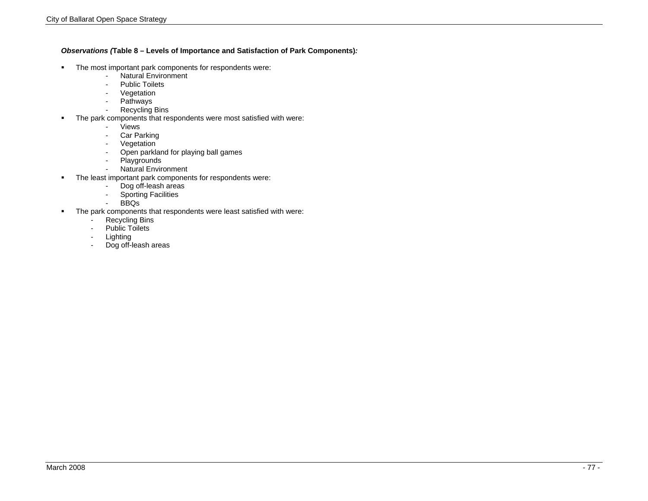#### *Observations (***Table 8 – Levels of Importance and Satisfaction of Park Components)***:*

- The most important park components for respondents were:
	- Natural Environment
	- Public Toilets
	- Vegetation
	- Pathways<br>- Recycling
	- Recycling Bins
- The park components that respondents were most satisfied with were:
	- Views
	- Car Parking
	- Vegetation
	- Open parkland for playing ball games
	- Playgrounds
	- Natural Environment
- The least important park components for respondents were:
	- Dog off-leash areas<br>- Sporting Facilities
	- Sporting Facilities
	- BBQs
- The park components that respondents were least satisfied with were:
	- Recycling Bins
	- Public Toilets
	- Lighting
	- Dog off-leash areas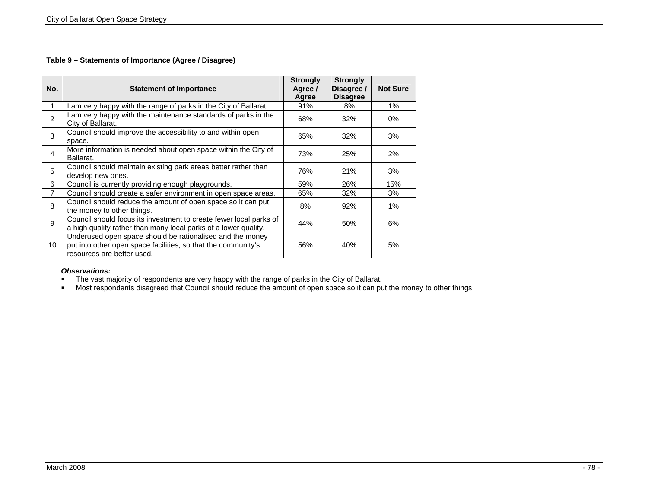## **Table 9 – Statements of Importance (Agree / Disagree)**

| No. | <b>Statement of Importance</b>                                                                                                                           | <b>Strongly</b><br>Agree /<br>Agree | <b>Strongly</b><br>Disagree /<br><b>Disagree</b> | <b>Not Sure</b> |
|-----|----------------------------------------------------------------------------------------------------------------------------------------------------------|-------------------------------------|--------------------------------------------------|-----------------|
| 1   | am very happy with the range of parks in the City of Ballarat.                                                                                           | 91%                                 | 8%                                               | 1%              |
| 2   | am very happy with the maintenance standards of parks in the<br>City of Ballarat.                                                                        | 68%                                 | 32%                                              | 0%              |
| 3   | Council should improve the accessibility to and within open<br>space.                                                                                    | 65%                                 | 32%                                              | 3%              |
| 4   | More information is needed about open space within the City of<br>Ballarat.                                                                              | 73%                                 | 25%                                              | 2%              |
| 5   | Council should maintain existing park areas better rather than<br>develop new ones.                                                                      | 76%                                 | 21%                                              | 3%              |
| 6   | Council is currently providing enough playgrounds.                                                                                                       | 59%                                 | 26%                                              | 15%             |
| 7   | Council should create a safer environment in open space areas.                                                                                           | 65%                                 | 32%                                              | 3%              |
| 8   | Council should reduce the amount of open space so it can put<br>the money to other things.                                                               | 8%                                  | 92%                                              | 1%              |
| 9   | Council should focus its investment to create fewer local parks of<br>a high quality rather than many local parks of a lower quality.                    | 44%                                 | 50%                                              | 6%              |
| 10  | Underused open space should be rationalised and the money<br>put into other open space facilities, so that the community's<br>resources are better used. | 56%                                 | 40%                                              | 5%              |

## *Observations:*

The vast majority of respondents are very happy with the range of parks in the City of Ballarat.

Most respondents disagreed that Council should reduce the amount of open space so it can put the money to other things.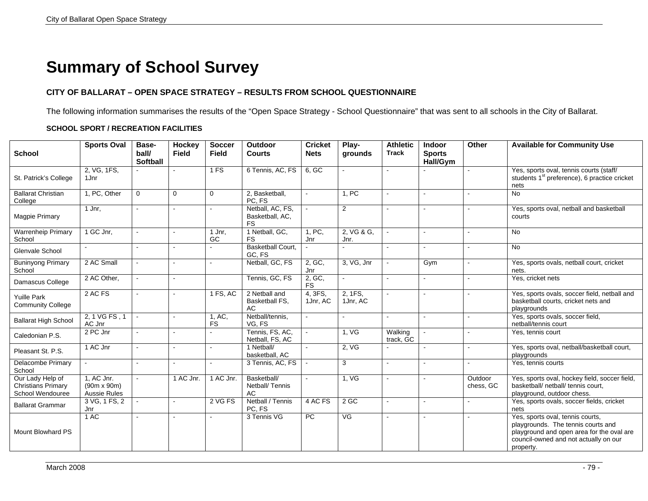# **Summary of School Survey**

## **CITY OF BALLARAT – OPEN SPACE STRATEGY – RESULTS FROM SCHOOL QUESTIONNAIRE**

The following information summarises the results of the "Open Space Strategy - School Questionnaire" that was sent to all schools in the City of Ballarat.

## **SCHOOL SPORT / RECREATION FACILITIES**

| <b>School</b>                                                     | <b>Sports Oval</b>                               | Base-<br>ball/<br><b>Softball</b> | <b>Hockey</b><br><b>Field</b> | <b>Soccer</b><br>Field | <b>Outdoor</b><br><b>Courts</b>                  | <b>Cricket</b><br><b>Nets</b> | Play-<br>grounds         | <b>Athletic</b><br><b>Track</b> | <b>Indoor</b><br><b>Sports</b><br>Hall/Gym | Other                | <b>Available for Community Use</b>                                                                                                                                        |
|-------------------------------------------------------------------|--------------------------------------------------|-----------------------------------|-------------------------------|------------------------|--------------------------------------------------|-------------------------------|--------------------------|---------------------------------|--------------------------------------------|----------------------|---------------------------------------------------------------------------------------------------------------------------------------------------------------------------|
| St. Patrick's College                                             | 2, VG, 1FS,<br>1Jnr                              |                                   |                               | 1 FS                   | 6 Tennis, AC, FS                                 | 6. GC                         | $\sim$                   |                                 |                                            |                      | Yes, sports oval, tennis courts (staff/<br>students 1 <sup>st</sup> preference), 6 practice cricket<br>nets                                                               |
| <b>Ballarat Christian</b><br>College                              | 1, PC, Other                                     | $\Omega$                          | $\Omega$                      | $\mathbf 0$            | 2, Basketball,<br>PC, FS                         | $\sim$                        | 1, PC                    |                                 |                                            |                      | $\overline{N}$                                                                                                                                                            |
| Magpie Primary                                                    | $1$ Jnr,                                         |                                   | $\overline{a}$                |                        | Netball, AC, FS,<br>Basketball, AC,<br><b>FS</b> | $\sim$                        | $\overline{2}$           |                                 |                                            |                      | Yes, sports oval, netball and basketball<br>courts                                                                                                                        |
| <b>Warrenheip Primary</b><br>School                               | 1 GC Jnr,                                        |                                   | $\blacksquare$                | 1 Jnr.<br>GC           | 1 Netball, GC,<br><b>FS</b>                      | 1. PC.<br>Jnr                 | 2, VG & G,<br>Jnr.       |                                 |                                            |                      | <b>No</b>                                                                                                                                                                 |
| Glenvale School                                                   |                                                  |                                   |                               |                        | <b>Basketball Court,</b><br>GC, FS               |                               |                          |                                 |                                            |                      | <b>No</b>                                                                                                                                                                 |
| <b>Buninyong Primary</b><br>School                                | 2 AC Small                                       | $\sim$                            | $\mathbf{r}$                  |                        | Netball, GC, FS                                  | 2, GC,<br>Jnr                 | 3, VG, Jnr               |                                 | Gym                                        | $\sim$               | Yes, sports ovals, netball court, cricket<br>nets.                                                                                                                        |
| Damascus College                                                  | 2 AC Other,                                      | $\blacksquare$                    | $\sim$                        |                        | Tennis, GC, FS                                   | 2, GC,<br><b>FS</b>           | $\blacksquare$           |                                 |                                            |                      | Yes, cricket nets                                                                                                                                                         |
| <b>Yuille Park</b><br><b>Community College</b>                    | 2 AC FS                                          |                                   | $\sim$                        | 1 FS, AC               | 2 Netball and<br>Basketball FS,<br><b>AC</b>     | 4, 3FS,<br>1Jnr, AC           | 2, 1FS,<br>1Jnr, AC      |                                 |                                            |                      | Yes, sports ovals, soccer field, netball and<br>basketball courts, cricket nets and<br>playgrounds                                                                        |
| <b>Ballarat High School</b>                                       | 2, 1 VG FS, 1<br>AC Jnr                          | $\sim$                            | $\overline{a}$                | 1, AC,<br><b>FS</b>    | Netball/tennis,<br>VG, FS                        | $\overline{a}$                | $\sim$                   |                                 |                                            |                      | Yes, sports ovals, soccer field,<br>netball/tennis court                                                                                                                  |
| Caledonian P.S.                                                   | 2 PC Jnr                                         |                                   | $\blacksquare$                |                        | Tennis, FS, AC,<br>Netball, FS, AC               |                               | 1, VG                    | Walking<br>track. GC            |                                            |                      | Yes, tennis court                                                                                                                                                         |
| Pleasant St. P.S.                                                 | 1 AC Jnr                                         |                                   | $\sim$                        |                        | 1 Netball/<br>basketball, AC                     | $\blacksquare$                | 2, VG                    |                                 |                                            |                      | Yes, sports oval, netball/basketball court,<br>playgrounds                                                                                                                |
| Delacombe Primary<br>School                                       |                                                  |                                   |                               |                        | 3 Tennis, AC, FS                                 |                               | 3                        |                                 |                                            |                      | Yes, tennis courts                                                                                                                                                        |
| Our Lady Help of<br><b>Christians Primary</b><br>School Wendouree | 1, AC Jnr.<br>$(90m \times 90m)$<br>Aussie Rules |                                   | 1 AC Jnr.                     | 1 AC Jnr.              | Basketball/<br>Netball/Tennis<br>AC              | $\blacksquare$                | 1, VG                    |                                 |                                            | Outdoor<br>chess, GC | Yes, sports oval, hockey field, soccer field,<br>basketball/ netball/ tennis court,<br>playground, outdoor chess.                                                         |
| <b>Ballarat Grammar</b>                                           | 3 VG, 1 FS, 2<br>Jnr                             | $\blacksquare$                    | $\sim$                        | 2 VG FS                | Netball / Tennis<br>PC, FS                       | 4 AC FS                       | $2$ GC                   |                                 |                                            |                      | Yes, sports ovals, soccer fields, cricket<br>nets                                                                                                                         |
| <b>Mount Blowhard PS</b>                                          | 1AC                                              |                                   |                               |                        | 3 Tennis VG                                      | PC                            | $\overline{\mathsf{VG}}$ |                                 |                                            |                      | Yes, sports oval, tennis courts,<br>playgrounds. The tennis courts and<br>playground and open area for the oval are<br>council-owned and not actually on our<br>property. |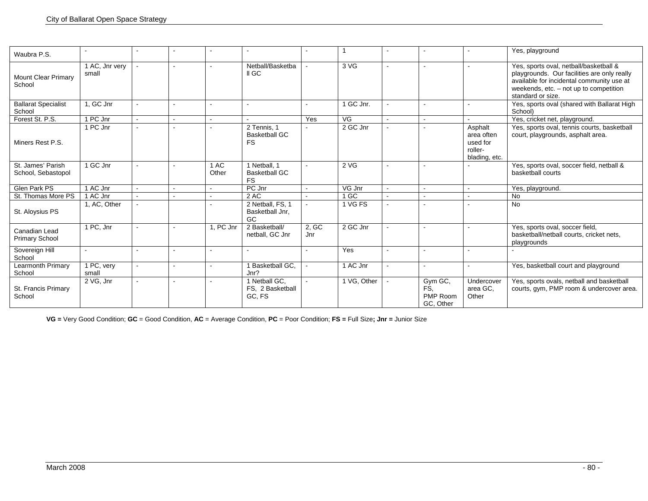| Waubra P.S.                             |                         |  |               |                                                   |              |             |                                         |                                                               | Yes, playground                                                                                                                                                                                   |
|-----------------------------------------|-------------------------|--|---------------|---------------------------------------------------|--------------|-------------|-----------------------------------------|---------------------------------------------------------------|---------------------------------------------------------------------------------------------------------------------------------------------------------------------------------------------------|
| <b>Mount Clear Primary</b><br>School    | 1 AC, Jnr very<br>small |  |               | Netball/Basketba<br>II GC                         |              | 3 VG        |                                         |                                                               | Yes, sports oval, netball/basketball &<br>playgrounds. Our facilities are only really<br>available for incidental community use at<br>weekends, etc. - not up to competition<br>standard or size. |
| <b>Ballarat Specialist</b><br>School    | 1. GC Jnr               |  |               |                                                   |              | 1 GC Jnr.   |                                         |                                                               | Yes, sports oval (shared with Ballarat High<br>School)                                                                                                                                            |
| Forest St. P.S.                         | 1 PC Jnr                |  |               |                                                   | Yes          | VG          |                                         |                                                               | Yes, cricket net, playground.                                                                                                                                                                     |
| Miners Rest P.S.                        | 1 PC Jnr                |  |               | 2 Tennis, 1<br><b>Basketball GC</b><br><b>FS</b>  |              | 2 GC Jnr    |                                         | Asphalt<br>area often<br>used for<br>roller-<br>blading, etc. | Yes, sports oval, tennis courts, basketball<br>court, playgrounds, asphalt area.                                                                                                                  |
| St. James' Parish<br>School, Sebastopol | 1 GC Jnr                |  | 1 AC<br>Other | 1 Netball, 1<br><b>Basketball GC</b><br><b>FS</b> |              | 2 VG        |                                         |                                                               | Yes, sports oval, soccer field, netball &<br>basketball courts                                                                                                                                    |
| <b>Glen Park PS</b>                     | 1 AC Jnr                |  |               | PC Jnr                                            |              | VG Jnr      |                                         |                                                               | Yes, playground.                                                                                                                                                                                  |
| St. Thomas More PS                      | 1 AC Jnr                |  |               | 2 AC                                              |              | 1 GC        |                                         |                                                               | No                                                                                                                                                                                                |
| St. Aloysius PS                         | 1, AC, Other            |  |               | 2 Netball, FS, 1<br>Basketball Jnr.<br>GC         |              | 1 VG FS     |                                         |                                                               | <b>No</b>                                                                                                                                                                                         |
| Canadian Lead<br><b>Primary School</b>  | 1 PC, Jnr               |  | 1, PC Jnr     | 2 Basketball/<br>netball, GC Jnr                  | 2, GC<br>Jnr | 2 GC Jnr    |                                         |                                                               | Yes, sports oval, soccer field,<br>basketball/netball courts, cricket nets,<br>playgrounds                                                                                                        |
| Sovereign Hill<br>School                |                         |  |               |                                                   |              | Yes         |                                         |                                                               |                                                                                                                                                                                                   |
| Learmonth Primary<br>School             | 1 PC, very<br>small     |  |               | Basketball GC,<br>Jnr?                            |              | 1 AC Jnr    |                                         |                                                               | Yes, basketball court and playground                                                                                                                                                              |
| St. Francis Primary<br>School           | 2 VG, Jnr               |  |               | 1 Netball GC.<br>FS, 2 Basketball<br>GC, FS       |              | 1 VG. Other | Gym GC,<br>FS.<br>PMP Room<br>GC. Other | Undercover<br>area GC.<br>Other                               | Yes, sports ovals, netball and basketball<br>courts, gym, PMP room & undercover area.                                                                                                             |

**VG =** Very Good Condition; **GC** = Good Condition, **AC** = Average Condition, **PC** = Poor Condition; **FS =** Full Size**; Jnr =** Junior Size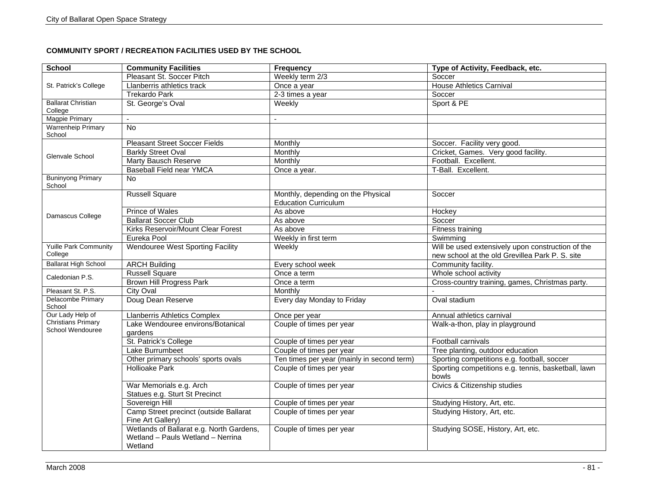## **COMMUNITY SPORT / RECREATION FACILITIES USED BY THE SCHOOL**

| School                                  | <b>Community Facilities</b>                                                              | <b>Frequency</b>                                                  | Type of Activity, Feedback, etc.                                                                     |
|-----------------------------------------|------------------------------------------------------------------------------------------|-------------------------------------------------------------------|------------------------------------------------------------------------------------------------------|
|                                         | Pleasant St. Soccer Pitch                                                                | Weekly term 2/3                                                   | Soccer                                                                                               |
| St. Patrick's College                   | Llanberris athletics track                                                               | Once a year                                                       | <b>House Athletics Carnival</b>                                                                      |
|                                         | <b>Trekardo Park</b>                                                                     | 2-3 times a year                                                  | Soccer                                                                                               |
| <b>Ballarat Christian</b><br>College    | St. George's Oval                                                                        | Weekly                                                            | Sport & PE                                                                                           |
| Magpie Primary                          |                                                                                          |                                                                   |                                                                                                      |
| <b>Warrenheip Primary</b><br>School     | <b>No</b>                                                                                |                                                                   |                                                                                                      |
|                                         | <b>Pleasant Street Soccer Fields</b>                                                     | Monthly                                                           | Soccer. Facility very good.                                                                          |
| Glenvale School                         | <b>Barkly Street Oval</b>                                                                | Monthly                                                           | Cricket, Games. Very good facility.                                                                  |
|                                         | <b>Marty Bausch Reserve</b>                                                              | Monthly                                                           | Football. Excellent.                                                                                 |
|                                         | Baseball Field near YMCA                                                                 | Once a year.                                                      | T-Ball. Excellent.                                                                                   |
| <b>Buninyong Primary</b><br>School      | No.                                                                                      |                                                                   |                                                                                                      |
|                                         | <b>Russell Square</b>                                                                    | Monthly, depending on the Physical<br><b>Education Curriculum</b> | Soccer                                                                                               |
|                                         | <b>Prince of Wales</b>                                                                   | As above                                                          | Hockey                                                                                               |
| Damascus College                        | <b>Ballarat Soccer Club</b>                                                              | As above                                                          | Soccer                                                                                               |
|                                         | Kirks Reservoir/Mount Clear Forest                                                       | As above                                                          | Fitness training                                                                                     |
|                                         | Eureka Pool                                                                              | Weekly in first term                                              | Swimming                                                                                             |
| <b>Yuille Park Community</b><br>College | <b>Wendouree West Sporting Facility</b>                                                  | Weekly                                                            | Will be used extensively upon construction of the<br>new school at the old Grevillea Park P. S. site |
| <b>Ballarat High School</b>             | <b>ARCH Building</b>                                                                     | Every school week                                                 | Community facility.                                                                                  |
| Caledonian P.S.                         | <b>Russell Square</b>                                                                    | Once a term                                                       | Whole school activity                                                                                |
|                                         | <b>Brown Hill Progress Park</b>                                                          | Once a term                                                       | Cross-country training, games, Christmas party.                                                      |
| Pleasant St. P.S.                       | City Oval                                                                                | Monthly                                                           |                                                                                                      |
| Delacombe Primary<br>School             | Doug Dean Reserve                                                                        | Every day Monday to Friday                                        | Oval stadium                                                                                         |
| Our Lady Help of                        | <b>Llanberris Athletics Complex</b>                                                      | Once per year                                                     | Annual athletics carnival                                                                            |
| Christians Primary<br>School Wendouree  | Lake Wendouree environs/Botanical<br>gardens                                             | Couple of times per year                                          | Walk-a-thon, play in playground                                                                      |
|                                         | St. Patrick's College                                                                    | Couple of times per year                                          | Football carnivals                                                                                   |
|                                         | Lake Burrumbeet                                                                          | Couple of times per year                                          | Tree planting, outdoor education                                                                     |
|                                         | Other primary schools' sports ovals                                                      | Ten times per year (mainly in second term)                        | Sporting competitions e.g. football, soccer                                                          |
|                                         | <b>Hollioake Park</b>                                                                    | Couple of times per year                                          | Sporting competitions e.g. tennis, basketball, lawn<br>bowls                                         |
|                                         | War Memorials e.g. Arch<br>Statues e.g. Sturt St Precinct                                | Couple of times per year                                          | Civics & Citizenship studies                                                                         |
|                                         | Sovereign Hill                                                                           | Couple of times per year                                          | Studying History, Art, etc.                                                                          |
|                                         | Camp Street precinct (outside Ballarat<br>Fine Art Gallery)                              | Couple of times per year                                          | Studying History, Art, etc.                                                                          |
|                                         | Wetlands of Ballarat e.g. North Gardens,<br>Wetland - Pauls Wetland - Nerrina<br>Wetland | Couple of times per year                                          | Studying SOSE, History, Art, etc.                                                                    |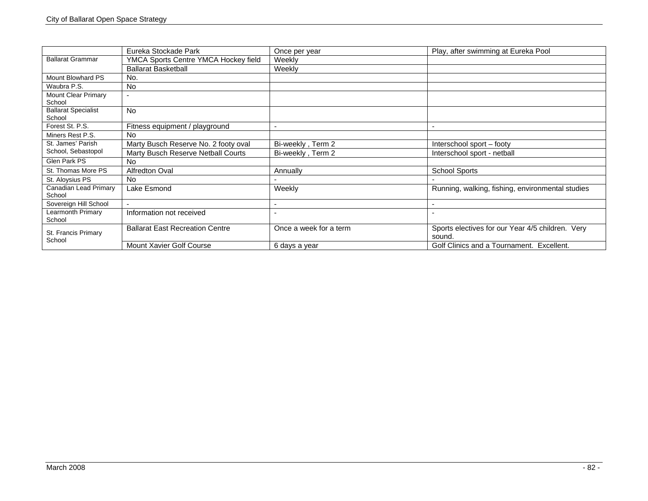|                                      | Eureka Stockade Park                   | Once per year            | Play, after swimming at Eureka Pool                        |
|--------------------------------------|----------------------------------------|--------------------------|------------------------------------------------------------|
| <b>Ballarat Grammar</b>              | YMCA Sports Centre YMCA Hockey field   | Weekly                   |                                                            |
|                                      | <b>Ballarat Basketball</b>             | Weekly                   |                                                            |
| Mount Blowhard PS                    | No.                                    |                          |                                                            |
| Waubra P.S.                          | <b>No</b>                              |                          |                                                            |
| <b>Mount Clear Primary</b><br>School | $\overline{\phantom{a}}$               |                          |                                                            |
| <b>Ballarat Specialist</b><br>School | <b>No</b>                              |                          |                                                            |
| Forest St. P.S.                      | Fitness equipment / playground         |                          |                                                            |
| Miners Rest P.S.                     | <b>No</b>                              |                          |                                                            |
| St. James' Parish                    | Marty Busch Reserve No. 2 footy oval   | Bi-weekly, Term 2        | Interschool sport – footy                                  |
| School, Sebastopol                   | Marty Busch Reserve Netball Courts     | Bi-weekly, Term 2        | Interschool sport - netball                                |
| Glen Park PS                         | <b>No</b>                              |                          |                                                            |
| St. Thomas More PS                   | Alfredton Oval                         | Annually                 | <b>School Sports</b>                                       |
| St. Aloysius PS                      | No.                                    |                          |                                                            |
| Canadian Lead Primary<br>School      | Lake Esmond                            | Weekly                   | Running, walking, fishing, environmental studies           |
| Sovereign Hill School                | $\overline{a}$                         | $\overline{\phantom{0}}$ |                                                            |
| <b>Learmonth Primary</b><br>School   | Information not received               |                          |                                                            |
| St. Francis Primary                  | <b>Ballarat East Recreation Centre</b> | Once a week for a term   | Sports electives for our Year 4/5 children. Very<br>sound. |
| School                               | Mount Xavier Golf Course               | 6 days a year            | Golf Clinics and a Tournament. Excellent.                  |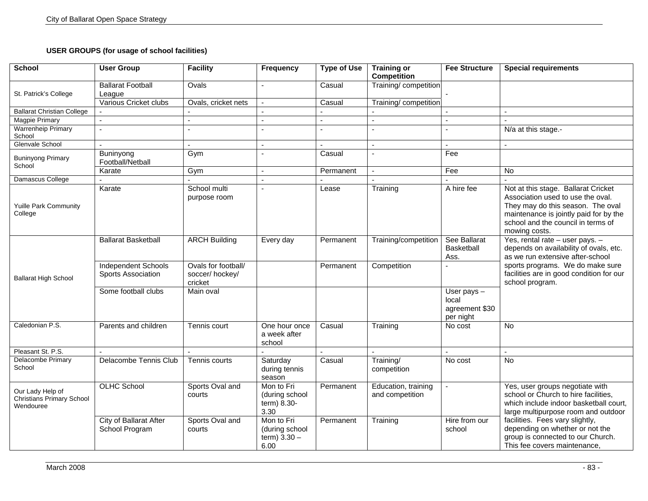## **USER GROUPS (for usage of school facilities)**

| <b>School</b>                                              | <b>User Group</b>                                | <b>Facility</b>                                  | Frequency                                              | <b>Type of Use</b> | <b>Training or</b><br><b>Competition</b> | <b>Fee Structure</b>                                  | <b>Special requirements</b>                                                                                                                                                                                    |
|------------------------------------------------------------|--------------------------------------------------|--------------------------------------------------|--------------------------------------------------------|--------------------|------------------------------------------|-------------------------------------------------------|----------------------------------------------------------------------------------------------------------------------------------------------------------------------------------------------------------------|
| St. Patrick's College                                      | <b>Ballarat Football</b><br>League               | Ovals                                            |                                                        | Casual             | Training/competition                     |                                                       |                                                                                                                                                                                                                |
|                                                            | Various Cricket clubs                            | Ovals, cricket nets                              |                                                        | Casual             | Training/competition                     |                                                       |                                                                                                                                                                                                                |
| <b>Ballarat Christian College</b>                          |                                                  |                                                  |                                                        |                    |                                          |                                                       |                                                                                                                                                                                                                |
| <b>Magpie Primary</b>                                      | $\overline{a}$                                   | $\mathbf{r}$                                     | $\sim$                                                 |                    | $\sim$                                   | $\overline{a}$                                        | $\overline{a}$                                                                                                                                                                                                 |
| <b>Warrenheip Primary</b><br>School                        |                                                  |                                                  |                                                        |                    |                                          |                                                       | N/a at this stage.-                                                                                                                                                                                            |
| Glenvale School                                            |                                                  |                                                  |                                                        |                    |                                          |                                                       |                                                                                                                                                                                                                |
| <b>Buninyong Primary</b><br>School                         | Buninyong<br>Football/Netball                    | Gym                                              |                                                        | Casual             | $\sim$                                   | Fee                                                   |                                                                                                                                                                                                                |
|                                                            | Karate                                           | Gym                                              | $\sim$                                                 | Permanent          |                                          | Fee                                                   | No                                                                                                                                                                                                             |
| Damascus College                                           |                                                  |                                                  |                                                        |                    | $\overline{a}$                           |                                                       |                                                                                                                                                                                                                |
| <b>Yuille Park Community</b><br>College                    | Karate                                           | School multi<br>purpose room                     |                                                        | Lease              | Training                                 | A hire fee                                            | Not at this stage. Ballarat Cricket<br>Association used to use the oval.<br>They may do this season. The oval<br>maintenance is jointly paid for by the<br>school and the council in terms of<br>mowing costs. |
|                                                            | <b>Ballarat Basketball</b>                       | <b>ARCH Building</b>                             | Every day                                              | Permanent          | Training/competition                     | See Ballarat<br>Basketball<br>Ass.                    | Yes, rental rate - user pays. -<br>depends on availability of ovals, etc.<br>as we run extensive after-school                                                                                                  |
| <b>Ballarat High School</b>                                | <b>Independent Schools</b><br>Sports Association | Ovals for football/<br>soccer/hockey/<br>cricket |                                                        | Permanent          | Competition                              |                                                       | sports programs. We do make sure<br>facilities are in good condition for our<br>school program.                                                                                                                |
|                                                            | Some football clubs                              | Main oval                                        |                                                        |                    |                                          | User pays $-$<br>local<br>agreement \$30<br>per night |                                                                                                                                                                                                                |
| Caledonian P.S.                                            | Parents and children                             | Tennis court                                     | One hour once<br>a week after<br>school                | Casual             | Training                                 | No cost                                               | $\overline{N}$                                                                                                                                                                                                 |
| Pleasant St. P.S.                                          |                                                  |                                                  |                                                        |                    |                                          |                                                       |                                                                                                                                                                                                                |
| <b>Delacombe Primary</b><br>School                         | Delacombe Tennis Club                            | Tennis courts                                    | Saturday<br>during tennis<br>season                    | Casual             | Training/<br>competition                 | No cost                                               | $\overline{N}$                                                                                                                                                                                                 |
| Our Lady Help of<br>Christians Primary School<br>Wendouree | <b>OLHC School</b>                               | Sports Oval and<br>courts                        | Mon to Fri<br>(during school<br>term) 8.30-<br>3.30    | Permanent          | Education, training<br>and competition   |                                                       | Yes, user groups negotiate with<br>school or Church to hire facilities,<br>which include indoor basketball court,<br>large multipurpose room and outdoor                                                       |
|                                                            | City of Ballarat After<br>School Program         | Sports Oval and<br>courts                        | Mon to Fri<br>(during school<br>term) $3.30 -$<br>6.00 | Permanent          | Training                                 | Hire from our<br>school                               | facilities. Fees vary slightly,<br>depending on whether or not the<br>group is connected to our Church.<br>This fee covers maintenance,                                                                        |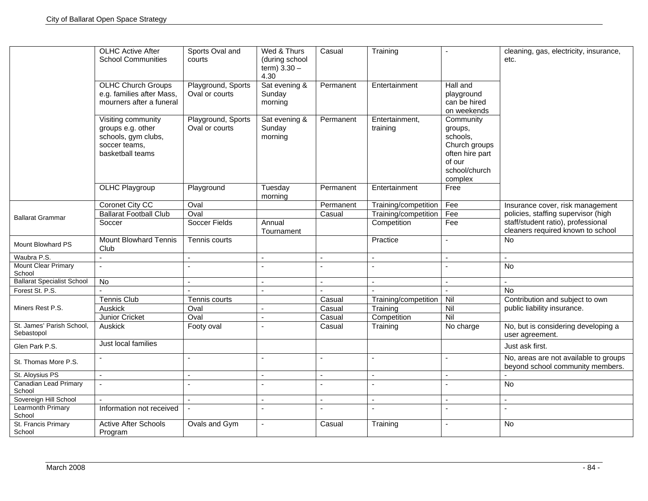|                                         | <b>OLHC Active After</b><br><b>School Communities</b>                                               | Sports Oval and<br>courts            | Wed & Thurs<br>(during school<br>term) $3.30 -$<br>4.30 | Casual    | Training                   |                                                                                                            | cleaning, gas, electricity, insurance,<br>etc.                            |
|-----------------------------------------|-----------------------------------------------------------------------------------------------------|--------------------------------------|---------------------------------------------------------|-----------|----------------------------|------------------------------------------------------------------------------------------------------------|---------------------------------------------------------------------------|
|                                         | <b>OLHC Church Groups</b><br>e.g. families after Mass,<br>mourners after a funeral                  | Playground, Sports<br>Oval or courts | Sat evening &<br>Sunday<br>morning                      | Permanent | Entertainment              | Hall and<br>playground<br>can be hired<br>on weekends                                                      |                                                                           |
|                                         | Visiting community<br>groups e.g. other<br>schools, gym clubs,<br>soccer teams,<br>basketball teams | Playground, Sports<br>Oval or courts | Sat evening &<br>Sunday<br>morning                      | Permanent | Entertainment.<br>training | Community<br>groups,<br>schools,<br>Church groups<br>often hire part<br>of our<br>school/church<br>complex |                                                                           |
|                                         | <b>OLHC Playgroup</b>                                                                               | Playground                           | Tuesday<br>morning                                      | Permanent | Entertainment              | Free                                                                                                       |                                                                           |
|                                         | Coronet City CC                                                                                     | Oval                                 |                                                         | Permanent | Training/competition       | Fee                                                                                                        | Insurance cover, risk management                                          |
| <b>Ballarat Grammar</b>                 | <b>Ballarat Football Club</b>                                                                       | Oval                                 |                                                         | Casual    | Training/competition       | Fee                                                                                                        | policies, staffing supervisor (high                                       |
|                                         | Soccer                                                                                              | Soccer Fields                        | Annual<br>Tournament                                    |           | Competition                | Fee                                                                                                        | staff/student ratio), professional<br>cleaners required known to school   |
| <b>Mount Blowhard PS</b>                | <b>Mount Blowhard Tennis</b><br>Club                                                                | Tennis courts                        |                                                         |           | Practice                   |                                                                                                            | <b>No</b>                                                                 |
| Waubra P.S.                             | $\overline{a}$                                                                                      |                                      | $\sim$                                                  |           | $\overline{a}$             | $\mathbf{r}$                                                                                               | $\sim$                                                                    |
| <b>Mount Clear Primary</b><br>School    | $\overline{a}$                                                                                      |                                      |                                                         |           | $\overline{a}$             |                                                                                                            | <b>No</b>                                                                 |
| <b>Ballarat Specialist School</b>       | No                                                                                                  |                                      |                                                         |           | $\overline{a}$             | $\overline{a}$                                                                                             |                                                                           |
| Forest St. P.S.                         |                                                                                                     |                                      |                                                         |           |                            |                                                                                                            | $\overline{N}$                                                            |
|                                         | <b>Tennis Club</b>                                                                                  | Tennis courts                        |                                                         | Casual    | Training/competition       | Nil                                                                                                        | Contribution and subject to own                                           |
| Miners Rest P.S.                        | Auskick                                                                                             | Oval                                 |                                                         | Casual    | Training                   | Nil                                                                                                        | public liability insurance.                                               |
|                                         | Junior Cricket                                                                                      | Oval                                 |                                                         | Casual    | Competition                | Nil                                                                                                        |                                                                           |
| St. James' Parish School,<br>Sebastopol | Auskick                                                                                             | Footy oval                           |                                                         | Casual    | Training                   | No charge                                                                                                  | No, but is considering developing a<br>user agreement.                    |
| Glen Park P.S.                          | Just local families                                                                                 |                                      |                                                         |           |                            |                                                                                                            | Just ask first.                                                           |
| St. Thomas More P.S.                    |                                                                                                     |                                      | $\overline{a}$                                          |           | $\overline{a}$             |                                                                                                            | No, areas are not available to groups<br>beyond school community members. |
| St. Aloysius PS                         | $\blacksquare$                                                                                      |                                      | $\blacksquare$                                          |           | $\overline{\phantom{a}}$   | $\blacksquare$                                                                                             |                                                                           |
| <b>Canadian Lead Primary</b><br>School  | $\mathbf{r}$                                                                                        |                                      | $\sim$                                                  |           | $\overline{a}$             | $\overline{a}$                                                                                             | No                                                                        |
| Sovereign Hill School                   |                                                                                                     | $\sim$                               | $\overline{\phantom{a}}$                                |           | $\sim$                     | $\sim$                                                                                                     | $\sim$                                                                    |
| Learmonth Primary<br>School             | Information not received                                                                            | $\blacksquare$                       | $\overline{a}$                                          |           | $\sim$                     |                                                                                                            |                                                                           |
| St. Francis Primary<br>School           | <b>Active After Schools</b><br>Program                                                              | Ovals and Gym                        | $\sim$                                                  | Casual    | Training                   | $\blacksquare$                                                                                             | <b>No</b>                                                                 |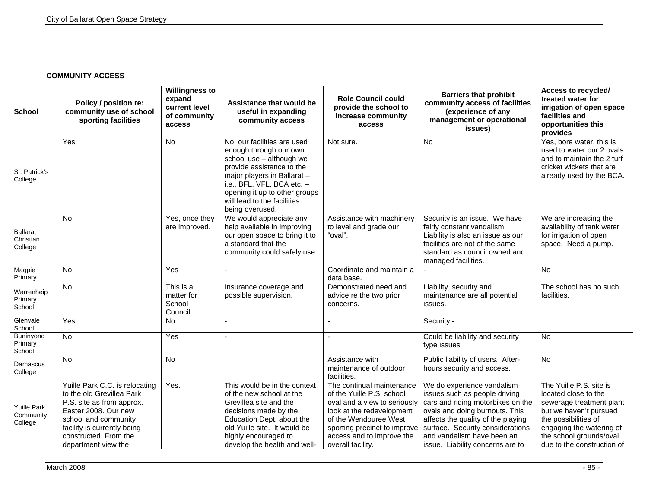### **COMMUNITY ACCESS**

| <b>School</b>                              | Policy / position re:<br>community use of school<br>sporting facilities                                                                                                                                                 | <b>Willingness to</b><br>expand<br>current level<br>of community<br>access | Assistance that would be<br>useful in expanding<br>community access                                                                                                                                                                                          | <b>Role Council could</b><br>provide the school to<br>increase community<br>access                                                                                                                                             | <b>Barriers that prohibit</b><br>community access of facilities<br>(experience of any<br>management or operational<br>issues)                                                                                                                                                  | Access to recycled/<br>treated water for<br>irrigation of open space<br>facilities and<br>opportunities this<br>provides                                                                                           |
|--------------------------------------------|-------------------------------------------------------------------------------------------------------------------------------------------------------------------------------------------------------------------------|----------------------------------------------------------------------------|--------------------------------------------------------------------------------------------------------------------------------------------------------------------------------------------------------------------------------------------------------------|--------------------------------------------------------------------------------------------------------------------------------------------------------------------------------------------------------------------------------|--------------------------------------------------------------------------------------------------------------------------------------------------------------------------------------------------------------------------------------------------------------------------------|--------------------------------------------------------------------------------------------------------------------------------------------------------------------------------------------------------------------|
| St. Patrick's<br>College                   | Yes                                                                                                                                                                                                                     | No                                                                         | No, our facilities are used<br>enough through our own<br>school use - although we<br>provide assistance to the<br>major players in Ballarat -<br>i.e BFL, VFL, BCA etc. -<br>opening it up to other groups<br>will lead to the facilities<br>being overused. | Not sure.                                                                                                                                                                                                                      | <b>No</b>                                                                                                                                                                                                                                                                      | Yes, bore water, this is<br>used to water our 2 ovals<br>and to maintain the 2 turf<br>cricket wickets that are<br>already used by the BCA.                                                                        |
| <b>Ballarat</b><br>Christian<br>College    | <b>No</b>                                                                                                                                                                                                               | Yes, once they<br>are improved.                                            | We would appreciate any<br>help available in improving<br>our open space to bring it to<br>a standard that the<br>community could safely use.                                                                                                                | Assistance with machinery<br>to level and grade our<br>"oval".                                                                                                                                                                 | Security is an issue. We have<br>fairly constant vandalism.<br>Liability is also an issue as our<br>facilities are not of the same<br>standard as council owned and<br>managed facilities.                                                                                     | We are increasing the<br>availability of tank water<br>for irrigation of open<br>space. Need a pump.                                                                                                               |
| Magpie<br>Primary                          | <b>No</b>                                                                                                                                                                                                               | Yes                                                                        |                                                                                                                                                                                                                                                              | Coordinate and maintain a<br>data base.                                                                                                                                                                                        |                                                                                                                                                                                                                                                                                | <b>No</b>                                                                                                                                                                                                          |
| Warrenheip<br>Primary<br>School            | No                                                                                                                                                                                                                      | This is a<br>matter for<br>School<br>Council.                              | Insurance coverage and<br>possible supervision.                                                                                                                                                                                                              | Demonstrated need and<br>advice re the two prior<br>concerns.                                                                                                                                                                  | Liability, security and<br>maintenance are all potential<br>issues.                                                                                                                                                                                                            | The school has no such<br>facilities.                                                                                                                                                                              |
| Glenvale<br>School                         | Yes                                                                                                                                                                                                                     | <b>No</b>                                                                  | $\overline{a}$                                                                                                                                                                                                                                               | ä,                                                                                                                                                                                                                             | Security.-                                                                                                                                                                                                                                                                     |                                                                                                                                                                                                                    |
| Buninyong<br>Primary<br>School             | $\overline{N}$                                                                                                                                                                                                          | Yes                                                                        | $\overline{a}$                                                                                                                                                                                                                                               |                                                                                                                                                                                                                                | Could be liability and security<br>type issues                                                                                                                                                                                                                                 | $\overline{N}$                                                                                                                                                                                                     |
| Damascus<br>College                        | No                                                                                                                                                                                                                      | <b>No</b>                                                                  |                                                                                                                                                                                                                                                              | Assistance with<br>maintenance of outdoor<br>facilities.                                                                                                                                                                       | Public liability of users. After-<br>hours security and access.                                                                                                                                                                                                                | $\overline{N}$                                                                                                                                                                                                     |
| <b>Yuille Park</b><br>Community<br>College | Yuille Park C.C. is relocating<br>to the old Grevillea Park<br>P.S. site as from approx.<br>Easter 2008. Our new<br>school and community<br>facility is currently being<br>constructed. From the<br>department view the | Yes.                                                                       | This would be in the context<br>of the new school at the<br>Grevillea site and the<br>decisions made by the<br>Education Dept. about the<br>old Yuille site. It would be<br>highly encouraged to<br>develop the health and well-                             | The continual maintenance<br>of the Yuille P.S. school<br>oval and a view to seriously<br>look at the redevelopment<br>of the Wendouree West<br>sporting precinct to improve<br>access and to improve the<br>overall facility. | We do experience vandalism<br>issues such as people driving<br>cars and riding motorbikes on the<br>ovals and doing burnouts. This<br>affects the quality of the playing<br>surface. Security considerations<br>and vandalism have been an<br>issue. Liability concerns are to | The Yuille P.S. site is<br>located close to the<br>sewerage treatment plant<br>but we haven't pursued<br>the possibilities of<br>engaging the watering of<br>the school grounds/oval<br>due to the construction of |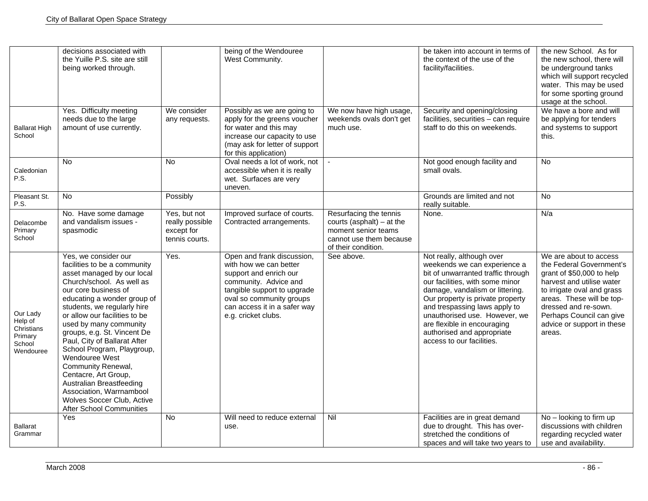|                                                                     | decisions associated with<br>the Yuille P.S. site are still<br>being worked through.                                                                                                                                                                                                                                                                                                                                                                                                                                                                   |                                                                 | being of the Wendouree<br>West Community.                                                                                                                                                                                 |                                                                                                                                | be taken into account in terms of<br>the context of the use of the<br>facility/facilities.                                                                                                                                                                                                                                                                            | the new School. As for<br>the new school, there will<br>be underground tanks<br>which will support recycled<br>water. This may be used<br>for some sporting ground<br>usage at the school.                                                                          |
|---------------------------------------------------------------------|--------------------------------------------------------------------------------------------------------------------------------------------------------------------------------------------------------------------------------------------------------------------------------------------------------------------------------------------------------------------------------------------------------------------------------------------------------------------------------------------------------------------------------------------------------|-----------------------------------------------------------------|---------------------------------------------------------------------------------------------------------------------------------------------------------------------------------------------------------------------------|--------------------------------------------------------------------------------------------------------------------------------|-----------------------------------------------------------------------------------------------------------------------------------------------------------------------------------------------------------------------------------------------------------------------------------------------------------------------------------------------------------------------|---------------------------------------------------------------------------------------------------------------------------------------------------------------------------------------------------------------------------------------------------------------------|
| <b>Ballarat High</b><br>School                                      | Yes. Difficulty meeting<br>needs due to the large<br>amount of use currently.                                                                                                                                                                                                                                                                                                                                                                                                                                                                          | We consider<br>any requests.                                    | Possibly as we are going to<br>apply for the greens voucher<br>for water and this may<br>increase our capacity to use<br>(may ask for letter of support<br>for this application)                                          | We now have high usage,<br>weekends ovals don't get<br>much use.                                                               | Security and opening/closing<br>facilities, securities - can require<br>staff to do this on weekends.                                                                                                                                                                                                                                                                 | We have a bore and will<br>be applying for tenders<br>and systems to support<br>this.                                                                                                                                                                               |
| Caledonian<br>P.S.                                                  | <b>No</b>                                                                                                                                                                                                                                                                                                                                                                                                                                                                                                                                              | <b>No</b>                                                       | Oval needs a lot of work, not<br>accessible when it is really<br>wet. Surfaces are very<br>uneven.                                                                                                                        |                                                                                                                                | Not good enough facility and<br>small ovals.                                                                                                                                                                                                                                                                                                                          | No                                                                                                                                                                                                                                                                  |
| Pleasant St.<br>P.S.                                                | No                                                                                                                                                                                                                                                                                                                                                                                                                                                                                                                                                     | Possibly                                                        |                                                                                                                                                                                                                           |                                                                                                                                | Grounds are limited and not<br>really suitable.                                                                                                                                                                                                                                                                                                                       | <b>No</b>                                                                                                                                                                                                                                                           |
| Delacombe<br>Primary<br>School                                      | No. Have some damage<br>and vandalism issues -<br>spasmodic                                                                                                                                                                                                                                                                                                                                                                                                                                                                                            | Yes, but not<br>really possible<br>except for<br>tennis courts. | Improved surface of courts.<br>Contracted arrangements.                                                                                                                                                                   | Resurfacing the tennis<br>courts (asphalt) $-$ at the<br>moment senior teams<br>cannot use them because<br>of their condition. | None.                                                                                                                                                                                                                                                                                                                                                                 | N/a                                                                                                                                                                                                                                                                 |
| Our Lady<br>Help of<br>Christians<br>Primary<br>School<br>Wendouree | Yes, we consider our<br>facilities to be a community<br>asset managed by our local<br>Church/school. As well as<br>our core business of<br>educating a wonder group of<br>students, we regularly hire<br>or allow our facilities to be<br>used by many community<br>groups, e.g. St. Vincent De<br>Paul, City of Ballarat After<br>School Program, Playgroup,<br>Wendouree West<br>Community Renewal,<br>Centacre, Art Group,<br>Australian Breastfeeding<br>Association, Warrnambool<br>Wolves Soccer Club, Active<br><b>After School Communities</b> | Yes.                                                            | Open and frank discussion,<br>with how we can better<br>support and enrich our<br>community. Advice and<br>tangible support to upgrade<br>oval so community groups<br>can access it in a safer way<br>e.g. cricket clubs. | See above.                                                                                                                     | Not really, although over<br>weekends we can experience a<br>bit of unwarranted traffic through<br>our facilities, with some minor<br>damage, vandalism or littering.<br>Our property is private property<br>and trespassing laws apply to<br>unauthorised use. However, we<br>are flexible in encouraging<br>authorised and appropriate<br>access to our facilities. | We are about to access<br>the Federal Government's<br>grant of \$50,000 to help<br>harvest and utilise water<br>to irrigate oval and grass<br>areas. These will be top-<br>dressed and re-sown.<br>Perhaps Council can give<br>advice or support in these<br>areas. |
| <b>Ballarat</b><br>Grammar                                          | Yes                                                                                                                                                                                                                                                                                                                                                                                                                                                                                                                                                    | <b>No</b>                                                       | Will need to reduce external<br>use.                                                                                                                                                                                      | Nil                                                                                                                            | Facilities are in great demand<br>due to drought. This has over-<br>stretched the conditions of<br>spaces and will take two years to                                                                                                                                                                                                                                  | No - looking to firm up<br>discussions with children<br>regarding recycled water<br>use and availability.                                                                                                                                                           |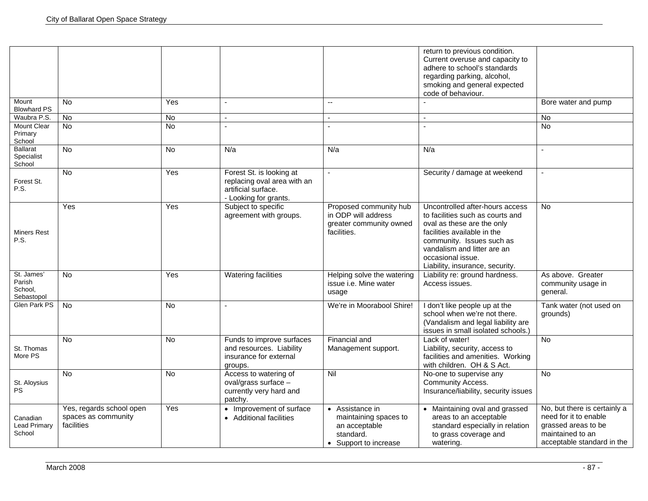|                                               |                                                               |                |                                                                                                         |                                                                                                 | return to previous condition.<br>Current overuse and capacity to<br>adhere to school's standards<br>regarding parking, alcohol,<br>smoking and general expected<br>code of behaviour.                                                                |                                                                                                                                |
|-----------------------------------------------|---------------------------------------------------------------|----------------|---------------------------------------------------------------------------------------------------------|-------------------------------------------------------------------------------------------------|------------------------------------------------------------------------------------------------------------------------------------------------------------------------------------------------------------------------------------------------------|--------------------------------------------------------------------------------------------------------------------------------|
| Mount<br><b>Blowhard PS</b>                   | <b>No</b>                                                     | Yes            |                                                                                                         | $\sim$ $\sim$                                                                                   |                                                                                                                                                                                                                                                      | Bore water and pump                                                                                                            |
| Waubra P.S.                                   | No                                                            | No             |                                                                                                         |                                                                                                 |                                                                                                                                                                                                                                                      | No                                                                                                                             |
| <b>Mount Clear</b><br>Primary<br>School       | $\overline{N}$                                                | N <sub>o</sub> |                                                                                                         |                                                                                                 |                                                                                                                                                                                                                                                      | <b>No</b>                                                                                                                      |
| <b>Ballarat</b><br>Specialist<br>School       | $\overline{N}$                                                | <b>No</b>      | N/a                                                                                                     | N/a                                                                                             | N/a                                                                                                                                                                                                                                                  | $\sim$                                                                                                                         |
| Forest St.<br>P.S.                            | <b>No</b>                                                     | Yes            | Forest St. is looking at<br>replacing oval area with an<br>artificial surface.<br>- Looking for grants. |                                                                                                 | Security / damage at weekend                                                                                                                                                                                                                         | $\overline{a}$                                                                                                                 |
| <b>Miners Rest</b><br>P.S.                    | Yes                                                           | Yes            | Subject to specific<br>agreement with groups.                                                           | Proposed community hub<br>in ODP will address<br>greater community owned<br>facilities.         | Uncontrolled after-hours access<br>to facilities such as courts and<br>oval as these are the only<br>facilities available in the<br>community. Issues such as<br>vandalism and litter are an<br>occasional issue.<br>Liability, insurance, security. | No.                                                                                                                            |
| St. James'<br>Parish<br>School,<br>Sebastopol | <b>No</b>                                                     | Yes            | Watering facilities                                                                                     | Helping solve the watering<br>issue i.e. Mine water<br>usage                                    | Liability re: ground hardness.<br>Access issues.                                                                                                                                                                                                     | As above. Greater<br>community usage in<br>general.                                                                            |
| <b>Glen Park PS</b>                           | <b>No</b>                                                     | <b>No</b>      | $\sim$                                                                                                  | We're in Moorabool Shire!                                                                       | I don't like people up at the<br>school when we're not there.<br>(Vandalism and legal liability are<br>issues in small isolated schools.)                                                                                                            | Tank water (not used on<br>grounds)                                                                                            |
| St. Thomas<br>More PS                         | <b>No</b>                                                     | N <sub>o</sub> | Funds to improve surfaces<br>and resources. Liability<br>insurance for external<br>groups.              | Financial and<br>Management support.                                                            | Lack of water!<br>Liability, security, access to<br>facilities and amenities. Working<br>with children. OH & S Act.                                                                                                                                  | <b>No</b>                                                                                                                      |
| St. Aloysius<br><b>PS</b>                     | <b>No</b>                                                     | N <sub>o</sub> | Access to watering of<br>oval/grass surface -<br>currently very hard and<br>patchy.                     | Nil                                                                                             | No-one to supervise any<br>Community Access.<br>Insurance/liability, security issues                                                                                                                                                                 | <b>No</b>                                                                                                                      |
| Canadian<br><b>Lead Primary</b><br>School     | Yes, regards school open<br>spaces as community<br>facilities | Yes            | • Improvement of surface<br>• Additional facilities                                                     | • Assistance in<br>maintaining spaces to<br>an acceptable<br>standard.<br>• Support to increase | • Maintaining oval and grassed<br>areas to an acceptable<br>standard especially in relation<br>to grass coverage and<br>watering.                                                                                                                    | No, but there is certainly a<br>need for it to enable<br>grassed areas to be<br>maintained to an<br>acceptable standard in the |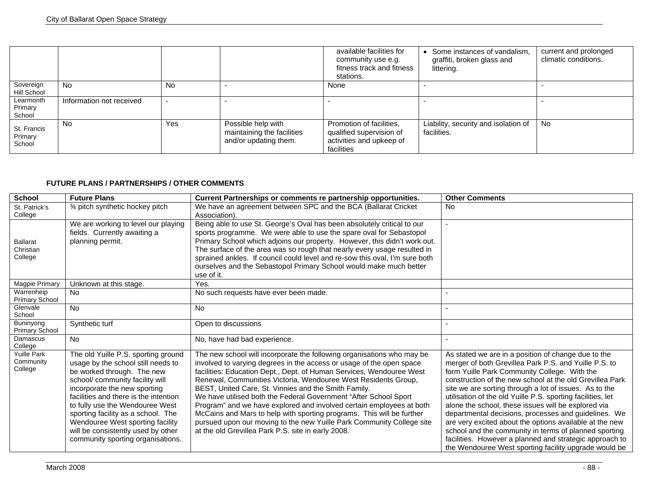|                                  |                          |     |                                                                           | available facilities for<br>community use e.g.<br>fitness track and fitness<br>stations.       | Some instances of vandalism,<br>graffiti, broken glass and<br>littering. | current and prolonged<br>climatic conditions. |
|----------------------------------|--------------------------|-----|---------------------------------------------------------------------------|------------------------------------------------------------------------------------------------|--------------------------------------------------------------------------|-----------------------------------------------|
| Sovereign<br>Hill School         | <b>No</b>                | No  |                                                                           | None                                                                                           |                                                                          |                                               |
| Learmonth<br>Primary<br>School   | Information not received |     |                                                                           |                                                                                                |                                                                          |                                               |
| St. Francis<br>Primary<br>School | <b>No</b>                | Yes | Possible help with<br>maintaining the facilities<br>and/or updating them. | Promotion of facilities,<br>qualified supervision of<br>activities and upkeep of<br>facilities | Liability, security and isolation of<br>facilities.                      | <b>No</b>                                     |

## **FUTURE PLANS / PARTNERSHIPS / OTHER COMMENTS**

| <b>School</b>                              | <b>Future Plans</b>                                                                                                                                                                                                                                                                                                                                                                                         | Current Partnerships or comments re partnership opportunities.                                                                                                                                                                                                                                                                                                                                                                                                                                                                                                                                                                                                                                       | <b>Other Comments</b>                                                                                                                                                                                                                                                                                                                                                                                                                                                                                                                                                                                                                                                                                    |
|--------------------------------------------|-------------------------------------------------------------------------------------------------------------------------------------------------------------------------------------------------------------------------------------------------------------------------------------------------------------------------------------------------------------------------------------------------------------|------------------------------------------------------------------------------------------------------------------------------------------------------------------------------------------------------------------------------------------------------------------------------------------------------------------------------------------------------------------------------------------------------------------------------------------------------------------------------------------------------------------------------------------------------------------------------------------------------------------------------------------------------------------------------------------------------|----------------------------------------------------------------------------------------------------------------------------------------------------------------------------------------------------------------------------------------------------------------------------------------------------------------------------------------------------------------------------------------------------------------------------------------------------------------------------------------------------------------------------------------------------------------------------------------------------------------------------------------------------------------------------------------------------------|
| St. Patrick's<br>College                   | 3⁄4 pitch synthetic hockey pitch                                                                                                                                                                                                                                                                                                                                                                            | We have an agreement between SPC and the BCA (Ballarat Cricket<br>Association).                                                                                                                                                                                                                                                                                                                                                                                                                                                                                                                                                                                                                      | No                                                                                                                                                                                                                                                                                                                                                                                                                                                                                                                                                                                                                                                                                                       |
| <b>Ballarat</b><br>Christian<br>College    | We are working to level our playing<br>fields. Currently awaiting a<br>planning permit.                                                                                                                                                                                                                                                                                                                     | Being able to use St. George's Oval has been absolutely critical to our<br>sports programme. We were able to use the spare oval for Sebastopol<br>Primary School which adjoins our property. However, this didn't work out.<br>The surface of the area was so rough that nearly every usage resulted in<br>sprained ankles. If council could level and re-sow this oval, I'm sure both<br>ourselves and the Sebastopol Primary School would make much better<br>use of it.                                                                                                                                                                                                                           |                                                                                                                                                                                                                                                                                                                                                                                                                                                                                                                                                                                                                                                                                                          |
| Magpie Primary                             | Unknown at this stage.                                                                                                                                                                                                                                                                                                                                                                                      | Yes.                                                                                                                                                                                                                                                                                                                                                                                                                                                                                                                                                                                                                                                                                                 |                                                                                                                                                                                                                                                                                                                                                                                                                                                                                                                                                                                                                                                                                                          |
| Warrenheip<br><b>Primary School</b>        | <b>No</b>                                                                                                                                                                                                                                                                                                                                                                                                   | No such requests have ever been made.                                                                                                                                                                                                                                                                                                                                                                                                                                                                                                                                                                                                                                                                |                                                                                                                                                                                                                                                                                                                                                                                                                                                                                                                                                                                                                                                                                                          |
| Glenvale<br>School                         | <b>No</b>                                                                                                                                                                                                                                                                                                                                                                                                   | <b>No</b>                                                                                                                                                                                                                                                                                                                                                                                                                                                                                                                                                                                                                                                                                            |                                                                                                                                                                                                                                                                                                                                                                                                                                                                                                                                                                                                                                                                                                          |
| <b>Buninyong</b><br><b>Primary School</b>  | Synthetic turf                                                                                                                                                                                                                                                                                                                                                                                              | Open to discussions                                                                                                                                                                                                                                                                                                                                                                                                                                                                                                                                                                                                                                                                                  |                                                                                                                                                                                                                                                                                                                                                                                                                                                                                                                                                                                                                                                                                                          |
| Damascus<br>College                        | <b>No</b>                                                                                                                                                                                                                                                                                                                                                                                                   | No, have had bad experience.                                                                                                                                                                                                                                                                                                                                                                                                                                                                                                                                                                                                                                                                         |                                                                                                                                                                                                                                                                                                                                                                                                                                                                                                                                                                                                                                                                                                          |
| <b>Yuille Park</b><br>Community<br>College | The old Yuille P.S. sporting ground<br>usage by the school still needs to<br>be worked through. The new<br>school/ community facility will<br>incorporate the new sporting<br>facilities and there is the intention<br>to fully use the Wendouree West<br>sporting facility as a school. The<br>Wendouree West sporting facility<br>will be consistently used by other<br>community sporting organisations. | The new school will incorporate the following organisations who may be<br>involved to varying degrees in the access or usage of the open space<br>facilities: Education Dept., Dept. of Human Services, Wendouree West<br>Renewal, Communities Victoria, Wendouree West Residents Group,<br>BEST, United Care, St. Vinnies and the Smith Family.<br>We have utilised both the Federal Government "After School Sport<br>Program" and we have explored and involved certain employees at both<br>McCains and Mars to help with sporting programs. This will be further<br>pursued upon our moving to the new Yuille Park Community College site<br>at the old Grevillea Park P.S. site in early 2008. | As stated we are in a position of change due to the<br>merger of both Grevillea Park P.S. and Yuille P.S. to<br>form Yuille Park Community College. With the<br>construction of the new school at the old Grevillea Park<br>site we are sorting through a lot of issues. As to the<br>utilisation of the old Yuille P.S. sporting facilities, let<br>alone the school, these issues will be explored via<br>departmental decisions, processes and guidelines. We<br>are very excited about the options available at the new<br>school and the community in terms of planned sporting<br>facilities. However a planned and strategic approach to<br>the Wendouree West sporting facility upgrade would be |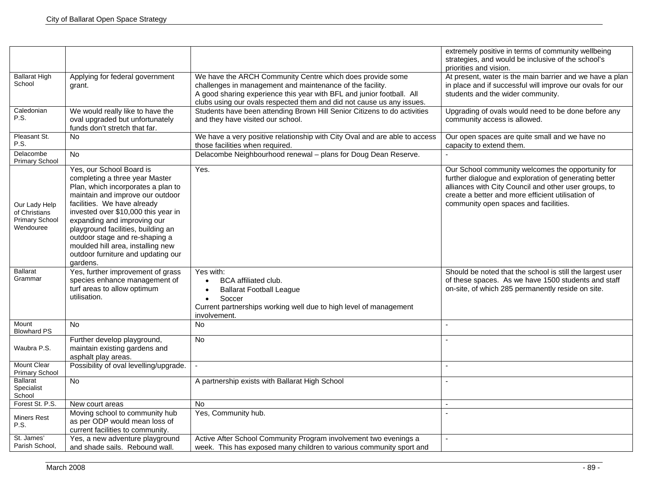|                                                                      |                                                                                                                                                                                                                                                                                                                                                                                                          |                                                                                                                                                                                                                                                                          | extremely positive in terms of community wellbeing<br>strategies, and would be inclusive of the school's<br>priorities and vision.                                                                                                                                |
|----------------------------------------------------------------------|----------------------------------------------------------------------------------------------------------------------------------------------------------------------------------------------------------------------------------------------------------------------------------------------------------------------------------------------------------------------------------------------------------|--------------------------------------------------------------------------------------------------------------------------------------------------------------------------------------------------------------------------------------------------------------------------|-------------------------------------------------------------------------------------------------------------------------------------------------------------------------------------------------------------------------------------------------------------------|
| <b>Ballarat High</b><br>School                                       | Applying for federal government<br>grant.                                                                                                                                                                                                                                                                                                                                                                | We have the ARCH Community Centre which does provide some<br>challenges in management and maintenance of the facility.<br>A good sharing experience this year with BFL and junior football. All<br>clubs using our ovals respected them and did not cause us any issues. | At present, water is the main barrier and we have a plan<br>in place and if successful will improve our ovals for our<br>students and the wider community.                                                                                                        |
| Caledonian<br>P.S.                                                   | We would really like to have the<br>oval upgraded but unfortunately<br>funds don't stretch that far.                                                                                                                                                                                                                                                                                                     | Students have been attending Brown Hill Senior Citizens to do activities<br>and they have visited our school.                                                                                                                                                            | Upgrading of ovals would need to be done before any<br>community access is allowed.                                                                                                                                                                               |
| Pleasant St.<br>P.S.                                                 | No.                                                                                                                                                                                                                                                                                                                                                                                                      | We have a very positive relationship with City Oval and are able to access<br>those facilities when required.                                                                                                                                                            | Our open spaces are quite small and we have no<br>capacity to extend them.                                                                                                                                                                                        |
| Delacombe<br><b>Primary School</b>                                   | <b>No</b>                                                                                                                                                                                                                                                                                                                                                                                                | Delacombe Neighbourhood renewal - plans for Doug Dean Reserve.                                                                                                                                                                                                           |                                                                                                                                                                                                                                                                   |
| Our Lady Help<br>of Christians<br><b>Primary School</b><br>Wendouree | Yes, our School Board is<br>completing a three year Master<br>Plan, which incorporates a plan to<br>maintain and improve our outdoor<br>facilities. We have already<br>invested over \$10,000 this year in<br>expanding and improving our<br>playground facilities, building an<br>outdoor stage and re-shaping a<br>moulded hill area, installing new<br>outdoor furniture and updating our<br>gardens. | Yes.                                                                                                                                                                                                                                                                     | Our School community welcomes the opportunity for<br>further dialogue and exploration of generating better<br>alliances with City Council and other user groups, to<br>create a better and more efficient utilisation of<br>community open spaces and facilities. |
| <b>Ballarat</b><br>Grammar                                           | Yes, further improvement of grass<br>species enhance management of<br>turf areas to allow optimum<br>utilisation.                                                                                                                                                                                                                                                                                        | Yes with:<br><b>BCA</b> affiliated club.<br>$\bullet$<br><b>Ballarat Football League</b><br>Soccer<br>$\bullet$<br>Current partnerships working well due to high level of management<br>involvement.                                                                     | Should be noted that the school is still the largest user<br>of these spaces. As we have 1500 students and staff<br>on-site, of which 285 permanently reside on site.                                                                                             |
| Mount<br><b>Blowhard PS</b>                                          | <b>No</b>                                                                                                                                                                                                                                                                                                                                                                                                | <b>No</b>                                                                                                                                                                                                                                                                | $\overline{a}$                                                                                                                                                                                                                                                    |
| Waubra P.S.                                                          | Further develop playground,<br>maintain existing gardens and<br>asphalt play areas.                                                                                                                                                                                                                                                                                                                      | <b>No</b>                                                                                                                                                                                                                                                                |                                                                                                                                                                                                                                                                   |
| <b>Mount Clear</b><br><b>Primary School</b>                          | Possibility of oval levelling/upgrade.                                                                                                                                                                                                                                                                                                                                                                   | $\bar{\phantom{a}}$                                                                                                                                                                                                                                                      |                                                                                                                                                                                                                                                                   |
| <b>Ballarat</b><br>Specialist<br>School                              | No                                                                                                                                                                                                                                                                                                                                                                                                       | A partnership exists with Ballarat High School                                                                                                                                                                                                                           |                                                                                                                                                                                                                                                                   |
| Forest St. P.S.                                                      | New court areas                                                                                                                                                                                                                                                                                                                                                                                          | No                                                                                                                                                                                                                                                                       |                                                                                                                                                                                                                                                                   |
| <b>Miners Rest</b><br>P.S.                                           | Moving school to community hub<br>as per ODP would mean loss of<br>current facilities to community.                                                                                                                                                                                                                                                                                                      | Yes, Community hub.                                                                                                                                                                                                                                                      |                                                                                                                                                                                                                                                                   |
| St. James'<br>Parish School,                                         | Yes, a new adventure playground<br>and shade sails. Rebound wall.                                                                                                                                                                                                                                                                                                                                        | Active After School Community Program involvement two evenings a<br>week. This has exposed many children to various community sport and                                                                                                                                  | $\mathbf{r}$                                                                                                                                                                                                                                                      |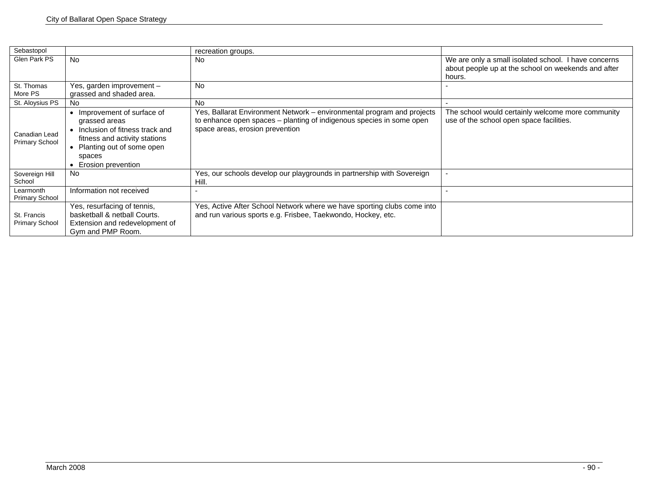| Sebastopol                             |                                                                                                                                                                                           | recreation groups.                                                                                                                                                                |                                                                                                                       |
|----------------------------------------|-------------------------------------------------------------------------------------------------------------------------------------------------------------------------------------------|-----------------------------------------------------------------------------------------------------------------------------------------------------------------------------------|-----------------------------------------------------------------------------------------------------------------------|
| Glen Park PS                           | <b>No</b>                                                                                                                                                                                 | No                                                                                                                                                                                | We are only a small isolated school. I have concerns<br>about people up at the school on weekends and after<br>hours. |
| St. Thomas<br>More PS                  | Yes, garden improvement -<br>grassed and shaded area.                                                                                                                                     | <b>No</b>                                                                                                                                                                         |                                                                                                                       |
| St. Aloysius PS                        | No                                                                                                                                                                                        | <b>No</b>                                                                                                                                                                         |                                                                                                                       |
| Canadian Lead<br><b>Primary School</b> | Improvement of surface of<br>$\bullet$<br>grassed areas<br>Inclusion of fitness track and<br>fitness and activity stations<br>• Planting out of some open<br>spaces<br>Erosion prevention | Yes, Ballarat Environment Network - environmental program and projects<br>to enhance open spaces - planting of indigenous species in some open<br>space areas, erosion prevention | The school would certainly welcome more community<br>use of the school open space facilities.                         |
| Sovereign Hill<br>School               | <b>No</b>                                                                                                                                                                                 | Yes, our schools develop our playgrounds in partnership with Sovereign<br>Hill.                                                                                                   |                                                                                                                       |
| Learmonth<br><b>Primary School</b>     | Information not received                                                                                                                                                                  |                                                                                                                                                                                   |                                                                                                                       |
| St. Francis<br><b>Primary School</b>   | Yes, resurfacing of tennis,<br>basketball & netball Courts.<br>Extension and redevelopment of<br>Gym and PMP Room.                                                                        | Yes, Active After School Network where we have sporting clubs come into<br>and run various sports e.g. Frisbee, Taekwondo, Hockey, etc.                                           |                                                                                                                       |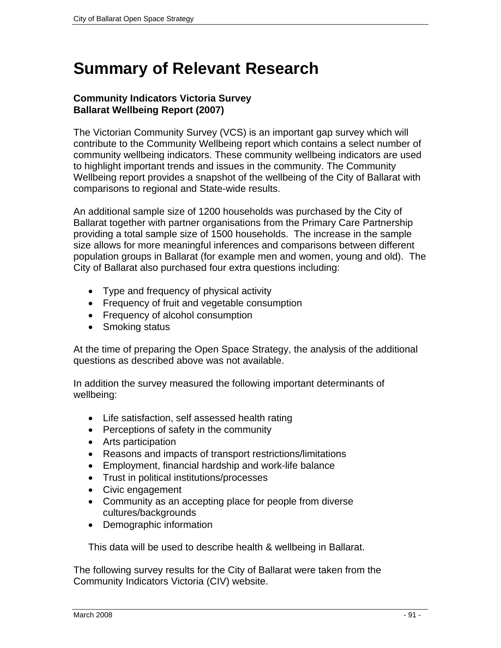# **Summary of Relevant Research**

# **Community Indicators Victoria Survey Ballarat Wellbeing Report (2007)**

The Victorian Community Survey (VCS) is an important gap survey which will contribute to the Community Wellbeing report which contains a select number of community wellbeing indicators. These community wellbeing indicators are used to highlight important trends and issues in the community. The Community Wellbeing report provides a snapshot of the wellbeing of the City of Ballarat with comparisons to regional and State-wide results.

An additional sample size of 1200 households was purchased by the City of Ballarat together with partner organisations from the Primary Care Partnership providing a total sample size of 1500 households. The increase in the sample size allows for more meaningful inferences and comparisons between different population groups in Ballarat (for example men and women, young and old). The City of Ballarat also purchased four extra questions including:

- Type and frequency of physical activity
- Frequency of fruit and vegetable consumption
- Frequency of alcohol consumption
- Smoking status

At the time of preparing the Open Space Strategy, the analysis of the additional questions as described above was not available.

In addition the survey measured the following important determinants of wellbeing:

- Life satisfaction, self assessed health rating
- Perceptions of safety in the community
- Arts participation
- Reasons and impacts of transport restrictions/limitations
- Employment, financial hardship and work-life balance
- Trust in political institutions/processes
- Civic engagement
- Community as an accepting place for people from diverse cultures/backgrounds
- Demographic information

This data will be used to describe health & wellbeing in Ballarat.

The following survey results for the City of Ballarat were taken from the Community Indicators Victoria (CIV) website.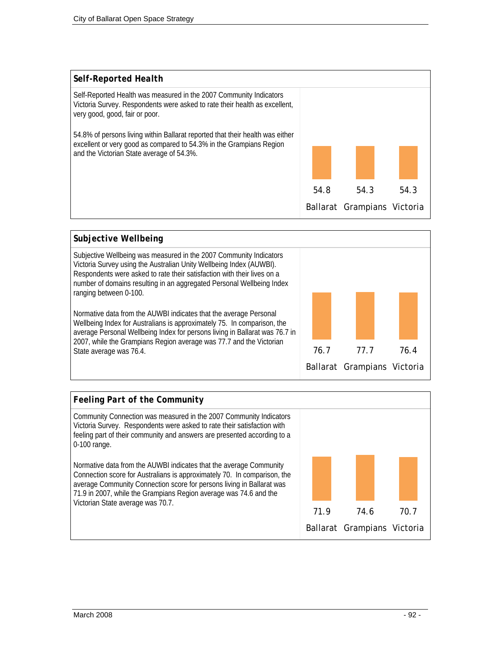



# *Feeling Part of the Community*  Community Connection was measured in the 2007 Community Indicators Victoria Survey. Respondents were asked to rate their satisfaction with feeling part of their community and answers are presented according to a 0-100 range. Normative data from the AUWBI indicates that the average Community Connection score for Australians is approximately 70. In comparison, the average Community Connection score for persons living in Ballarat was 71.9 in 2007, while the Grampians Region average was 74.6 and the Victorian State average was 70.7. 71.9 74.6 70.7 Ballarat Grampians Victoria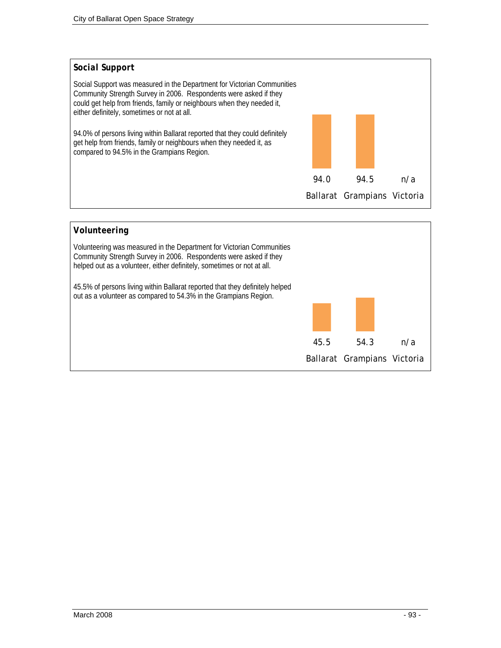

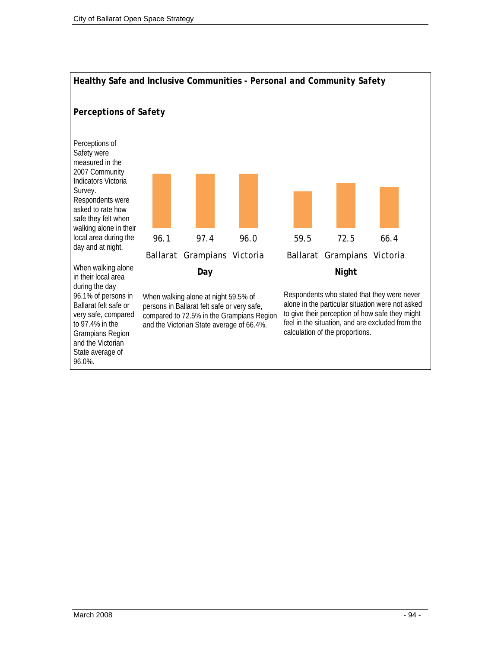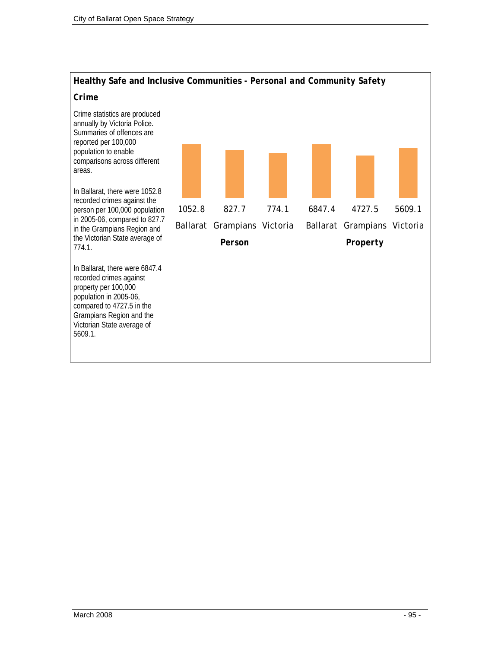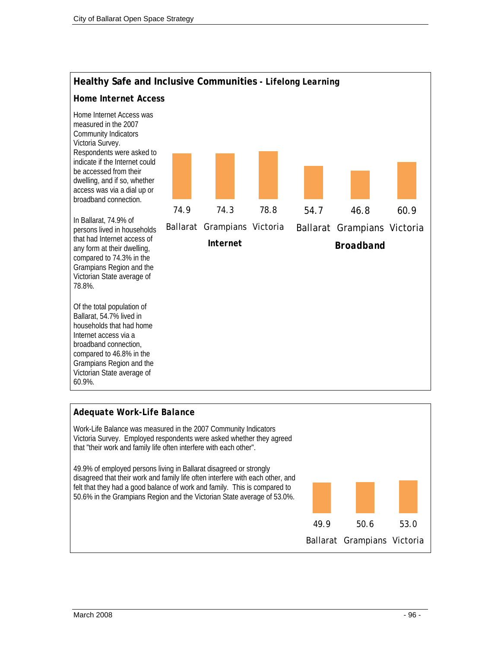

## *Adequate Work-Life Balance*

Work-Life Balance was measured in the 2007 Community Indicators Victoria Survey. Employed respondents were asked whether they agreed that "their work and family life often interfere with each other".

49.9% of employed persons living in Ballarat disagreed or strongly disagreed that their work and family life often interfere with each other, and felt that they had a good balance of work and family. This is compared to 50.6% in the Grampians Region and the Victorian State average of 53.0%.

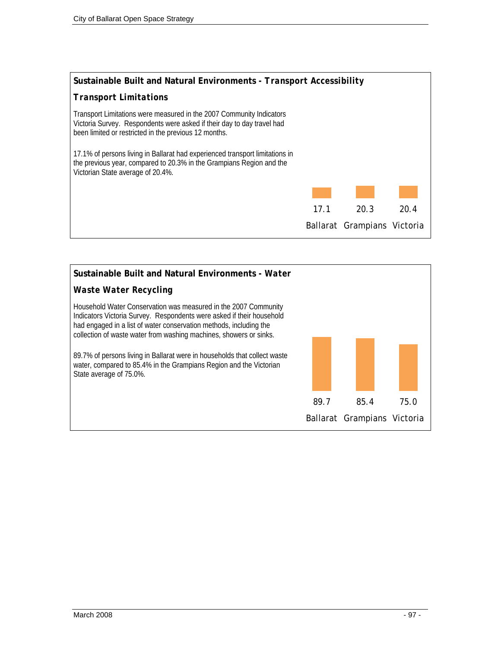

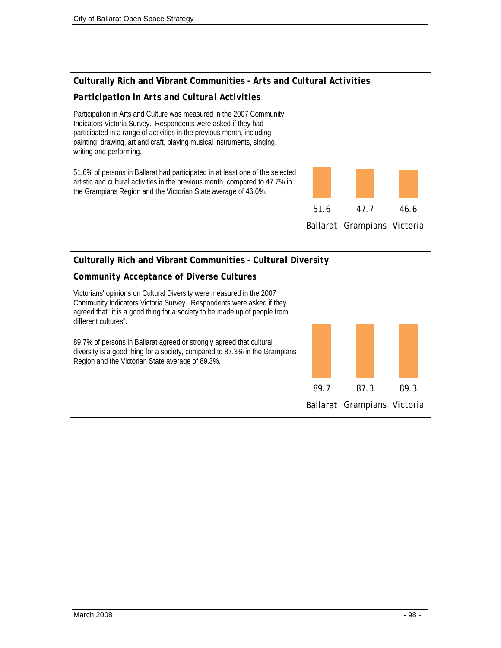

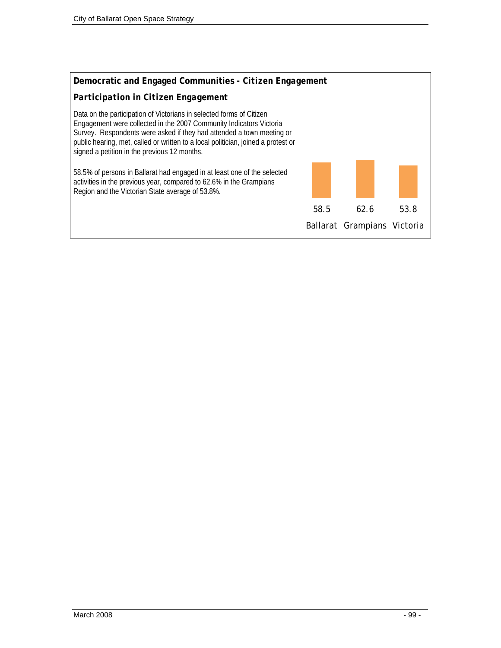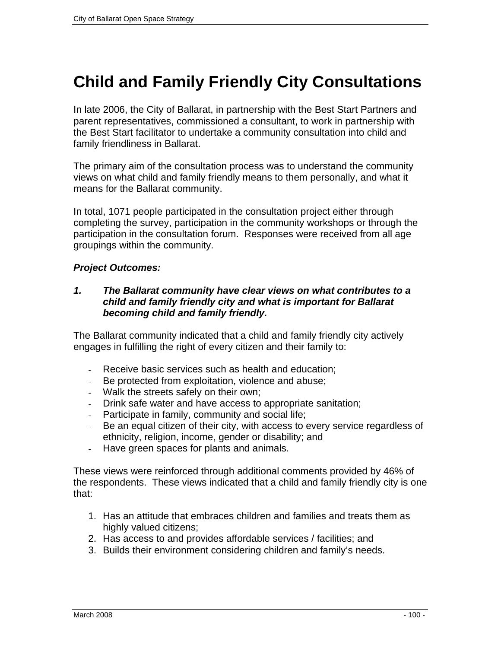# **Child and Family Friendly City Consultations**

In late 2006, the City of Ballarat, in partnership with the Best Start Partners and parent representatives, commissioned a consultant, to work in partnership with the Best Start facilitator to undertake a community consultation into child and family friendliness in Ballarat.

The primary aim of the consultation process was to understand the community views on what child and family friendly means to them personally, and what it means for the Ballarat community.

In total, 1071 people participated in the consultation project either through completing the survey, participation in the community workshops or through the participation in the consultation forum. Responses were received from all age groupings within the community.

# *Project Outcomes:*

# *1. The Ballarat community have clear views on what contributes to a child and family friendly city and what is important for Ballarat becoming child and family friendly.*

The Ballarat community indicated that a child and family friendly city actively engages in fulfilling the right of every citizen and their family to:

- Receive basic services such as health and education;
- Be protected from exploitation, violence and abuse;
- Walk the streets safely on their own;
- Drink safe water and have access to appropriate sanitation;
- Participate in family, community and social life;
- Be an equal citizen of their city, with access to every service regardless of ethnicity, religion, income, gender or disability; and
- Have green spaces for plants and animals.

These views were reinforced through additional comments provided by 46% of the respondents. These views indicated that a child and family friendly city is one that:

- 1. Has an attitude that embraces children and families and treats them as highly valued citizens:
- 2. Has access to and provides affordable services / facilities; and
- 3. Builds their environment considering children and family's needs.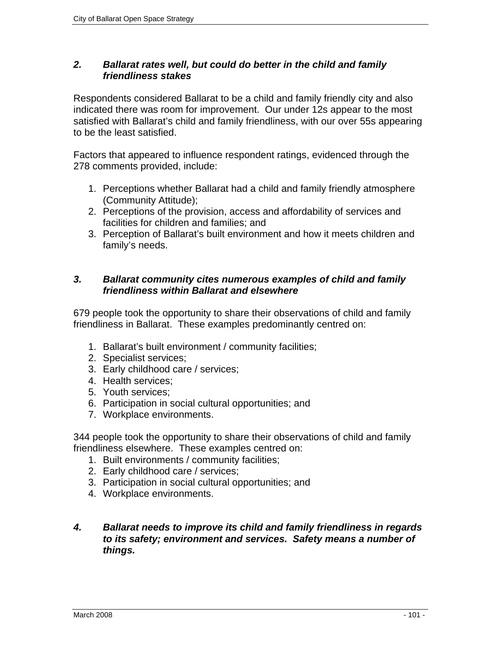# *2. Ballarat rates well, but could do better in the child and family friendliness stakes*

Respondents considered Ballarat to be a child and family friendly city and also indicated there was room for improvement. Our under 12s appear to the most satisfied with Ballarat's child and family friendliness, with our over 55s appearing to be the least satisfied.

Factors that appeared to influence respondent ratings, evidenced through the 278 comments provided, include:

- 1. Perceptions whether Ballarat had a child and family friendly atmosphere (Community Attitude);
- 2. Perceptions of the provision, access and affordability of services and facilities for children and families; and
- 3. Perception of Ballarat's built environment and how it meets children and family's needs.

# *3. Ballarat community cites numerous examples of child and family friendliness within Ballarat and elsewhere*

679 people took the opportunity to share their observations of child and family friendliness in Ballarat. These examples predominantly centred on:

- 1. Ballarat's built environment / community facilities;
- 2. Specialist services;
- 3. Early childhood care / services;
- 4. Health services;
- 5. Youth services;
- 6. Participation in social cultural opportunities; and
- 7. Workplace environments.

344 people took the opportunity to share their observations of child and family friendliness elsewhere. These examples centred on:

- 1. Built environments / community facilities;
- 2. Early childhood care / services;
- 3. Participation in social cultural opportunities; and
- 4. Workplace environments.
- *4. Ballarat needs to improve its child and family friendliness in regards to its safety; environment and services. Safety means a number of things.*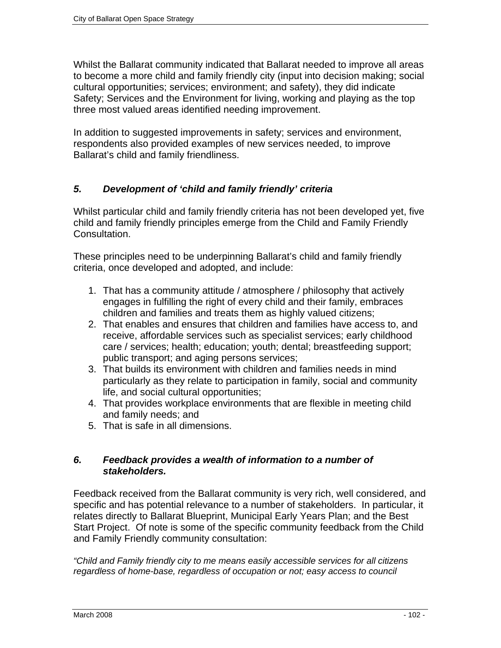Whilst the Ballarat community indicated that Ballarat needed to improve all areas to become a more child and family friendly city (input into decision making; social cultural opportunities; services; environment; and safety), they did indicate Safety; Services and the Environment for living, working and playing as the top three most valued areas identified needing improvement.

In addition to suggested improvements in safety; services and environment, respondents also provided examples of new services needed, to improve Ballarat's child and family friendliness.

# *5. Development of 'child and family friendly' criteria*

Whilst particular child and family friendly criteria has not been developed yet, five child and family friendly principles emerge from the Child and Family Friendly Consultation.

These principles need to be underpinning Ballarat's child and family friendly criteria, once developed and adopted, and include:

- 1. That has a community attitude / atmosphere / philosophy that actively engages in fulfilling the right of every child and their family, embraces children and families and treats them as highly valued citizens;
- 2. That enables and ensures that children and families have access to, and receive, affordable services such as specialist services; early childhood care / services; health; education; youth; dental; breastfeeding support; public transport; and aging persons services;
- 3. That builds its environment with children and families needs in mind particularly as they relate to participation in family, social and community life, and social cultural opportunities;
- 4. That provides workplace environments that are flexible in meeting child and family needs; and
- 5. That is safe in all dimensions.

# *6. Feedback provides a wealth of information to a number of stakeholders.*

Feedback received from the Ballarat community is very rich, well considered, and specific and has potential relevance to a number of stakeholders. In particular, it relates directly to Ballarat Blueprint, Municipal Early Years Plan; and the Best Start Project. Of note is some of the specific community feedback from the Child and Family Friendly community consultation:

*"Child and Family friendly city to me means easily accessible services for all citizens regardless of home-base, regardless of occupation or not; easy access to council*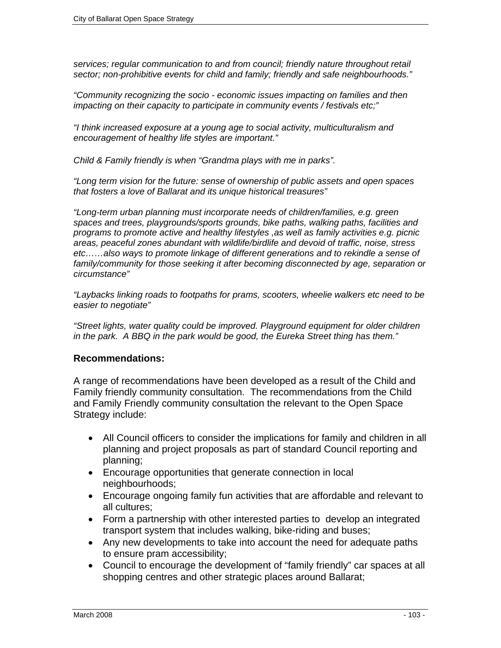*services; regular communication to and from council; friendly nature throughout retail sector; non-prohibitive events for child and family; friendly and safe neighbourhoods."* 

*"Community recognizing the socio - economic issues impacting on families and then impacting on their capacity to participate in community events / festivals etc;"* 

*"I think increased exposure at a young age to social activity, multiculturalism and encouragement of healthy life styles are important."* 

*Child & Family friendly is when "Grandma plays with me in parks".* 

*"Long term vision for the future: sense of ownership of public assets and open spaces that fosters a love of Ballarat and its unique historical treasures"* 

*"Long-term urban planning must incorporate needs of children/families, e.g. green spaces and trees, playgrounds/sports grounds, bike paths, walking paths, facilities and programs to promote active and healthy lifestyles ,as well as family activities e.g. picnic areas, peaceful zones abundant with wildlife/birdlife and devoid of traffic, noise, stress etc……also ways to promote linkage of different generations and to rekindle a sense of*  family/community for those seeking it after becoming disconnected by age, separation or *circumstance"* 

*"Laybacks linking roads to footpaths for prams, scooters, wheelie walkers etc need to be easier to negotiate"* 

*"Street lights, water quality could be improved. Playground equipment for older children in the park. A BBQ in the park would be good, the Eureka Street thing has them."*

# **Recommendations:**

A range of recommendations have been developed as a result of the Child and Family friendly community consultation. The recommendations from the Child and Family Friendly community consultation the relevant to the Open Space Strategy include:

- All Council officers to consider the implications for family and children in all planning and project proposals as part of standard Council reporting and planning;
- Encourage opportunities that generate connection in local neighbourhoods;
- Encourage ongoing family fun activities that are affordable and relevant to all cultures;
- Form a partnership with other interested parties to develop an integrated transport system that includes walking, bike-riding and buses;
- Any new developments to take into account the need for adequate paths to ensure pram accessibility;
- Council to encourage the development of "family friendly" car spaces at all shopping centres and other strategic places around Ballarat;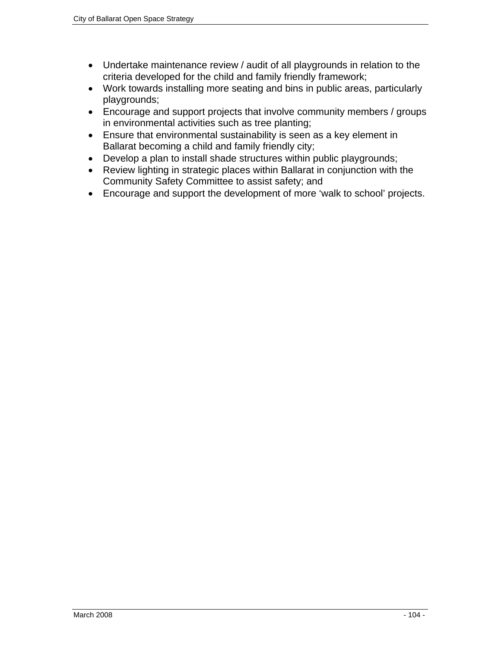- Undertake maintenance review / audit of all playgrounds in relation to the criteria developed for the child and family friendly framework;
- Work towards installing more seating and bins in public areas, particularly playgrounds;
- Encourage and support projects that involve community members / groups in environmental activities such as tree planting;
- Ensure that environmental sustainability is seen as a key element in Ballarat becoming a child and family friendly city;
- Develop a plan to install shade structures within public playgrounds;
- Review lighting in strategic places within Ballarat in conjunction with the Community Safety Committee to assist safety; and
- Encourage and support the development of more 'walk to school' projects.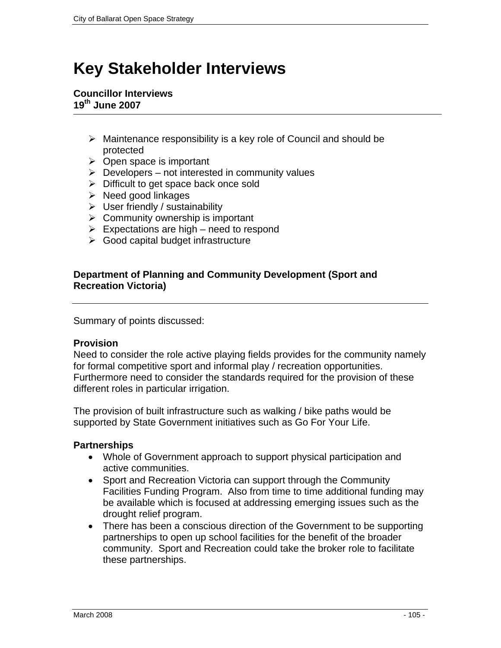# **Key Stakeholder Interviews**

## **Councillor Interviews 19th June 2007**

- $\triangleright$  Maintenance responsibility is a key role of Council and should be protected
- $\triangleright$  Open space is important
- $\triangleright$  Developers not interested in community values
- $\triangleright$  Difficult to get space back once sold
- $\triangleright$  Need good linkages
- $\triangleright$  User friendly / sustainability
- $\triangleright$  Community ownership is important
- $\triangleright$  Expectations are high need to respond
- $\triangleright$  Good capital budget infrastructure

# **Department of Planning and Community Development (Sport and Recreation Victoria)**

Summary of points discussed:

# **Provision**

Need to consider the role active playing fields provides for the community namely for formal competitive sport and informal play / recreation opportunities. Furthermore need to consider the standards required for the provision of these different roles in particular irrigation.

The provision of built infrastructure such as walking / bike paths would be supported by State Government initiatives such as Go For Your Life.

# **Partnerships**

- Whole of Government approach to support physical participation and active communities.
- Sport and Recreation Victoria can support through the Community Facilities Funding Program. Also from time to time additional funding may be available which is focused at addressing emerging issues such as the drought relief program.
- There has been a conscious direction of the Government to be supporting partnerships to open up school facilities for the benefit of the broader community. Sport and Recreation could take the broker role to facilitate these partnerships.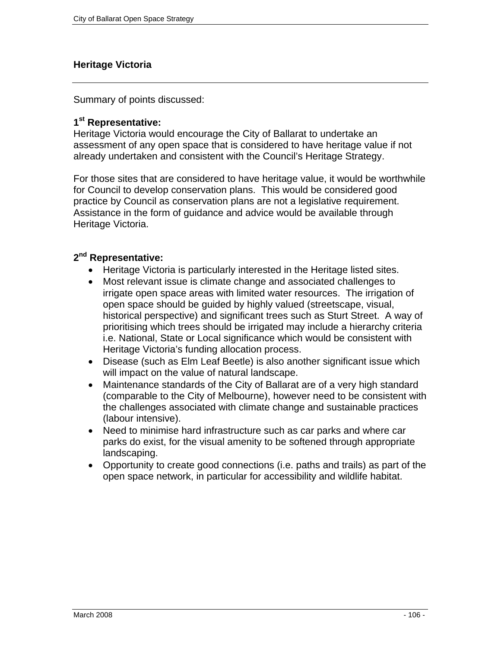# **Heritage Victoria**

Summary of points discussed:

# **1st Representative:**

Heritage Victoria would encourage the City of Ballarat to undertake an assessment of any open space that is considered to have heritage value if not already undertaken and consistent with the Council's Heritage Strategy.

For those sites that are considered to have heritage value, it would be worthwhile for Council to develop conservation plans. This would be considered good practice by Council as conservation plans are not a legislative requirement. Assistance in the form of guidance and advice would be available through Heritage Victoria.

# **2nd Representative:**

- Heritage Victoria is particularly interested in the Heritage listed sites.
- Most relevant issue is climate change and associated challenges to irrigate open space areas with limited water resources. The irrigation of open space should be guided by highly valued (streetscape, visual, historical perspective) and significant trees such as Sturt Street. A way of prioritising which trees should be irrigated may include a hierarchy criteria i.e. National, State or Local significance which would be consistent with Heritage Victoria's funding allocation process.
- Disease (such as Elm Leaf Beetle) is also another significant issue which will impact on the value of natural landscape.
- Maintenance standards of the City of Ballarat are of a very high standard (comparable to the City of Melbourne), however need to be consistent with the challenges associated with climate change and sustainable practices (labour intensive).
- Need to minimise hard infrastructure such as car parks and where car parks do exist, for the visual amenity to be softened through appropriate landscaping.
- Opportunity to create good connections (i.e. paths and trails) as part of the open space network, in particular for accessibility and wildlife habitat.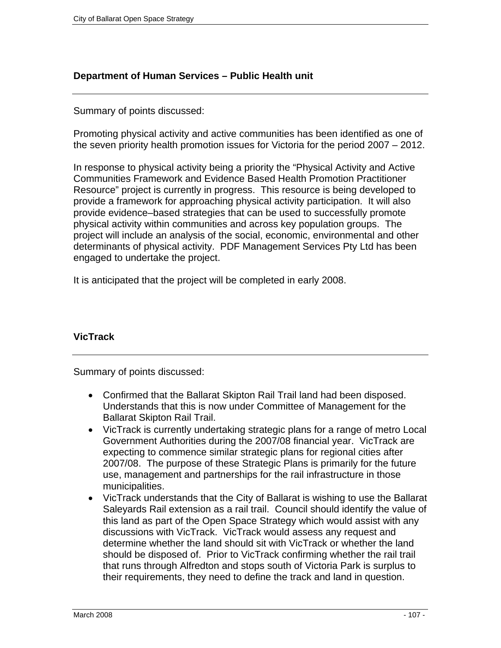# **Department of Human Services – Public Health unit**

# Summary of points discussed:

Promoting physical activity and active communities has been identified as one of the seven priority health promotion issues for Victoria for the period 2007 – 2012.

In response to physical activity being a priority the "Physical Activity and Active Communities Framework and Evidence Based Health Promotion Practitioner Resource" project is currently in progress. This resource is being developed to provide a framework for approaching physical activity participation. It will also provide evidence–based strategies that can be used to successfully promote physical activity within communities and across key population groups. The project will include an analysis of the social, economic, environmental and other determinants of physical activity. PDF Management Services Pty Ltd has been engaged to undertake the project.

It is anticipated that the project will be completed in early 2008.

# **VicTrack**

Summary of points discussed:

- Confirmed that the Ballarat Skipton Rail Trail land had been disposed. Understands that this is now under Committee of Management for the Ballarat Skipton Rail Trail.
- VicTrack is currently undertaking strategic plans for a range of metro Local Government Authorities during the 2007/08 financial year. VicTrack are expecting to commence similar strategic plans for regional cities after 2007/08. The purpose of these Strategic Plans is primarily for the future use, management and partnerships for the rail infrastructure in those municipalities.
- VicTrack understands that the City of Ballarat is wishing to use the Ballarat Saleyards Rail extension as a rail trail. Council should identify the value of this land as part of the Open Space Strategy which would assist with any discussions with VicTrack. VicTrack would assess any request and determine whether the land should sit with VicTrack or whether the land should be disposed of. Prior to VicTrack confirming whether the rail trail that runs through Alfredton and stops south of Victoria Park is surplus to their requirements, they need to define the track and land in question.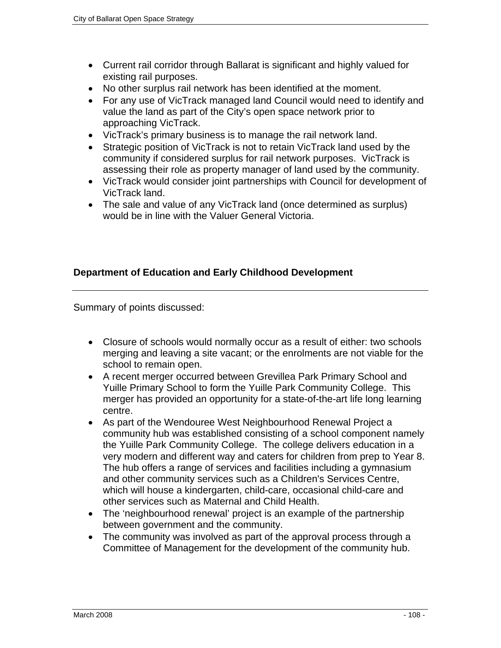- Current rail corridor through Ballarat is significant and highly valued for existing rail purposes.
- No other surplus rail network has been identified at the moment.
- For any use of VicTrack managed land Council would need to identify and value the land as part of the City's open space network prior to approaching VicTrack.
- VicTrack's primary business is to manage the rail network land.
- Strategic position of VicTrack is not to retain VicTrack land used by the community if considered surplus for rail network purposes. VicTrack is assessing their role as property manager of land used by the community.
- VicTrack would consider joint partnerships with Council for development of VicTrack land.
- The sale and value of any VicTrack land (once determined as surplus) would be in line with the Valuer General Victoria.

# **Department of Education and Early Childhood Development**

Summary of points discussed:

- Closure of schools would normally occur as a result of either: two schools merging and leaving a site vacant; or the enrolments are not viable for the school to remain open.
- A recent merger occurred between Grevillea Park Primary School and Yuille Primary School to form the Yuille Park Community College. This merger has provided an opportunity for a state-of-the-art life long learning centre.
- As part of the Wendouree West Neighbourhood Renewal Project a community hub was established consisting of a school component namely the Yuille Park Community College. The college delivers education in a very modern and different way and caters for children from prep to Year 8. The hub offers a range of services and facilities including a gymnasium and other community services such as a Children's Services Centre, which will house a kindergarten, child-care, occasional child-care and other services such as Maternal and Child Health.
- The 'neighbourhood renewal' project is an example of the partnership between government and the community.
- The community was involved as part of the approval process through a Committee of Management for the development of the community hub.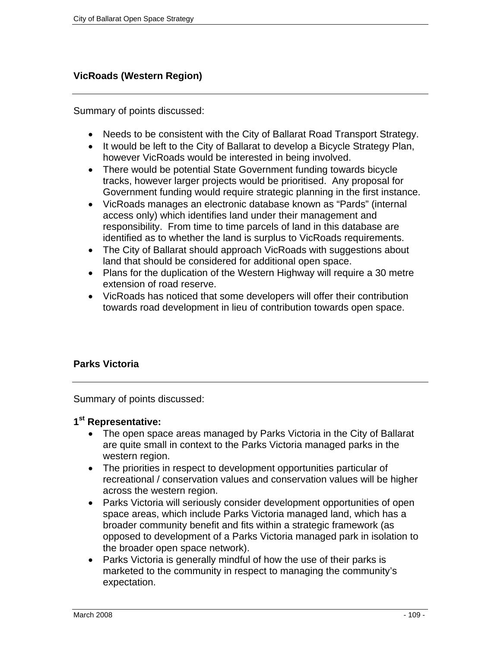## **VicRoads (Western Region)**

Summary of points discussed:

- Needs to be consistent with the City of Ballarat Road Transport Strategy.
- It would be left to the City of Ballarat to develop a Bicycle Strategy Plan, however VicRoads would be interested in being involved.
- There would be potential State Government funding towards bicycle tracks, however larger projects would be prioritised. Any proposal for Government funding would require strategic planning in the first instance.
- VicRoads manages an electronic database known as "Pards" (internal access only) which identifies land under their management and responsibility. From time to time parcels of land in this database are identified as to whether the land is surplus to VicRoads requirements.
- The City of Ballarat should approach VicRoads with suggestions about land that should be considered for additional open space.
- Plans for the duplication of the Western Highway will require a 30 metre extension of road reserve.
- VicRoads has noticed that some developers will offer their contribution towards road development in lieu of contribution towards open space.

## **Parks Victoria**

Summary of points discussed:

## **1st Representative:**

- The open space areas managed by Parks Victoria in the City of Ballarat are quite small in context to the Parks Victoria managed parks in the western region.
- The priorities in respect to development opportunities particular of recreational / conservation values and conservation values will be higher across the western region.
- Parks Victoria will seriously consider development opportunities of open space areas, which include Parks Victoria managed land, which has a broader community benefit and fits within a strategic framework (as opposed to development of a Parks Victoria managed park in isolation to the broader open space network).
- Parks Victoria is generally mindful of how the use of their parks is marketed to the community in respect to managing the community's expectation.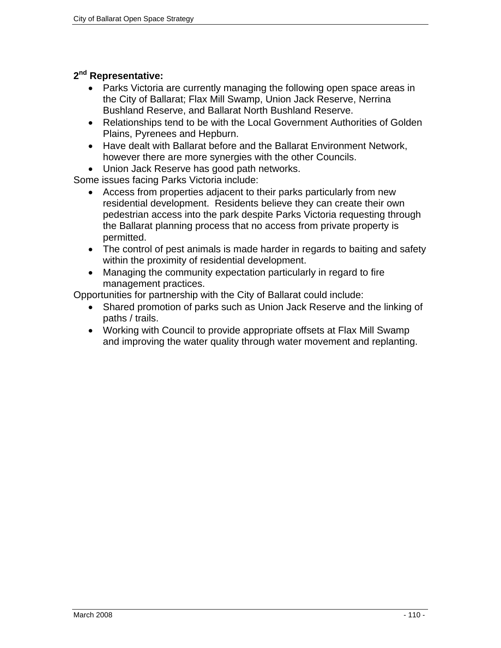## **2nd Representative:**

- Parks Victoria are currently managing the following open space areas in the City of Ballarat; Flax Mill Swamp, Union Jack Reserve, Nerrina Bushland Reserve, and Ballarat North Bushland Reserve.
- Relationships tend to be with the Local Government Authorities of Golden Plains, Pyrenees and Hepburn.
- Have dealt with Ballarat before and the Ballarat Environment Network, however there are more synergies with the other Councils.
- Union Jack Reserve has good path networks.

Some issues facing Parks Victoria include:

- Access from properties adjacent to their parks particularly from new residential development. Residents believe they can create their own pedestrian access into the park despite Parks Victoria requesting through the Ballarat planning process that no access from private property is permitted.
- The control of pest animals is made harder in regards to baiting and safety within the proximity of residential development.
- Managing the community expectation particularly in regard to fire management practices.

Opportunities for partnership with the City of Ballarat could include:

- Shared promotion of parks such as Union Jack Reserve and the linking of paths / trails.
- Working with Council to provide appropriate offsets at Flax Mill Swamp and improving the water quality through water movement and replanting.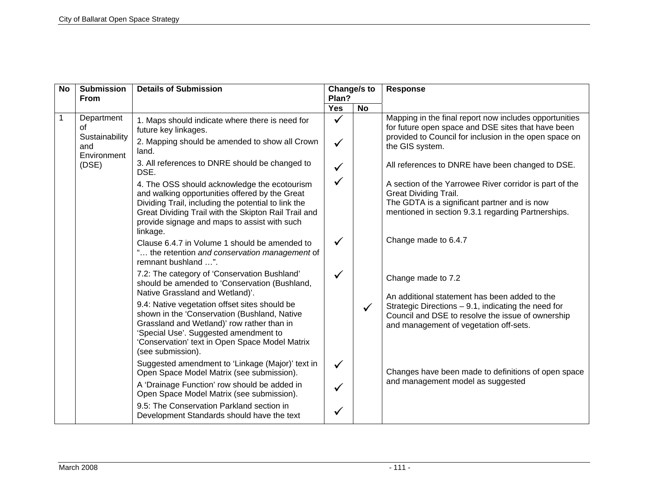| <b>Yes</b><br><b>No</b><br>$\mathbf 1$<br>Department<br>$\checkmark$<br>1. Maps should indicate where there is need for<br>0f<br>future key linkages.<br>Sustainability<br>2. Mapping should be amended to show all Crown<br>✓<br>and<br>land.<br>Environment<br>3. All references to DNRE should be changed to<br>(DSE)<br>DSE.<br>✓<br>4. The OSS should acknowledge the ecotourism<br>and walking opportunities offered by the Great<br>Dividing Trail, including the potential to link the<br>Great Dividing Trail with the Skipton Rail Trail and<br>provide signage and maps to assist with such<br>linkage.                                                                                              | Change/s to<br><b>Response</b>                                                                                                                                                                                                                                                                                                                                                                                                                                                                                                                                                                                                                                                                                                                                                                                  |
|-----------------------------------------------------------------------------------------------------------------------------------------------------------------------------------------------------------------------------------------------------------------------------------------------------------------------------------------------------------------------------------------------------------------------------------------------------------------------------------------------------------------------------------------------------------------------------------------------------------------------------------------------------------------------------------------------------------------|-----------------------------------------------------------------------------------------------------------------------------------------------------------------------------------------------------------------------------------------------------------------------------------------------------------------------------------------------------------------------------------------------------------------------------------------------------------------------------------------------------------------------------------------------------------------------------------------------------------------------------------------------------------------------------------------------------------------------------------------------------------------------------------------------------------------|
|                                                                                                                                                                                                                                                                                                                                                                                                                                                                                                                                                                                                                                                                                                                 |                                                                                                                                                                                                                                                                                                                                                                                                                                                                                                                                                                                                                                                                                                                                                                                                                 |
| $\checkmark$<br>Clause 6.4.7 in Volume 1 should be amended to<br>" the retention and conservation management of<br>remnant bushland ".<br>7.2: The category of 'Conservation Bushland'<br>✓<br>should be amended to 'Conservation (Bushland,<br>Native Grassland and Wetland)'.<br>9.4: Native vegetation offset sites should be<br>shown in the 'Conservation (Bushland, Native<br>Grassland and Wetland)' row rather than in<br>'Special Use'. Suggested amendment to<br>'Conservation' text in Open Space Model Matrix<br>(see submission).<br>Suggested amendment to 'Linkage (Major)' text in<br>$\checkmark$<br>Open Space Model Matrix (see submission).<br>A 'Drainage Function' row should be added in | Mapping in the final report now includes opportunities<br>for future open space and DSE sites that have been<br>provided to Council for inclusion in the open space on<br>the GIS system.<br>All references to DNRE have been changed to DSE.<br>A section of the Yarrowee River corridor is part of the<br><b>Great Dividing Trail.</b><br>The GDTA is a significant partner and is now<br>mentioned in section 9.3.1 regarding Partnerships.<br>Change made to 6.4.7<br>Change made to 7.2<br>An additional statement has been added to the<br>Strategic Directions - 9.1, indicating the need for<br>$\checkmark$<br>Council and DSE to resolve the issue of ownership<br>and management of vegetation off-sets.<br>Changes have been made to definitions of open space<br>and management model as suggested |
| Open Space Model Matrix (see submission).<br>9.5: The Conservation Parkland section in<br>Development Standards should have the text                                                                                                                                                                                                                                                                                                                                                                                                                                                                                                                                                                            |                                                                                                                                                                                                                                                                                                                                                                                                                                                                                                                                                                                                                                                                                                                                                                                                                 |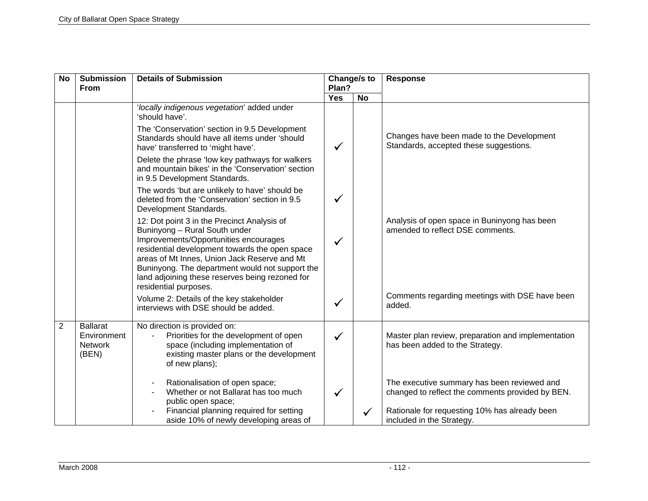| <b>No</b>      | <b>Submission</b><br><b>From</b>                          | <b>Details of Submission</b>                                                                                                                                                                                                                                                                                                                           | Change/s to<br>Plan? |           | <b>Response</b>                                                                                 |  |
|----------------|-----------------------------------------------------------|--------------------------------------------------------------------------------------------------------------------------------------------------------------------------------------------------------------------------------------------------------------------------------------------------------------------------------------------------------|----------------------|-----------|-------------------------------------------------------------------------------------------------|--|
|                |                                                           |                                                                                                                                                                                                                                                                                                                                                        | <b>Yes</b>           | <b>No</b> |                                                                                                 |  |
|                |                                                           | 'locally indigenous vegetation' added under<br>'should have'.<br>The 'Conservation' section in 9.5 Development                                                                                                                                                                                                                                         |                      |           |                                                                                                 |  |
|                |                                                           | Standards should have all items under 'should<br>have' transferred to 'might have'.                                                                                                                                                                                                                                                                    | ✓                    |           | Changes have been made to the Development<br>Standards, accepted these suggestions.             |  |
|                |                                                           | Delete the phrase 'low key pathways for walkers<br>and mountain bikes' in the 'Conservation' section<br>in 9.5 Development Standards.                                                                                                                                                                                                                  |                      |           |                                                                                                 |  |
|                |                                                           | The words 'but are unlikely to have' should be<br>deleted from the 'Conservation' section in 9.5<br>Development Standards.                                                                                                                                                                                                                             | $\checkmark$         |           |                                                                                                 |  |
|                |                                                           | 12: Dot point 3 in the Precinct Analysis of<br>Buninyong - Rural South under<br>Improvements/Opportunities encourages<br>residential development towards the open space<br>areas of Mt Innes, Union Jack Reserve and Mt<br>Buninyong. The department would not support the<br>land adjoining these reserves being rezoned for<br>residential purposes. | $\checkmark$         |           | Analysis of open space in Buninyong has been<br>amended to reflect DSE comments.                |  |
|                |                                                           | Volume 2: Details of the key stakeholder<br>interviews with DSE should be added.                                                                                                                                                                                                                                                                       | ✓                    |           | Comments regarding meetings with DSE have been<br>added.                                        |  |
| $\overline{2}$ | <b>Ballarat</b><br>Environment<br><b>Network</b><br>(BEN) | No direction is provided on:<br>Priorities for the development of open<br>space (including implementation of<br>existing master plans or the development<br>of new plans);                                                                                                                                                                             | ✓                    |           | Master plan review, preparation and implementation<br>has been added to the Strategy.           |  |
|                |                                                           | Rationalisation of open space;<br>Whether or not Ballarat has too much<br>public open space;                                                                                                                                                                                                                                                           | ✓                    |           | The executive summary has been reviewed and<br>changed to reflect the comments provided by BEN. |  |
|                |                                                           | Financial planning required for setting<br>aside 10% of newly developing areas of                                                                                                                                                                                                                                                                      |                      |           | Rationale for requesting 10% has already been<br>included in the Strategy.                      |  |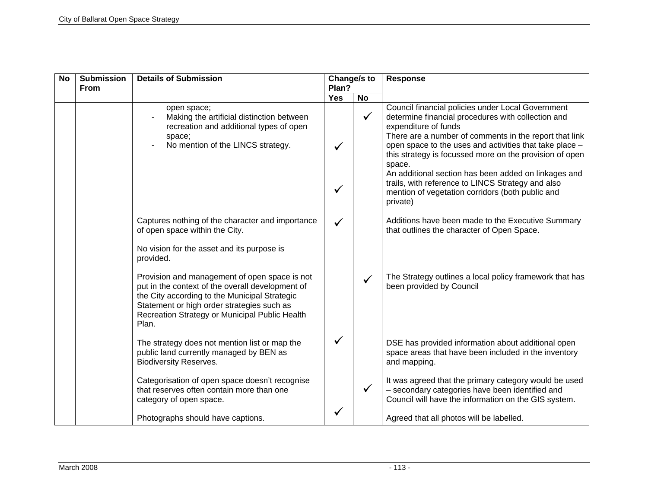| <b>No</b> | <b>Submission</b><br><b>From</b> | <b>Details of Submission</b>                                                                                                                                                                                                                                | Change/s to<br>Plan? |              | <b>Response</b>                                                                                                                                                                                                                                                                                                                                                                                                                                                                                        |
|-----------|----------------------------------|-------------------------------------------------------------------------------------------------------------------------------------------------------------------------------------------------------------------------------------------------------------|----------------------|--------------|--------------------------------------------------------------------------------------------------------------------------------------------------------------------------------------------------------------------------------------------------------------------------------------------------------------------------------------------------------------------------------------------------------------------------------------------------------------------------------------------------------|
|           |                                  |                                                                                                                                                                                                                                                             | <b>Yes</b>           | <b>No</b>    |                                                                                                                                                                                                                                                                                                                                                                                                                                                                                                        |
|           |                                  | open space;<br>Making the artificial distinction between<br>recreation and additional types of open<br>space;<br>No mention of the LINCS strategy.                                                                                                          |                      | $\checkmark$ | Council financial policies under Local Government<br>determine financial procedures with collection and<br>expenditure of funds<br>There are a number of comments in the report that link<br>open space to the uses and activities that take place -<br>this strategy is focussed more on the provision of open<br>space.<br>An additional section has been added on linkages and<br>trails, with reference to LINCS Strategy and also<br>mention of vegetation corridors (both public and<br>private) |
|           |                                  | Captures nothing of the character and importance<br>of open space within the City.                                                                                                                                                                          |                      |              | Additions have been made to the Executive Summary<br>that outlines the character of Open Space.                                                                                                                                                                                                                                                                                                                                                                                                        |
|           |                                  | No vision for the asset and its purpose is<br>provided.                                                                                                                                                                                                     |                      |              |                                                                                                                                                                                                                                                                                                                                                                                                                                                                                                        |
|           |                                  | Provision and management of open space is not<br>put in the context of the overall development of<br>the City according to the Municipal Strategic<br>Statement or high order strategies such as<br>Recreation Strategy or Municipal Public Health<br>Plan. |                      |              | The Strategy outlines a local policy framework that has<br>been provided by Council                                                                                                                                                                                                                                                                                                                                                                                                                    |
|           |                                  | The strategy does not mention list or map the<br>public land currently managed by BEN as<br><b>Biodiversity Reserves.</b>                                                                                                                                   |                      |              | DSE has provided information about additional open<br>space areas that have been included in the inventory<br>and mapping.                                                                                                                                                                                                                                                                                                                                                                             |
|           |                                  | Categorisation of open space doesn't recognise<br>that reserves often contain more than one<br>category of open space.                                                                                                                                      |                      |              | It was agreed that the primary category would be used<br>- secondary categories have been identified and<br>Council will have the information on the GIS system.                                                                                                                                                                                                                                                                                                                                       |
|           |                                  | Photographs should have captions.                                                                                                                                                                                                                           |                      |              | Agreed that all photos will be labelled.                                                                                                                                                                                                                                                                                                                                                                                                                                                               |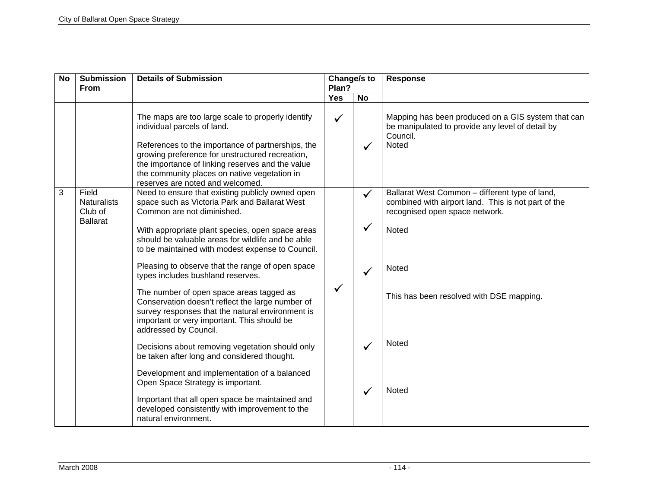| <b>No</b> | <b>Submission</b><br><b>From</b>                          | <b>Details of Submission</b>                                                                                                                                                                                                                                                                                                                                         | Change/s to<br>Plan? |                              | <b>Response</b>                                                                                                                                  |
|-----------|-----------------------------------------------------------|----------------------------------------------------------------------------------------------------------------------------------------------------------------------------------------------------------------------------------------------------------------------------------------------------------------------------------------------------------------------|----------------------|------------------------------|--------------------------------------------------------------------------------------------------------------------------------------------------|
|           |                                                           |                                                                                                                                                                                                                                                                                                                                                                      | <b>Yes</b>           | <b>No</b>                    |                                                                                                                                                  |
|           |                                                           | The maps are too large scale to properly identify<br>individual parcels of land.<br>References to the importance of partnerships, the<br>growing preference for unstructured recreation,<br>the importance of linking reserves and the value<br>the community places on native vegetation in<br>reserves are noted and welcomed.                                     | $\checkmark$         |                              | Mapping has been produced on a GIS system that can<br>be manipulated to provide any level of detail by<br>Council.<br>Noted                      |
| 3         | Field<br><b>Naturalists</b><br>Club of<br><b>Ballarat</b> | Need to ensure that existing publicly owned open<br>space such as Victoria Park and Ballarat West<br>Common are not diminished.<br>With appropriate plant species, open space areas<br>should be valuable areas for wildlife and be able<br>to be maintained with modest expense to Council.                                                                         |                      | $\checkmark$<br>$\checkmark$ | Ballarat West Common - different type of land,<br>combined with airport land. This is not part of the<br>recognised open space network.<br>Noted |
|           |                                                           | Pleasing to observe that the range of open space<br>types includes bushland reserves.<br>The number of open space areas tagged as<br>Conservation doesn't reflect the large number of<br>survey responses that the natural environment is<br>important or very important. This should be<br>addressed by Council.<br>Decisions about removing vegetation should only | ✓                    |                              | Noted<br>This has been resolved with DSE mapping.<br><b>Noted</b>                                                                                |
|           |                                                           | be taken after long and considered thought.<br>Development and implementation of a balanced<br>Open Space Strategy is important.<br>Important that all open space be maintained and<br>developed consistently with improvement to the<br>natural environment.                                                                                                        |                      |                              | Noted                                                                                                                                            |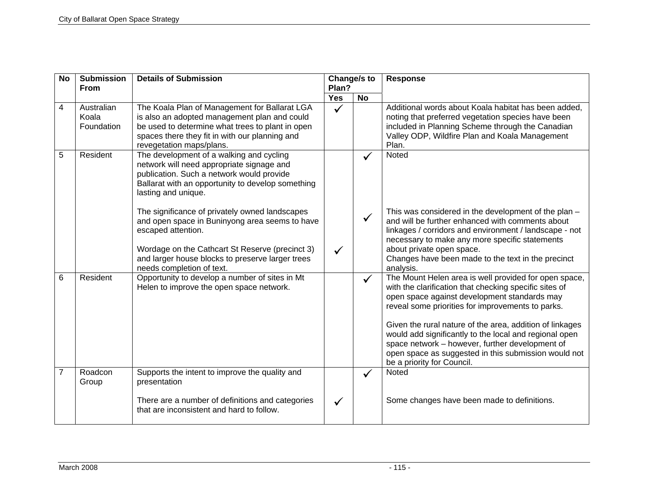| <b>No</b>      | <b>Submission</b><br><b>From</b>  | <b>Details of Submission</b>                                                                                                                                                                                                                                                                                                                                                                                                                                                 | Change/s to<br>Plan? |              | <b>Response</b>                                                                                                                                                                                                                                                                                                                                                                                                                                                                     |
|----------------|-----------------------------------|------------------------------------------------------------------------------------------------------------------------------------------------------------------------------------------------------------------------------------------------------------------------------------------------------------------------------------------------------------------------------------------------------------------------------------------------------------------------------|----------------------|--------------|-------------------------------------------------------------------------------------------------------------------------------------------------------------------------------------------------------------------------------------------------------------------------------------------------------------------------------------------------------------------------------------------------------------------------------------------------------------------------------------|
|                |                                   |                                                                                                                                                                                                                                                                                                                                                                                                                                                                              | <b>Yes</b>           | <b>No</b>    |                                                                                                                                                                                                                                                                                                                                                                                                                                                                                     |
| 4              | Australian<br>Koala<br>Foundation | The Koala Plan of Management for Ballarat LGA<br>is also an adopted management plan and could<br>be used to determine what trees to plant in open<br>spaces there they fit in with our planning and<br>revegetation maps/plans.                                                                                                                                                                                                                                              | $\checkmark$         |              | Additional words about Koala habitat has been added,<br>noting that preferred vegetation species have been<br>included in Planning Scheme through the Canadian<br>Valley ODP, Wildfire Plan and Koala Management<br>Plan.                                                                                                                                                                                                                                                           |
| 5              | Resident                          | The development of a walking and cycling<br>network will need appropriate signage and<br>publication. Such a network would provide<br>Ballarat with an opportunity to develop something<br>lasting and unique.<br>The significance of privately owned landscapes<br>and open space in Buninyong area seems to have<br>escaped attention.<br>Wordage on the Cathcart St Reserve (precinct 3)<br>and larger house blocks to preserve larger trees<br>needs completion of text. |                      | $\checkmark$ | Noted<br>This was considered in the development of the plan -<br>and will be further enhanced with comments about<br>linkages / corridors and environment / landscape - not<br>necessary to make any more specific statements<br>about private open space.<br>Changes have been made to the text in the precinct<br>analysis.                                                                                                                                                       |
| 6              | Resident                          | Opportunity to develop a number of sites in Mt<br>Helen to improve the open space network.                                                                                                                                                                                                                                                                                                                                                                                   |                      | $\checkmark$ | The Mount Helen area is well provided for open space,<br>with the clarification that checking specific sites of<br>open space against development standards may<br>reveal some priorities for improvements to parks.<br>Given the rural nature of the area, addition of linkages<br>would add significantly to the local and regional open<br>space network - however, further development of<br>open space as suggested in this submission would not<br>be a priority for Council. |
| $\overline{7}$ | Roadcon<br>Group                  | Supports the intent to improve the quality and<br>presentation                                                                                                                                                                                                                                                                                                                                                                                                               |                      |              | <b>Noted</b>                                                                                                                                                                                                                                                                                                                                                                                                                                                                        |
|                |                                   | There are a number of definitions and categories<br>that are inconsistent and hard to follow.                                                                                                                                                                                                                                                                                                                                                                                |                      |              | Some changes have been made to definitions.                                                                                                                                                                                                                                                                                                                                                                                                                                         |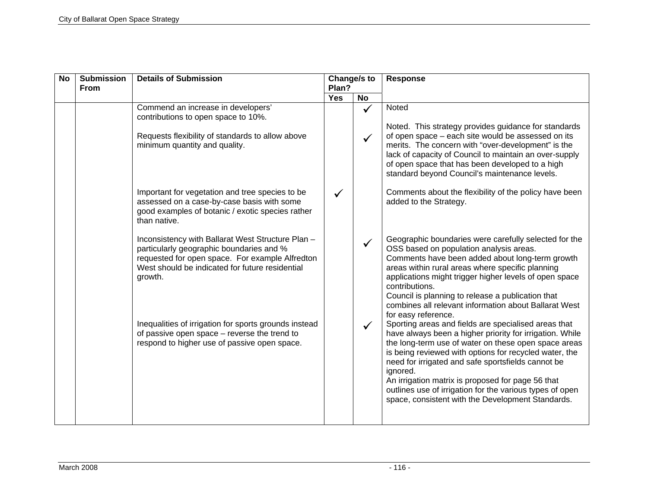| <b>No</b> | <b>Submission</b><br><b>From</b> | <b>Details of Submission</b>                                                                                                                                                                                   | Change/s to<br>Plan? |              | <b>Response</b>                                                                                                                                                                                                                                                                                                                                                                                                                                                            |
|-----------|----------------------------------|----------------------------------------------------------------------------------------------------------------------------------------------------------------------------------------------------------------|----------------------|--------------|----------------------------------------------------------------------------------------------------------------------------------------------------------------------------------------------------------------------------------------------------------------------------------------------------------------------------------------------------------------------------------------------------------------------------------------------------------------------------|
|           |                                  |                                                                                                                                                                                                                | <b>Yes</b>           | <b>No</b>    |                                                                                                                                                                                                                                                                                                                                                                                                                                                                            |
|           |                                  | Commend an increase in developers'<br>contributions to open space to 10%.                                                                                                                                      |                      | $\checkmark$ | Noted                                                                                                                                                                                                                                                                                                                                                                                                                                                                      |
|           |                                  | Requests flexibility of standards to allow above<br>minimum quantity and quality.                                                                                                                              |                      |              | Noted. This strategy provides guidance for standards<br>of open space - each site would be assessed on its<br>merits. The concern with "over-development" is the<br>lack of capacity of Council to maintain an over-supply<br>of open space that has been developed to a high<br>standard beyond Council's maintenance levels.                                                                                                                                             |
|           |                                  | Important for vegetation and tree species to be<br>assessed on a case-by-case basis with some<br>good examples of botanic / exotic species rather<br>than native.                                              |                      |              | Comments about the flexibility of the policy have been<br>added to the Strategy.                                                                                                                                                                                                                                                                                                                                                                                           |
|           |                                  | Inconsistency with Ballarat West Structure Plan -<br>particularly geographic boundaries and %<br>requested for open space. For example Alfredton<br>West should be indicated for future residential<br>growth. |                      |              | Geographic boundaries were carefully selected for the<br>OSS based on population analysis areas.<br>Comments have been added about long-term growth<br>areas within rural areas where specific planning<br>applications might trigger higher levels of open space<br>contributions.<br>Council is planning to release a publication that<br>combines all relevant information about Ballarat West<br>for easy reference.                                                   |
|           |                                  | Inequalities of irrigation for sports grounds instead<br>of passive open space - reverse the trend to<br>respond to higher use of passive open space.                                                          |                      |              | Sporting areas and fields are specialised areas that<br>have always been a higher priority for irrigation. While<br>the long-term use of water on these open space areas<br>is being reviewed with options for recycled water, the<br>need for irrigated and safe sportsfields cannot be<br>ignored.<br>An irrigation matrix is proposed for page 56 that<br>outlines use of irrigation for the various types of open<br>space, consistent with the Development Standards. |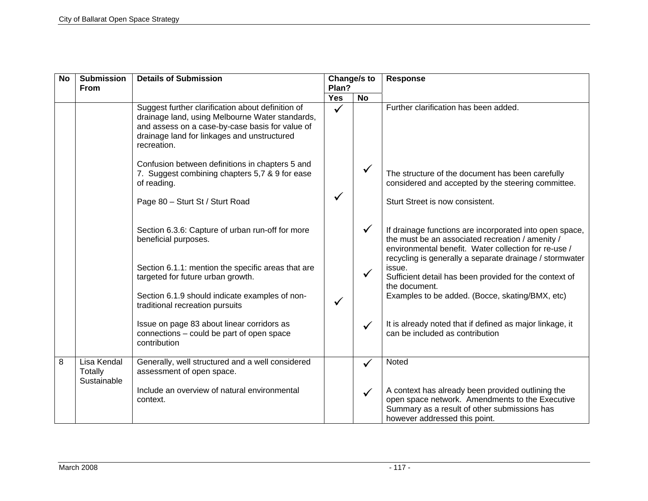| <b>No</b> | <b>Submission</b><br><b>From</b>             | <b>Details of Submission</b>                                                                                                                                                                                          | Change/s to<br>Plan? |           | Response                                                                                                                                                                                                                       |
|-----------|----------------------------------------------|-----------------------------------------------------------------------------------------------------------------------------------------------------------------------------------------------------------------------|----------------------|-----------|--------------------------------------------------------------------------------------------------------------------------------------------------------------------------------------------------------------------------------|
|           |                                              |                                                                                                                                                                                                                       | <b>Yes</b>           | <b>No</b> |                                                                                                                                                                                                                                |
|           |                                              | Suggest further clarification about definition of<br>drainage land, using Melbourne Water standards,<br>and assess on a case-by-case basis for value of<br>drainage land for linkages and unstructured<br>recreation. | $\checkmark$         |           | Further clarification has been added.                                                                                                                                                                                          |
|           |                                              | Confusion between definitions in chapters 5 and<br>7. Suggest combining chapters 5,7 & 9 for ease<br>of reading.                                                                                                      |                      |           | The structure of the document has been carefully<br>considered and accepted by the steering committee.                                                                                                                         |
|           |                                              | Page 80 - Sturt St / Sturt Road                                                                                                                                                                                       |                      |           | Sturt Street is now consistent.                                                                                                                                                                                                |
|           |                                              | Section 6.3.6: Capture of urban run-off for more<br>beneficial purposes.                                                                                                                                              |                      |           | If drainage functions are incorporated into open space,<br>the must be an associated recreation / amenity /<br>environmental benefit. Water collection for re-use /<br>recycling is generally a separate drainage / stormwater |
|           |                                              | Section 6.1.1: mention the specific areas that are<br>targeted for future urban growth.                                                                                                                               |                      |           | issue.<br>Sufficient detail has been provided for the context of<br>the document.                                                                                                                                              |
|           |                                              | Section 6.1.9 should indicate examples of non-<br>traditional recreation pursuits                                                                                                                                     | ✓                    |           | Examples to be added. (Bocce, skating/BMX, etc)                                                                                                                                                                                |
|           |                                              | Issue on page 83 about linear corridors as<br>connections - could be part of open space<br>contribution                                                                                                               |                      |           | It is already noted that if defined as major linkage, it<br>can be included as contribution                                                                                                                                    |
| 8         | Lisa Kendal<br><b>Totally</b><br>Sustainable | Generally, well structured and a well considered<br>assessment of open space.                                                                                                                                         |                      | ✓         | Noted                                                                                                                                                                                                                          |
|           |                                              | Include an overview of natural environmental<br>context.                                                                                                                                                              |                      |           | A context has already been provided outlining the<br>open space network. Amendments to the Executive<br>Summary as a result of other submissions has<br>however addressed this point.                                          |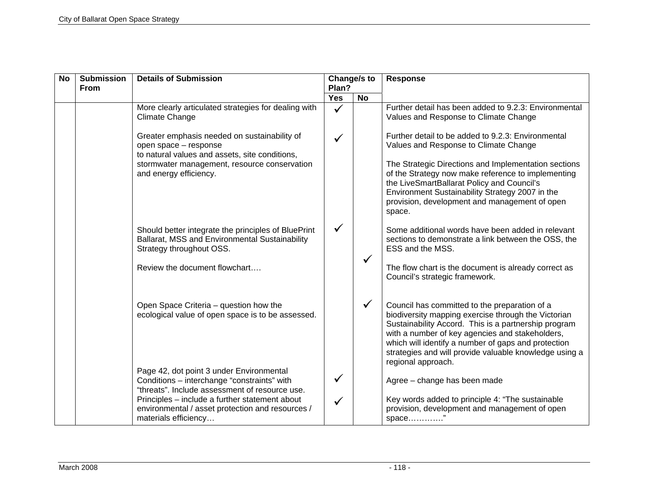| <b>No</b> | <b>Submission</b><br><b>From</b> | <b>Details of Submission</b>                                                                                                                                            | Change/s to<br>Plan? |              | <b>Response</b>                                                                                                                                                                                                                                                                                                                                        |
|-----------|----------------------------------|-------------------------------------------------------------------------------------------------------------------------------------------------------------------------|----------------------|--------------|--------------------------------------------------------------------------------------------------------------------------------------------------------------------------------------------------------------------------------------------------------------------------------------------------------------------------------------------------------|
|           |                                  |                                                                                                                                                                         | Yes                  | <b>No</b>    |                                                                                                                                                                                                                                                                                                                                                        |
|           |                                  | More clearly articulated strategies for dealing with<br><b>Climate Change</b>                                                                                           | $\checkmark$         |              | Further detail has been added to 9.2.3: Environmental<br>Values and Response to Climate Change                                                                                                                                                                                                                                                         |
|           |                                  | Greater emphasis needed on sustainability of<br>open space - response<br>to natural values and assets, site conditions,<br>stormwater management, resource conservation |                      |              | Further detail to be added to 9.2.3: Environmental<br>Values and Response to Climate Change<br>The Strategic Directions and Implementation sections                                                                                                                                                                                                    |
|           |                                  | and energy efficiency.                                                                                                                                                  |                      |              | of the Strategy now make reference to implementing<br>the LiveSmartBallarat Policy and Council's<br>Environment Sustainability Strategy 2007 in the<br>provision, development and management of open<br>space.                                                                                                                                         |
|           |                                  | Should better integrate the principles of BluePrint<br>Ballarat, MSS and Environmental Sustainability<br>Strategy throughout OSS.                                       | $\checkmark$         |              | Some additional words have been added in relevant<br>sections to demonstrate a link between the OSS, the<br>ESS and the MSS.                                                                                                                                                                                                                           |
|           |                                  | Review the document flowchart                                                                                                                                           |                      | $\checkmark$ | The flow chart is the document is already correct as<br>Council's strategic framework.                                                                                                                                                                                                                                                                 |
|           |                                  | Open Space Criteria - question how the<br>ecological value of open space is to be assessed.                                                                             |                      | $\checkmark$ | Council has committed to the preparation of a<br>biodiversity mapping exercise through the Victorian<br>Sustainability Accord. This is a partnership program<br>with a number of key agencies and stakeholders,<br>which will identify a number of gaps and protection<br>strategies and will provide valuable knowledge using a<br>regional approach. |
|           |                                  | Page 42, dot point 3 under Environmental<br>Conditions - interchange "constraints" with<br>"threats". Include assessment of resource use.                               | ✓                    |              | Agree - change has been made                                                                                                                                                                                                                                                                                                                           |
|           |                                  | Principles - include a further statement about<br>environmental / asset protection and resources /<br>materials efficiency                                              |                      |              | Key words added to principle 4: "The sustainable<br>provision, development and management of open<br>space                                                                                                                                                                                                                                             |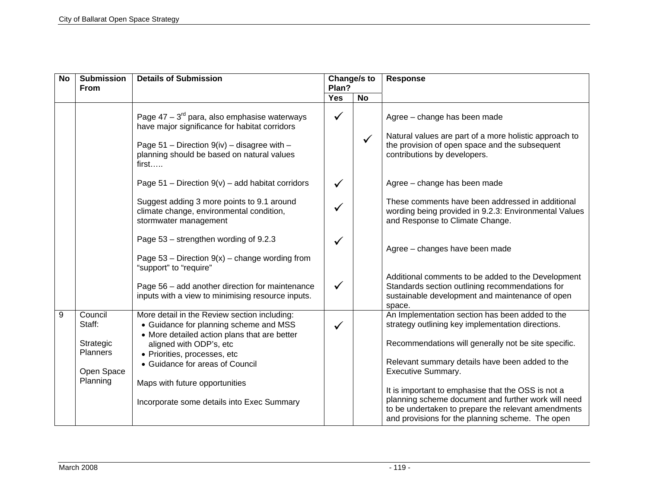| <b>No</b> | <b>Submission</b><br><b>From</b>                                            | <b>Details of Submission</b>                                                                                                                                                                                                                                                                                         | Change/s to<br>Plan? |              | <b>Response</b>                                                                                                                                                                                                                                                                                                                                                                                                                                               |
|-----------|-----------------------------------------------------------------------------|----------------------------------------------------------------------------------------------------------------------------------------------------------------------------------------------------------------------------------------------------------------------------------------------------------------------|----------------------|--------------|---------------------------------------------------------------------------------------------------------------------------------------------------------------------------------------------------------------------------------------------------------------------------------------------------------------------------------------------------------------------------------------------------------------------------------------------------------------|
|           |                                                                             |                                                                                                                                                                                                                                                                                                                      | <b>Yes</b>           | <b>No</b>    |                                                                                                                                                                                                                                                                                                                                                                                                                                                               |
|           |                                                                             | Page $47 - 3^{rd}$ para, also emphasise waterways<br>have major significance for habitat corridors<br>Page $51$ – Direction $9(iv)$ – disagree with –<br>planning should be based on natural values<br>first                                                                                                         | $\checkmark$         | $\checkmark$ | Agree - change has been made<br>Natural values are part of a more holistic approach to<br>the provision of open space and the subsequent<br>contributions by developers.                                                                                                                                                                                                                                                                                      |
|           |                                                                             | Page $51$ – Direction $9(v)$ – add habitat corridors                                                                                                                                                                                                                                                                 |                      |              | Agree - change has been made                                                                                                                                                                                                                                                                                                                                                                                                                                  |
|           |                                                                             | Suggest adding 3 more points to 9.1 around<br>climate change, environmental condition,<br>stormwater management                                                                                                                                                                                                      |                      |              | These comments have been addressed in additional<br>wording being provided in 9.2.3: Environmental Values<br>and Response to Climate Change.                                                                                                                                                                                                                                                                                                                  |
|           |                                                                             | Page 53 – strengthen wording of 9.2.3<br>Page $53$ – Direction $9(x)$ – change wording from<br>"support" to "require"                                                                                                                                                                                                | $\checkmark$         |              | Agree - changes have been made                                                                                                                                                                                                                                                                                                                                                                                                                                |
|           |                                                                             | Page 56 - add another direction for maintenance<br>inputs with a view to minimising resource inputs.                                                                                                                                                                                                                 | $\checkmark$         |              | Additional comments to be added to the Development<br>Standards section outlining recommendations for<br>sustainable development and maintenance of open<br>space.                                                                                                                                                                                                                                                                                            |
| 9         | Council<br>Staff:<br>Strategic<br><b>Planners</b><br>Open Space<br>Planning | More detail in the Review section including:<br>• Guidance for planning scheme and MSS<br>• More detailed action plans that are better<br>aligned with ODP's, etc<br>· Priorities, processes, etc<br>• Guidance for areas of Council<br>Maps with future opportunities<br>Incorporate some details into Exec Summary | ✓                    |              | An Implementation section has been added to the<br>strategy outlining key implementation directions.<br>Recommendations will generally not be site specific.<br>Relevant summary details have been added to the<br>Executive Summary.<br>It is important to emphasise that the OSS is not a<br>planning scheme document and further work will need<br>to be undertaken to prepare the relevant amendments<br>and provisions for the planning scheme. The open |